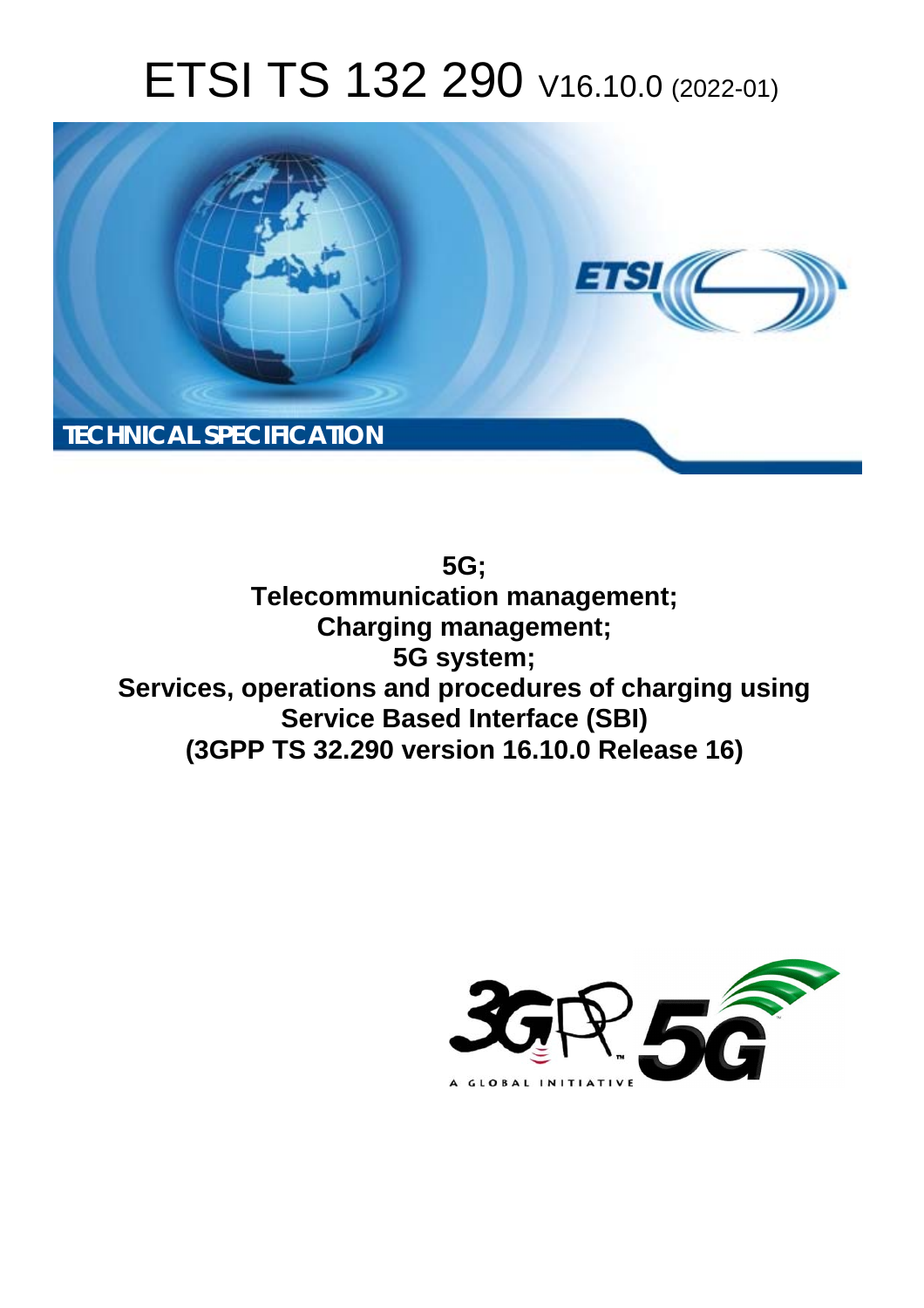# ETSI TS 132 290 V16.10.0 (2022-01)



**5G; Telecommunication management; Charging management; 5G system; Services, operations and procedures of charging using Service Based Interface (SBI) (3GPP TS 32.290 version 16.10.0 Release 16)** 

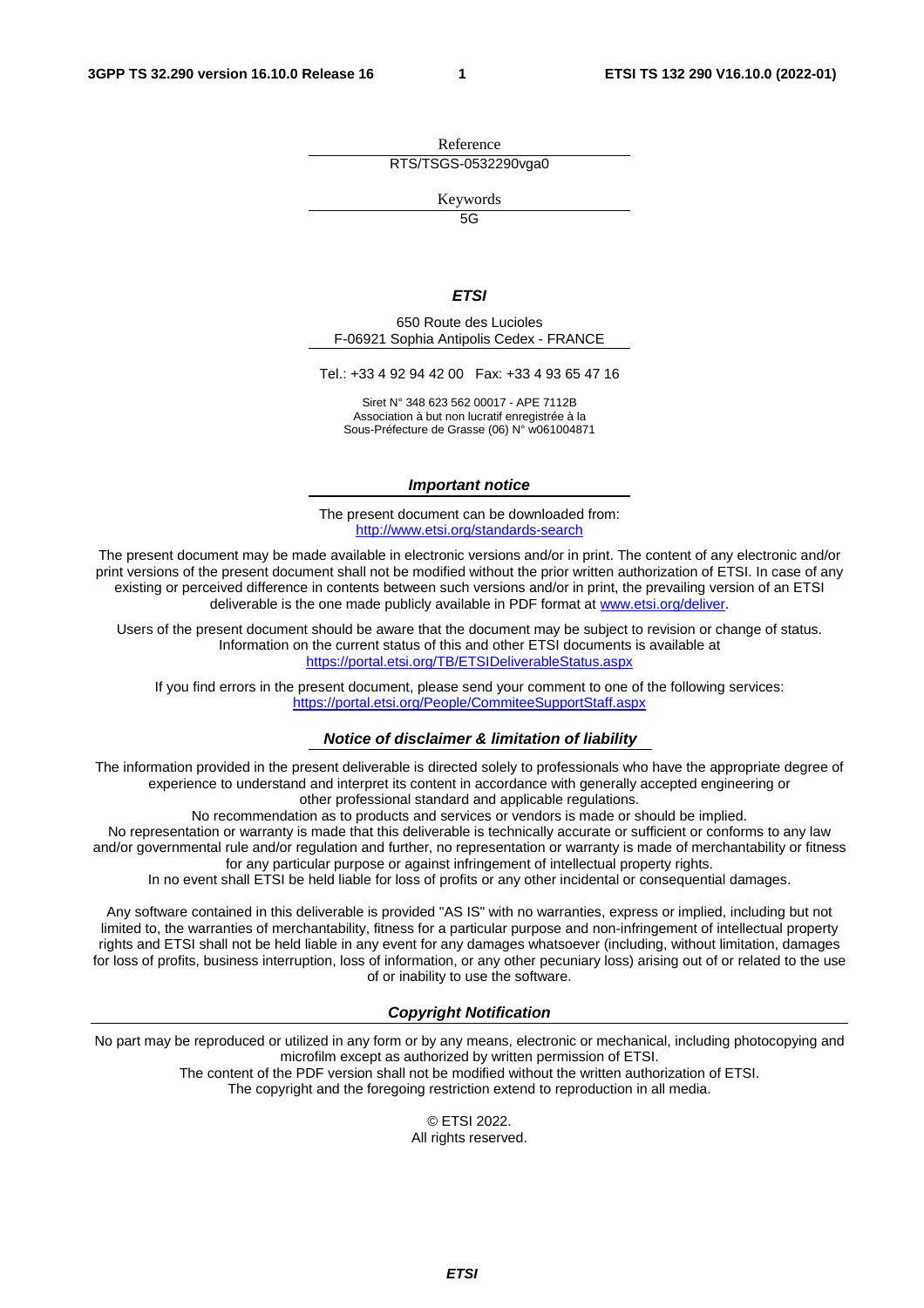Reference RTS/TSGS-0532290vga0

Keywords

 $\overline{5G}$ 

#### *ETSI*

650 Route des Lucioles F-06921 Sophia Antipolis Cedex - FRANCE

Tel.: +33 4 92 94 42 00 Fax: +33 4 93 65 47 16

Siret N° 348 623 562 00017 - APE 7112B Association à but non lucratif enregistrée à la Sous-Préfecture de Grasse (06) N° w061004871

#### *Important notice*

The present document can be downloaded from: <http://www.etsi.org/standards-search>

The present document may be made available in electronic versions and/or in print. The content of any electronic and/or print versions of the present document shall not be modified without the prior written authorization of ETSI. In case of any existing or perceived difference in contents between such versions and/or in print, the prevailing version of an ETSI deliverable is the one made publicly available in PDF format at [www.etsi.org/deliver](http://www.etsi.org/deliver).

Users of the present document should be aware that the document may be subject to revision or change of status. Information on the current status of this and other ETSI documents is available at <https://portal.etsi.org/TB/ETSIDeliverableStatus.aspx>

If you find errors in the present document, please send your comment to one of the following services: <https://portal.etsi.org/People/CommiteeSupportStaff.aspx>

#### *Notice of disclaimer & limitation of liability*

The information provided in the present deliverable is directed solely to professionals who have the appropriate degree of experience to understand and interpret its content in accordance with generally accepted engineering or other professional standard and applicable regulations.

No recommendation as to products and services or vendors is made or should be implied.

No representation or warranty is made that this deliverable is technically accurate or sufficient or conforms to any law and/or governmental rule and/or regulation and further, no representation or warranty is made of merchantability or fitness for any particular purpose or against infringement of intellectual property rights.

In no event shall ETSI be held liable for loss of profits or any other incidental or consequential damages.

Any software contained in this deliverable is provided "AS IS" with no warranties, express or implied, including but not limited to, the warranties of merchantability, fitness for a particular purpose and non-infringement of intellectual property rights and ETSI shall not be held liable in any event for any damages whatsoever (including, without limitation, damages for loss of profits, business interruption, loss of information, or any other pecuniary loss) arising out of or related to the use of or inability to use the software.

#### *Copyright Notification*

No part may be reproduced or utilized in any form or by any means, electronic or mechanical, including photocopying and microfilm except as authorized by written permission of ETSI. The content of the PDF version shall not be modified without the written authorization of ETSI.

The copyright and the foregoing restriction extend to reproduction in all media.

© ETSI 2022. All rights reserved.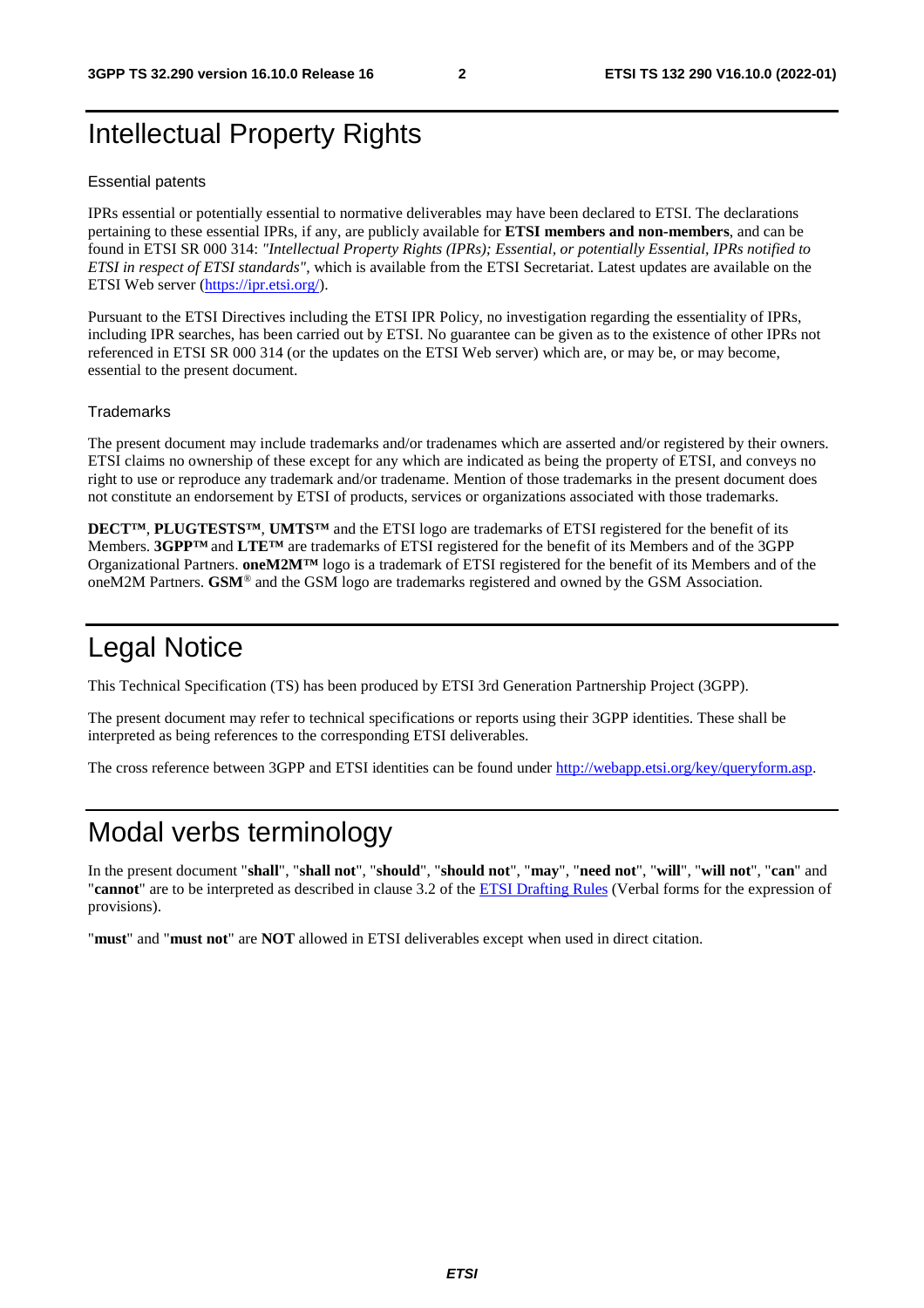# Intellectual Property Rights

#### Essential patents

IPRs essential or potentially essential to normative deliverables may have been declared to ETSI. The declarations pertaining to these essential IPRs, if any, are publicly available for **ETSI members and non-members**, and can be found in ETSI SR 000 314: *"Intellectual Property Rights (IPRs); Essential, or potentially Essential, IPRs notified to ETSI in respect of ETSI standards"*, which is available from the ETSI Secretariat. Latest updates are available on the ETSI Web server ([https://ipr.etsi.org/\)](https://ipr.etsi.org/).

Pursuant to the ETSI Directives including the ETSI IPR Policy, no investigation regarding the essentiality of IPRs, including IPR searches, has been carried out by ETSI. No guarantee can be given as to the existence of other IPRs not referenced in ETSI SR 000 314 (or the updates on the ETSI Web server) which are, or may be, or may become, essential to the present document.

#### **Trademarks**

The present document may include trademarks and/or tradenames which are asserted and/or registered by their owners. ETSI claims no ownership of these except for any which are indicated as being the property of ETSI, and conveys no right to use or reproduce any trademark and/or tradename. Mention of those trademarks in the present document does not constitute an endorsement by ETSI of products, services or organizations associated with those trademarks.

**DECT™**, **PLUGTESTS™**, **UMTS™** and the ETSI logo are trademarks of ETSI registered for the benefit of its Members. **3GPP™** and **LTE™** are trademarks of ETSI registered for the benefit of its Members and of the 3GPP Organizational Partners. **oneM2M™** logo is a trademark of ETSI registered for the benefit of its Members and of the oneM2M Partners. **GSM**® and the GSM logo are trademarks registered and owned by the GSM Association.

# Legal Notice

This Technical Specification (TS) has been produced by ETSI 3rd Generation Partnership Project (3GPP).

The present document may refer to technical specifications or reports using their 3GPP identities. These shall be interpreted as being references to the corresponding ETSI deliverables.

The cross reference between 3GPP and ETSI identities can be found under<http://webapp.etsi.org/key/queryform.asp>.

# Modal verbs terminology

In the present document "**shall**", "**shall not**", "**should**", "**should not**", "**may**", "**need not**", "**will**", "**will not**", "**can**" and "**cannot**" are to be interpreted as described in clause 3.2 of the [ETSI Drafting Rules](https://portal.etsi.org/Services/editHelp!/Howtostart/ETSIDraftingRules.aspx) (Verbal forms for the expression of provisions).

"**must**" and "**must not**" are **NOT** allowed in ETSI deliverables except when used in direct citation.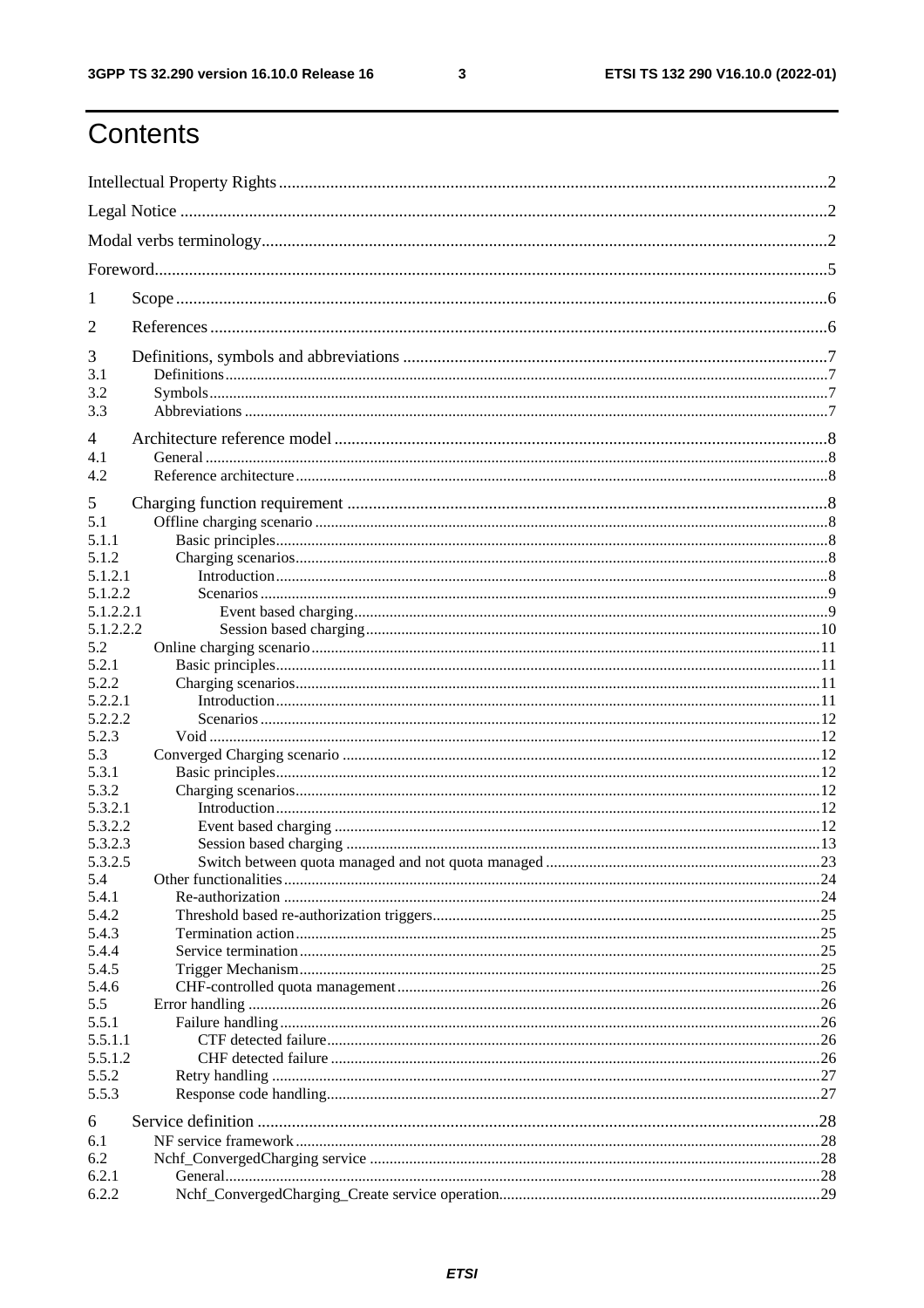$\mathbf{3}$ 

# Contents

| 1<br>3<br>3.1<br>3.2<br>5<br>5.1<br>5.1.1<br>5.1.2<br>5.1.2.1<br>5.1.2.2<br>5.1.2.2.1<br>5.1.2.2.2<br>5.2<br>5.2.2<br>5.2.2.1<br>5.2.2.2<br>5.2.3<br>5.3<br>5.3.1<br>5.3.2<br>5.3.2.1<br>5.3.2.2<br>5.3.2.3<br>5.3.2.5<br>5.4<br>5.4.5<br>5.4.6<br>5.5<br>5.5.1<br>5.5.1.1<br>5.5.1.2<br>5.5.2<br>6<br>6.1<br>6.2 |                |  |  |  |
|-------------------------------------------------------------------------------------------------------------------------------------------------------------------------------------------------------------------------------------------------------------------------------------------------------------------|----------------|--|--|--|
|                                                                                                                                                                                                                                                                                                                   |                |  |  |  |
|                                                                                                                                                                                                                                                                                                                   |                |  |  |  |
|                                                                                                                                                                                                                                                                                                                   |                |  |  |  |
|                                                                                                                                                                                                                                                                                                                   |                |  |  |  |
|                                                                                                                                                                                                                                                                                                                   | 2              |  |  |  |
|                                                                                                                                                                                                                                                                                                                   |                |  |  |  |
|                                                                                                                                                                                                                                                                                                                   |                |  |  |  |
|                                                                                                                                                                                                                                                                                                                   | 3.3            |  |  |  |
|                                                                                                                                                                                                                                                                                                                   | $\overline{4}$ |  |  |  |
|                                                                                                                                                                                                                                                                                                                   | 4.1            |  |  |  |
|                                                                                                                                                                                                                                                                                                                   | 4.2            |  |  |  |
|                                                                                                                                                                                                                                                                                                                   |                |  |  |  |
|                                                                                                                                                                                                                                                                                                                   |                |  |  |  |
|                                                                                                                                                                                                                                                                                                                   |                |  |  |  |
|                                                                                                                                                                                                                                                                                                                   |                |  |  |  |
|                                                                                                                                                                                                                                                                                                                   |                |  |  |  |
|                                                                                                                                                                                                                                                                                                                   |                |  |  |  |
|                                                                                                                                                                                                                                                                                                                   |                |  |  |  |
|                                                                                                                                                                                                                                                                                                                   |                |  |  |  |
|                                                                                                                                                                                                                                                                                                                   |                |  |  |  |
|                                                                                                                                                                                                                                                                                                                   | 5.2.1          |  |  |  |
|                                                                                                                                                                                                                                                                                                                   |                |  |  |  |
|                                                                                                                                                                                                                                                                                                                   |                |  |  |  |
|                                                                                                                                                                                                                                                                                                                   |                |  |  |  |
|                                                                                                                                                                                                                                                                                                                   |                |  |  |  |
|                                                                                                                                                                                                                                                                                                                   |                |  |  |  |
|                                                                                                                                                                                                                                                                                                                   |                |  |  |  |
|                                                                                                                                                                                                                                                                                                                   |                |  |  |  |
|                                                                                                                                                                                                                                                                                                                   |                |  |  |  |
|                                                                                                                                                                                                                                                                                                                   |                |  |  |  |
|                                                                                                                                                                                                                                                                                                                   |                |  |  |  |
|                                                                                                                                                                                                                                                                                                                   |                |  |  |  |
|                                                                                                                                                                                                                                                                                                                   | 5.4.1          |  |  |  |
|                                                                                                                                                                                                                                                                                                                   | 5.4.2          |  |  |  |
|                                                                                                                                                                                                                                                                                                                   | 5.4.3          |  |  |  |
|                                                                                                                                                                                                                                                                                                                   | 5.4.4          |  |  |  |
|                                                                                                                                                                                                                                                                                                                   |                |  |  |  |
|                                                                                                                                                                                                                                                                                                                   |                |  |  |  |
|                                                                                                                                                                                                                                                                                                                   |                |  |  |  |
|                                                                                                                                                                                                                                                                                                                   |                |  |  |  |
|                                                                                                                                                                                                                                                                                                                   |                |  |  |  |
|                                                                                                                                                                                                                                                                                                                   |                |  |  |  |
|                                                                                                                                                                                                                                                                                                                   | 5.5.3          |  |  |  |
|                                                                                                                                                                                                                                                                                                                   |                |  |  |  |
|                                                                                                                                                                                                                                                                                                                   |                |  |  |  |
|                                                                                                                                                                                                                                                                                                                   |                |  |  |  |
|                                                                                                                                                                                                                                                                                                                   | 6.2.1          |  |  |  |
|                                                                                                                                                                                                                                                                                                                   | 6.2.2          |  |  |  |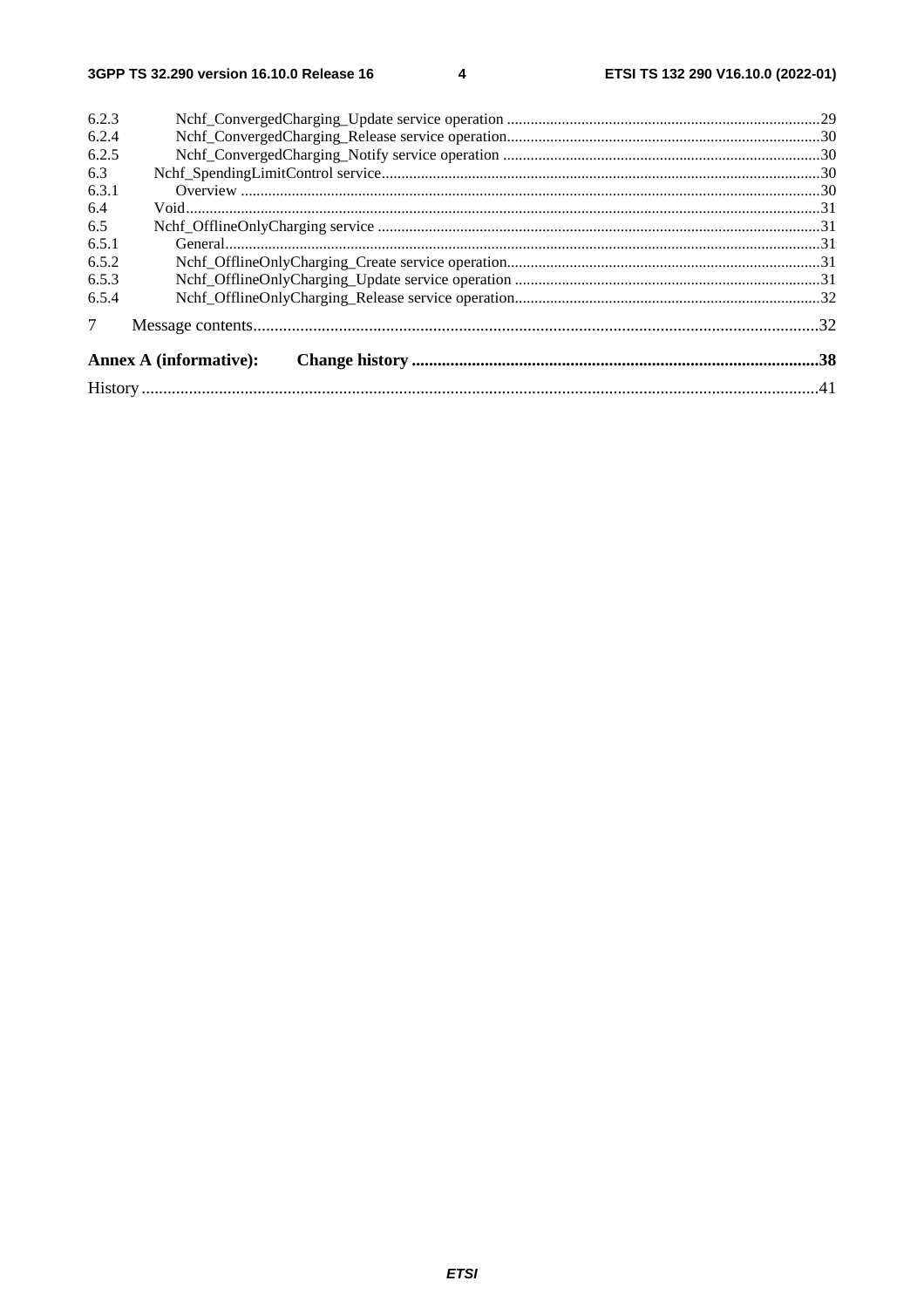$\overline{\mathbf{4}}$ 

|        | <b>Annex A (informative):</b> |  |
|--------|-------------------------------|--|
| $\tau$ |                               |  |
| 6.5.4  |                               |  |
| 6.5.3  |                               |  |
| 6.5.2  |                               |  |
| 6.5.1  |                               |  |
| 6.5    |                               |  |
| 6.4    |                               |  |
| 6.3.1  |                               |  |
| 6.3    |                               |  |
| 6.2.5  |                               |  |
| 6.2.4  |                               |  |
| 6.2.3  |                               |  |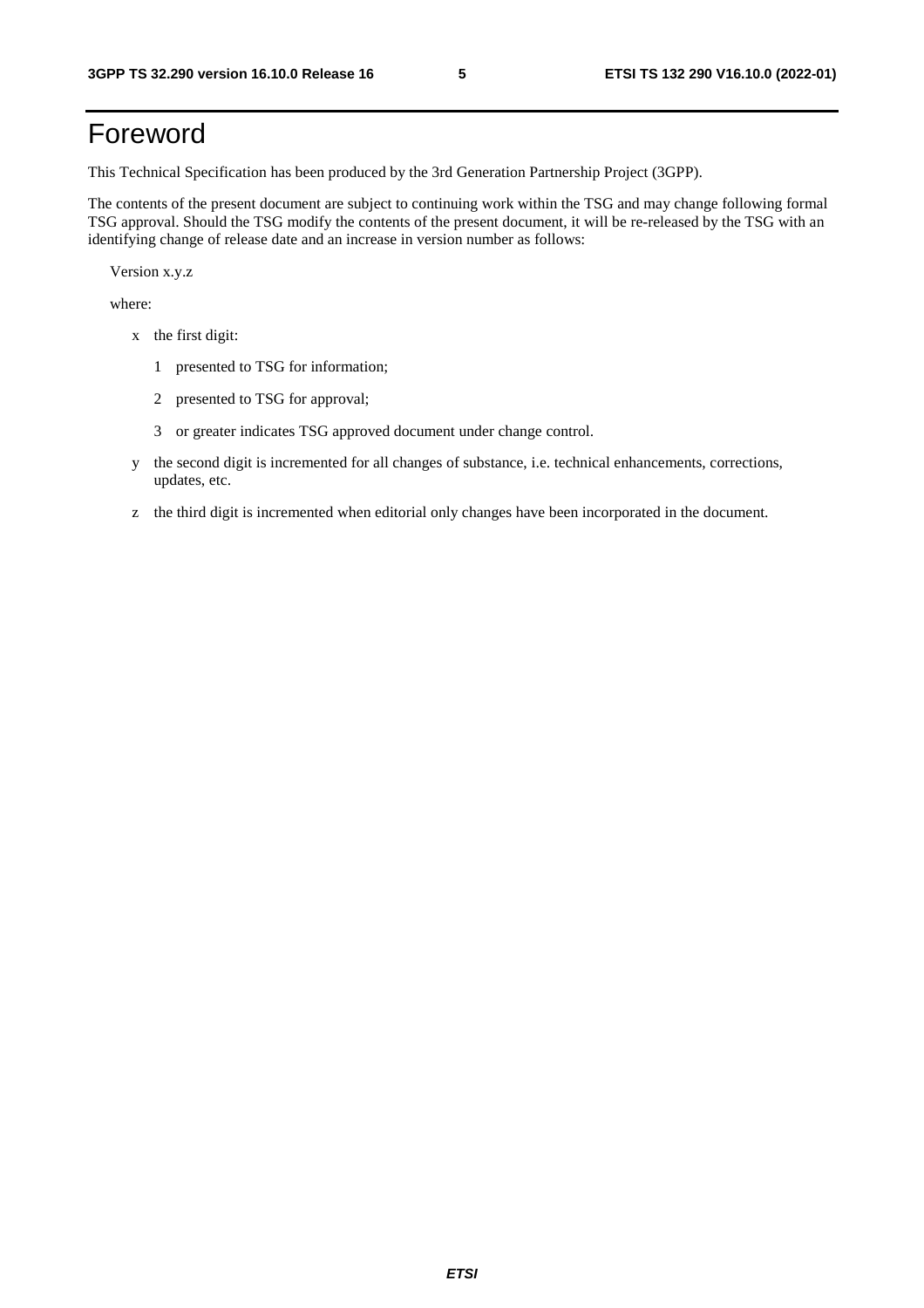# Foreword

This Technical Specification has been produced by the 3rd Generation Partnership Project (3GPP).

The contents of the present document are subject to continuing work within the TSG and may change following formal TSG approval. Should the TSG modify the contents of the present document, it will be re-released by the TSG with an identifying change of release date and an increase in version number as follows:

Version x.y.z

where:

- x the first digit:
	- 1 presented to TSG for information;
	- 2 presented to TSG for approval;
	- 3 or greater indicates TSG approved document under change control.
- y the second digit is incremented for all changes of substance, i.e. technical enhancements, corrections, updates, etc.
- z the third digit is incremented when editorial only changes have been incorporated in the document.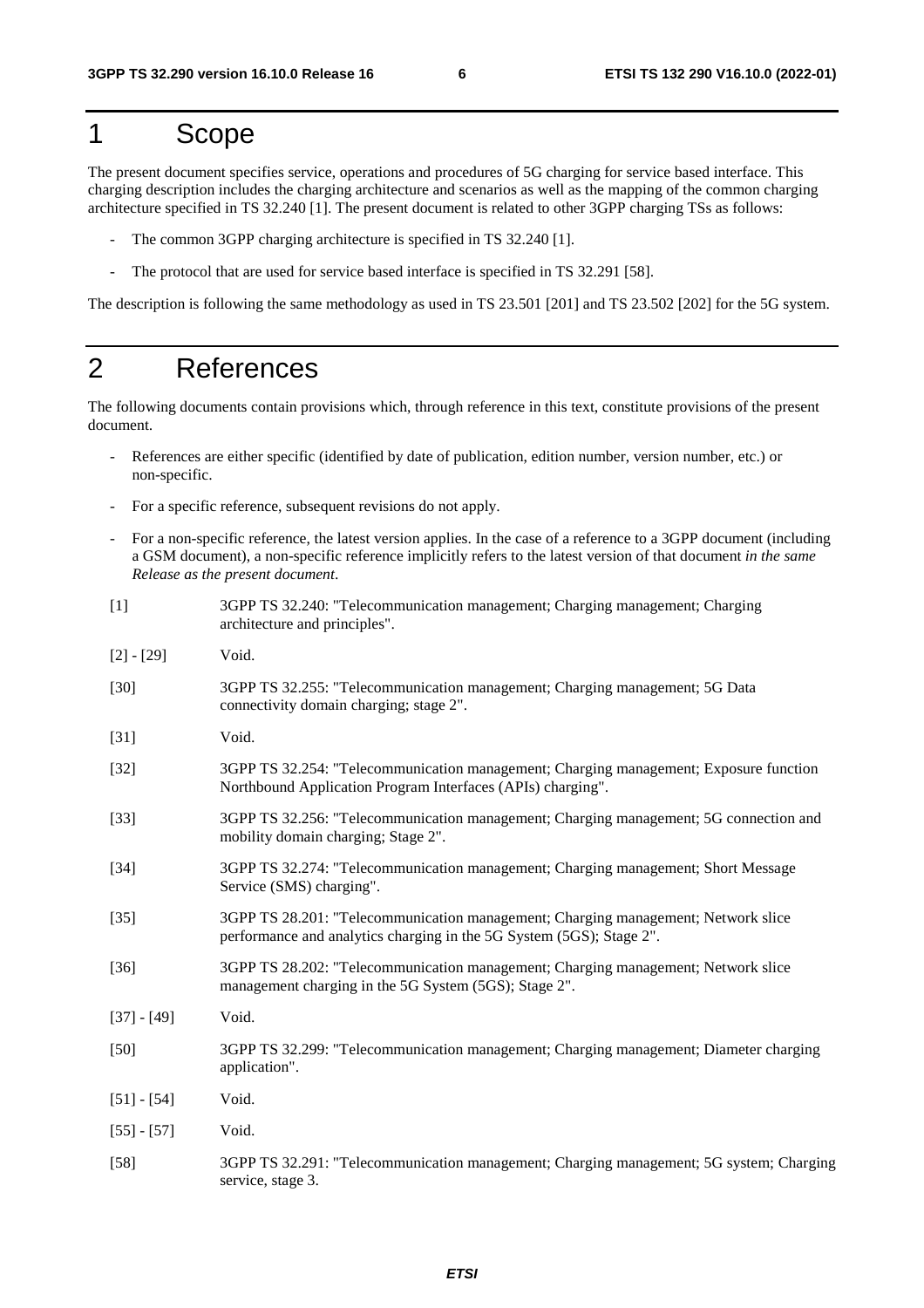# 1 Scope

The present document specifies service, operations and procedures of 5G charging for service based interface. This charging description includes the charging architecture and scenarios as well as the mapping of the common charging architecture specified in TS 32.240 [1]. The present document is related to other 3GPP charging TSs as follows:

- The common 3GPP charging architecture is specified in TS 32.240 [1].
- The protocol that are used for service based interface is specified in TS 32.291 [58].

The description is following the same methodology as used in TS 23.501 [201] and TS 23.502 [202] for the 5G system.

# 2 References

The following documents contain provisions which, through reference in this text, constitute provisions of the present document.

- References are either specific (identified by date of publication, edition number, version number, etc.) or non-specific.
- For a specific reference, subsequent revisions do not apply.
- For a non-specific reference, the latest version applies. In the case of a reference to a 3GPP document (including a GSM document), a non-specific reference implicitly refers to the latest version of that document *in the same Release as the present document*.

| [1]           | 3GPP TS 32.240: "Telecommunication management; Charging management; Charging<br>architecture and principles".                                             |
|---------------|-----------------------------------------------------------------------------------------------------------------------------------------------------------|
| $[2] - [29]$  | Void.                                                                                                                                                     |
| $[30]$        | 3GPP TS 32.255: "Telecommunication management; Charging management; 5G Data<br>connectivity domain charging; stage 2".                                    |
| $[31]$        | Void.                                                                                                                                                     |
| $[32]$        | 3GPP TS 32.254: "Telecommunication management; Charging management; Exposure function<br>Northbound Application Program Interfaces (APIs) charging".      |
| $[33]$        | 3GPP TS 32.256: "Telecommunication management; Charging management; 5G connection and<br>mobility domain charging; Stage 2".                              |
| $[34]$        | 3GPP TS 32.274: "Telecommunication management; Charging management; Short Message<br>Service (SMS) charging".                                             |
| $[35]$        | 3GPP TS 28.201: "Telecommunication management; Charging management; Network slice<br>performance and analytics charging in the 5G System (5GS); Stage 2". |
| $[36]$        | 3GPP TS 28.202: "Telecommunication management; Charging management; Network slice<br>management charging in the 5G System (5GS); Stage 2".                |
| $[37] - [49]$ | Void.                                                                                                                                                     |
| $[50]$        | 3GPP TS 32.299: "Telecommunication management; Charging management; Diameter charging<br>application".                                                    |
| $[51] - [54]$ | Void.                                                                                                                                                     |
| $[55] - [57]$ | Void.                                                                                                                                                     |
| $[58]$        | 3GPP TS 32.291: "Telecommunication management; Charging management; 5G system; Charging<br>service, stage 3.                                              |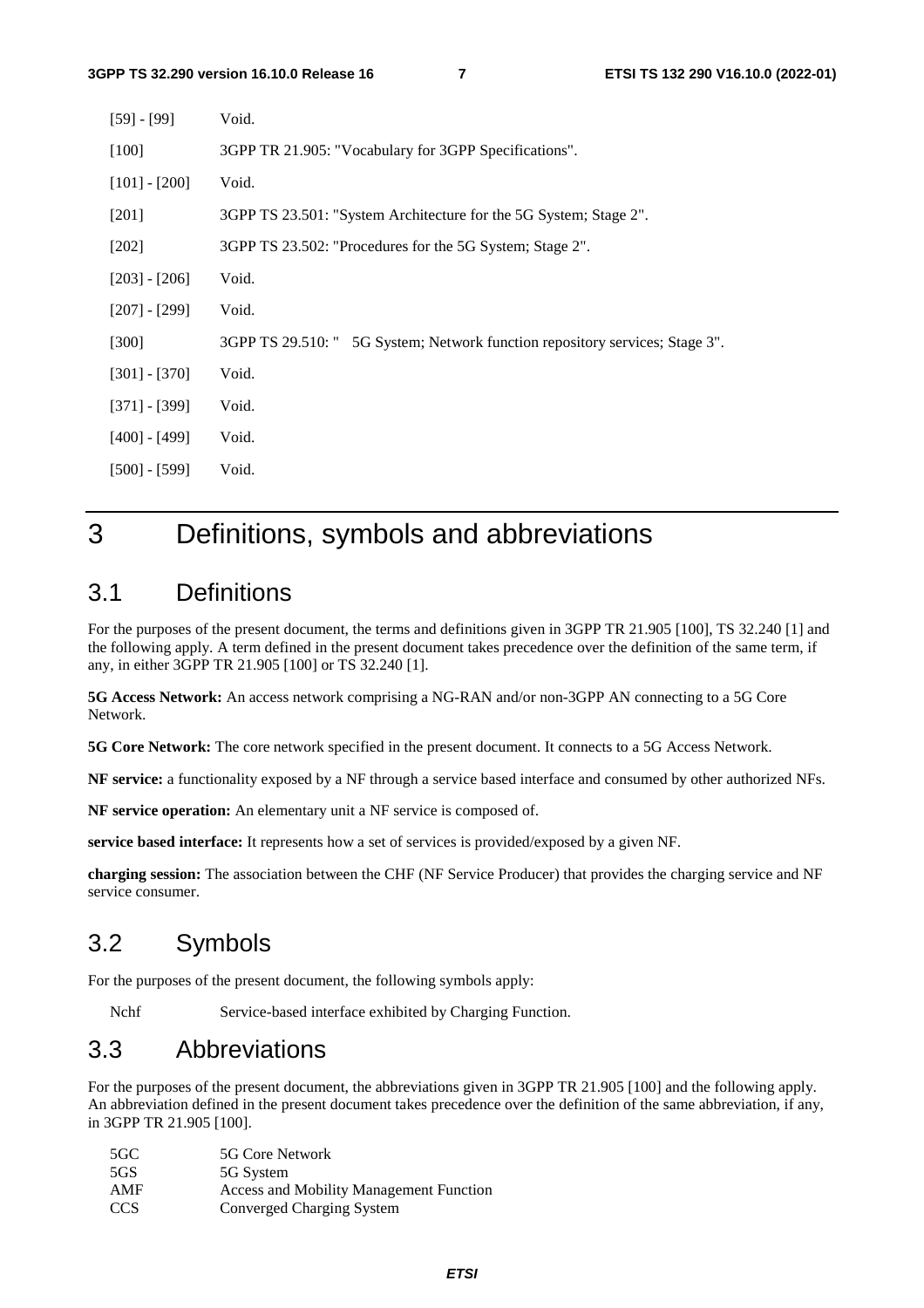| $[59] - [99]$   | Void.                                                                        |
|-----------------|------------------------------------------------------------------------------|
| $[100]$         | 3GPP TR 21.905: "Vocabulary for 3GPP Specifications".                        |
| $[101] - [200]$ | Void.                                                                        |
| [201]           | 3GPP TS 23.501: "System Architecture for the 5G System; Stage 2".            |
| $[202]$         | 3GPP TS 23.502: "Procedures for the 5G System; Stage 2".                     |
| $[203] - [206]$ | Void.                                                                        |
| $[207] - [299]$ | Void.                                                                        |
| [300]           | 3GPP TS 29.510: " 5G System; Network function repository services; Stage 3". |
| $[301] - [370]$ | Void.                                                                        |
| $[371] - [399]$ | Void.                                                                        |
| $[400] - [499]$ | Void.                                                                        |
| $[500] - [599]$ | Void.                                                                        |

# 3 Definitions, symbols and abbreviations

# 3.1 Definitions

For the purposes of the present document, the terms and definitions given in 3GPP TR 21.905 [100], TS 32.240 [1] and the following apply. A term defined in the present document takes precedence over the definition of the same term, if any, in either 3GPP TR 21.905 [100] or TS 32.240 [1].

**5G Access Network:** An access network comprising a NG-RAN and/or non-3GPP AN connecting to a 5G Core Network.

**5G Core Network:** The core network specified in the present document. It connects to a 5G Access Network.

**NF service:** a functionality exposed by a NF through a service based interface and consumed by other authorized NFs.

**NF service operation:** An elementary unit a NF service is composed of.

**service based interface:** It represents how a set of services is provided/exposed by a given NF.

**charging session:** The association between the CHF (NF Service Producer) that provides the charging service and NF service consumer.

# 3.2 Symbols

For the purposes of the present document, the following symbols apply:

Nchf Service-based interface exhibited by Charging Function.

# 3.3 Abbreviations

For the purposes of the present document, the abbreviations given in 3GPP TR 21.905 [100] and the following apply. An abbreviation defined in the present document takes precedence over the definition of the same abbreviation, if any, in 3GPP TR 21.905 [100].

| 5GC        | 5G Core Network                                |
|------------|------------------------------------------------|
| 5GS        | 5G System                                      |
| AMF        | <b>Access and Mobility Management Function</b> |
| <b>CCS</b> | Converged Charging System                      |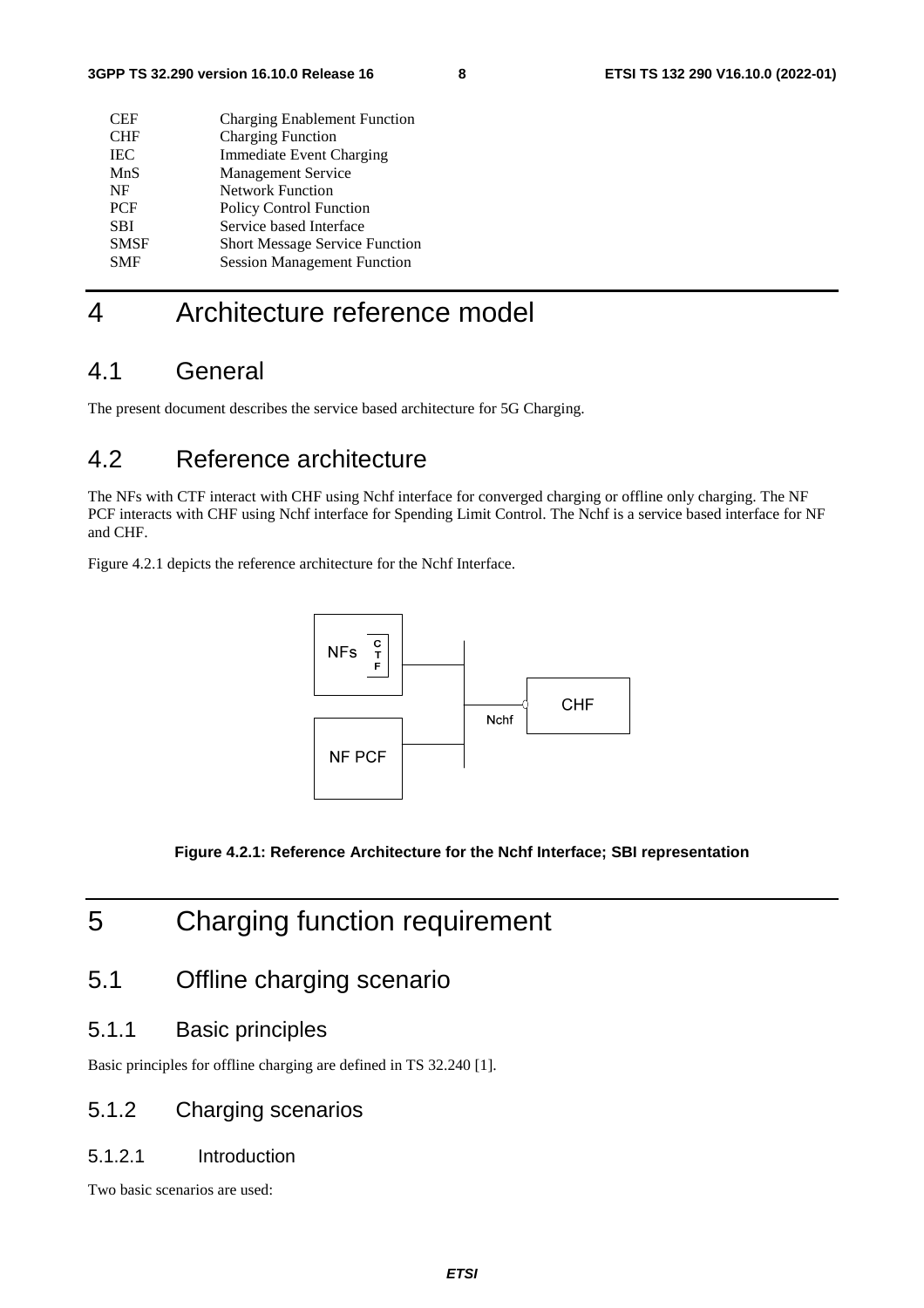| CEF         | <b>Charging Enablement Function</b>   |
|-------------|---------------------------------------|
| <b>CHF</b>  | <b>Charging Function</b>              |
| <b>IEC</b>  | <b>Immediate Event Charging</b>       |
| MnS         | <b>Management Service</b>             |
| NF          | <b>Network Function</b>               |
| <b>PCF</b>  | <b>Policy Control Function</b>        |
| <b>SBI</b>  | Service based Interface               |
| <b>SMSF</b> | <b>Short Message Service Function</b> |
| <b>SMF</b>  | <b>Session Management Function</b>    |
|             |                                       |

# 4 Architecture reference model

# 4.1 General

The present document describes the service based architecture for 5G Charging.

# 4.2 Reference architecture

The NFs with CTF interact with CHF using Nchf interface for converged charging or offline only charging. The NF PCF interacts with CHF using Nchf interface for Spending Limit Control. The Nchf is a service based interface for NF and CHF.

Figure 4.2.1 depicts the reference architecture for the Nchf Interface.



#### **Figure 4.2.1: Reference Architecture for the Nchf Interface; SBI representation**

# 5 Charging function requirement

# 5.1 Offline charging scenario

### 5.1.1 Basic principles

Basic principles for offline charging are defined in TS 32.240 [1].

### 5.1.2 Charging scenarios

#### 5.1.2.1 Introduction

Two basic scenarios are used: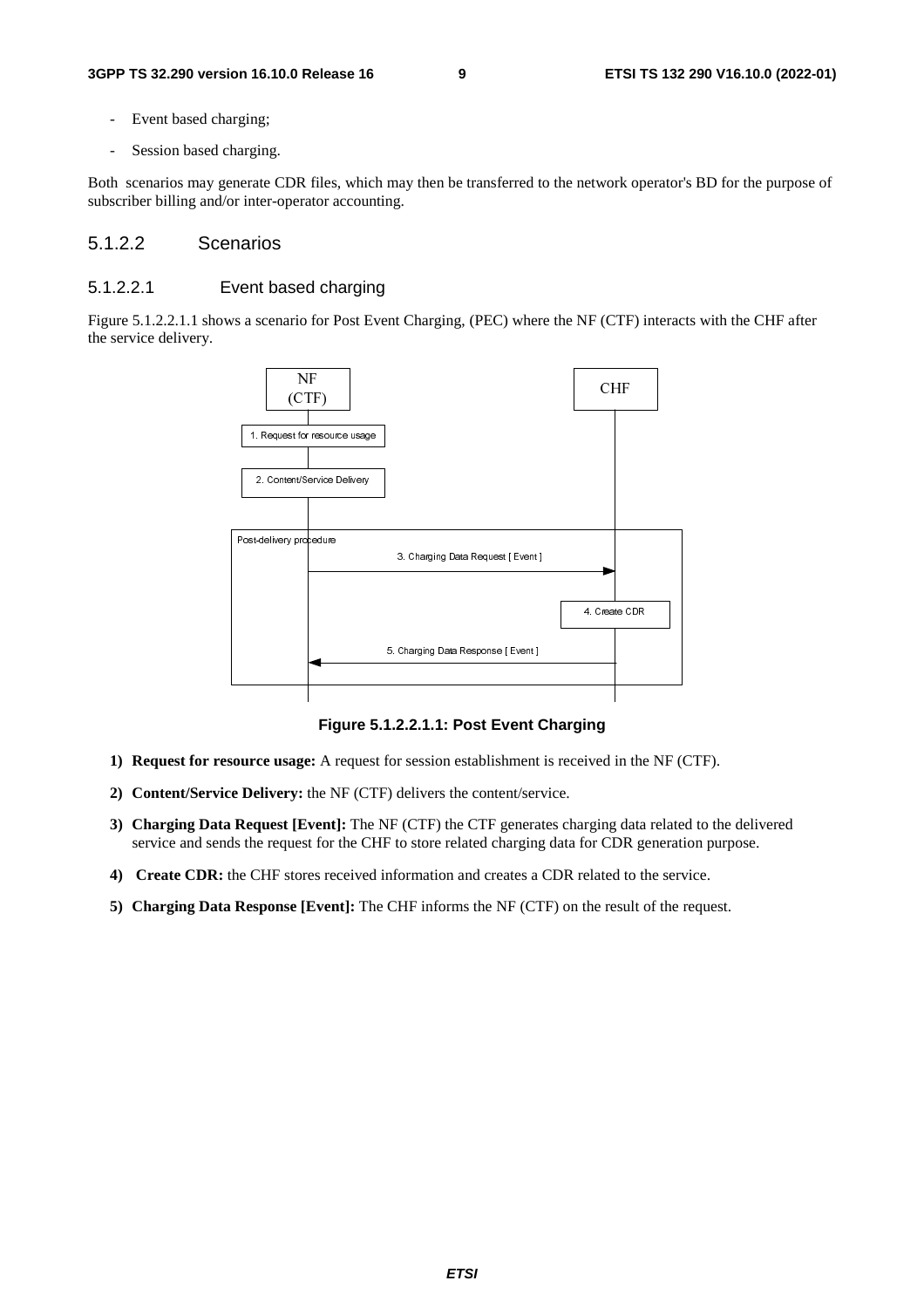- Event based charging;
- Session based charging.

Both scenarios may generate CDR files, which may then be transferred to the network operator's BD for the purpose of subscriber billing and/or inter-operator accounting.

#### 5.1.2.2 Scenarios

#### 5.1.2.2.1 Event based charging

Figure 5.1.2.2.1.1 shows a scenario for Post Event Charging, (PEC) where the NF (CTF) interacts with the CHF after the service delivery.



**Figure 5.1.2.2.1.1: Post Event Charging** 

- **1) Request for resource usage:** A request for session establishment is received in the NF (CTF).
- **2) Content/Service Delivery:** the NF (CTF) delivers the content/service.
- **3) Charging Data Request [Event]:** The NF (CTF) the CTF generates charging data related to the delivered service and sends the request for the CHF to store related charging data for CDR generation purpose.
- **4) Create CDR:** the CHF stores received information and creates a CDR related to the service.
- **5) Charging Data Response [Event]:** The CHF informs the NF (CTF) on the result of the request.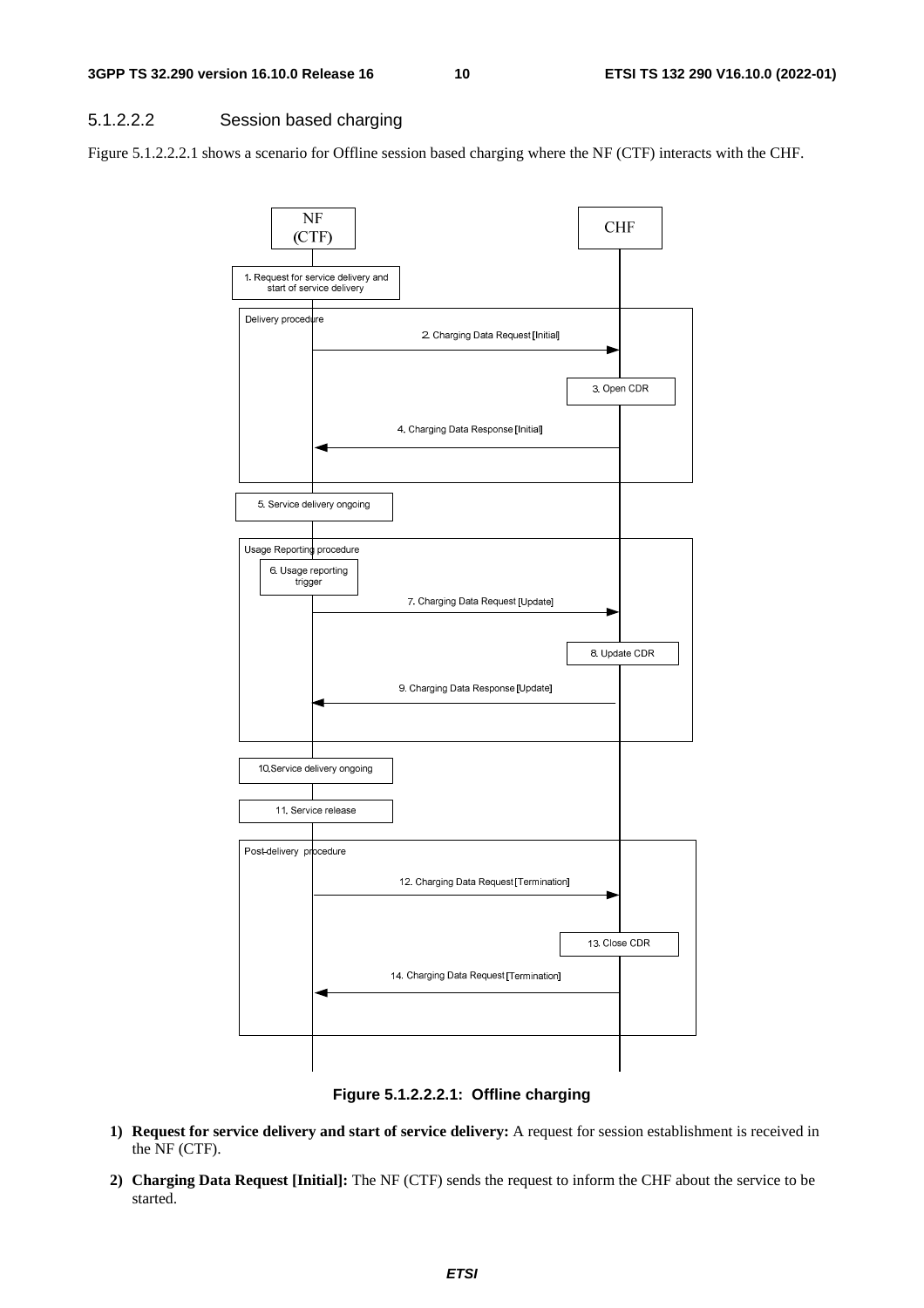#### 5.1.2.2.2 Session based charging

Figure 5.1.2.2.2.1 shows a scenario for Offline session based charging where the NF (CTF) interacts with the CHF.



**Figure 5.1.2.2.2.1: Offline charging** 

- **1) Request for service delivery and start of service delivery:** A request for session establishment is received in the NF (CTF).
- **2) Charging Data Request [Initial]:** The NF (CTF) sends the request to inform the CHF about the service to be started.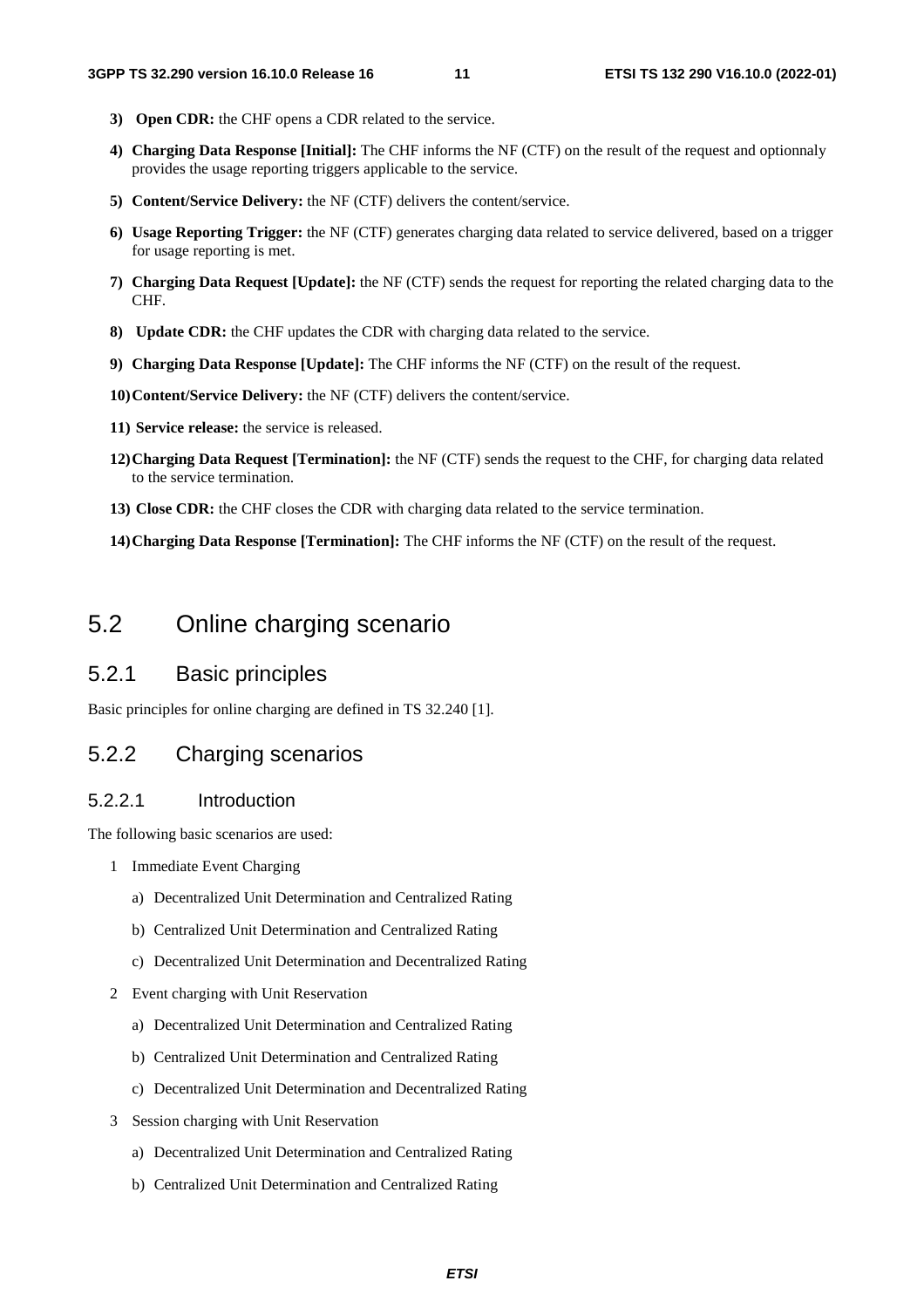- **3) Open CDR:** the CHF opens a CDR related to the service.
- **4) Charging Data Response [Initial]:** The CHF informs the NF (CTF) on the result of the request and optionnaly provides the usage reporting triggers applicable to the service.
- **5) Content/Service Delivery:** the NF (CTF) delivers the content/service.
- **6) Usage Reporting Trigger:** the NF (CTF) generates charging data related to service delivered, based on a trigger for usage reporting is met.
- **7) Charging Data Request [Update]:** the NF (CTF) sends the request for reporting the related charging data to the CHF.
- **8) Update CDR:** the CHF updates the CDR with charging data related to the service.
- **9) Charging Data Response [Update]:** The CHF informs the NF (CTF) on the result of the request.
- **10) Content/Service Delivery:** the NF (CTF) delivers the content/service.
- **11) Service release:** the service is released.
- **12) Charging Data Request [Termination]:** the NF (CTF) sends the request to the CHF, for charging data related to the service termination.
- **13) Close CDR:** the CHF closes the CDR with charging data related to the service termination.
- **14) Charging Data Response [Termination]:** The CHF informs the NF (CTF) on the result of the request.

# 5.2 Online charging scenario

#### 5.2.1 Basic principles

Basic principles for online charging are defined in TS 32.240 [1].

#### 5.2.2 Charging scenarios

#### 5.2.2.1 Introduction

The following basic scenarios are used:

- 1 Immediate Event Charging
	- a) Decentralized Unit Determination and Centralized Rating
	- b) Centralized Unit Determination and Centralized Rating
	- c) Decentralized Unit Determination and Decentralized Rating
- 2 Event charging with Unit Reservation
	- a) Decentralized Unit Determination and Centralized Rating
	- b) Centralized Unit Determination and Centralized Rating
	- c) Decentralized Unit Determination and Decentralized Rating
- 3 Session charging with Unit Reservation
	- a) Decentralized Unit Determination and Centralized Rating
	- b) Centralized Unit Determination and Centralized Rating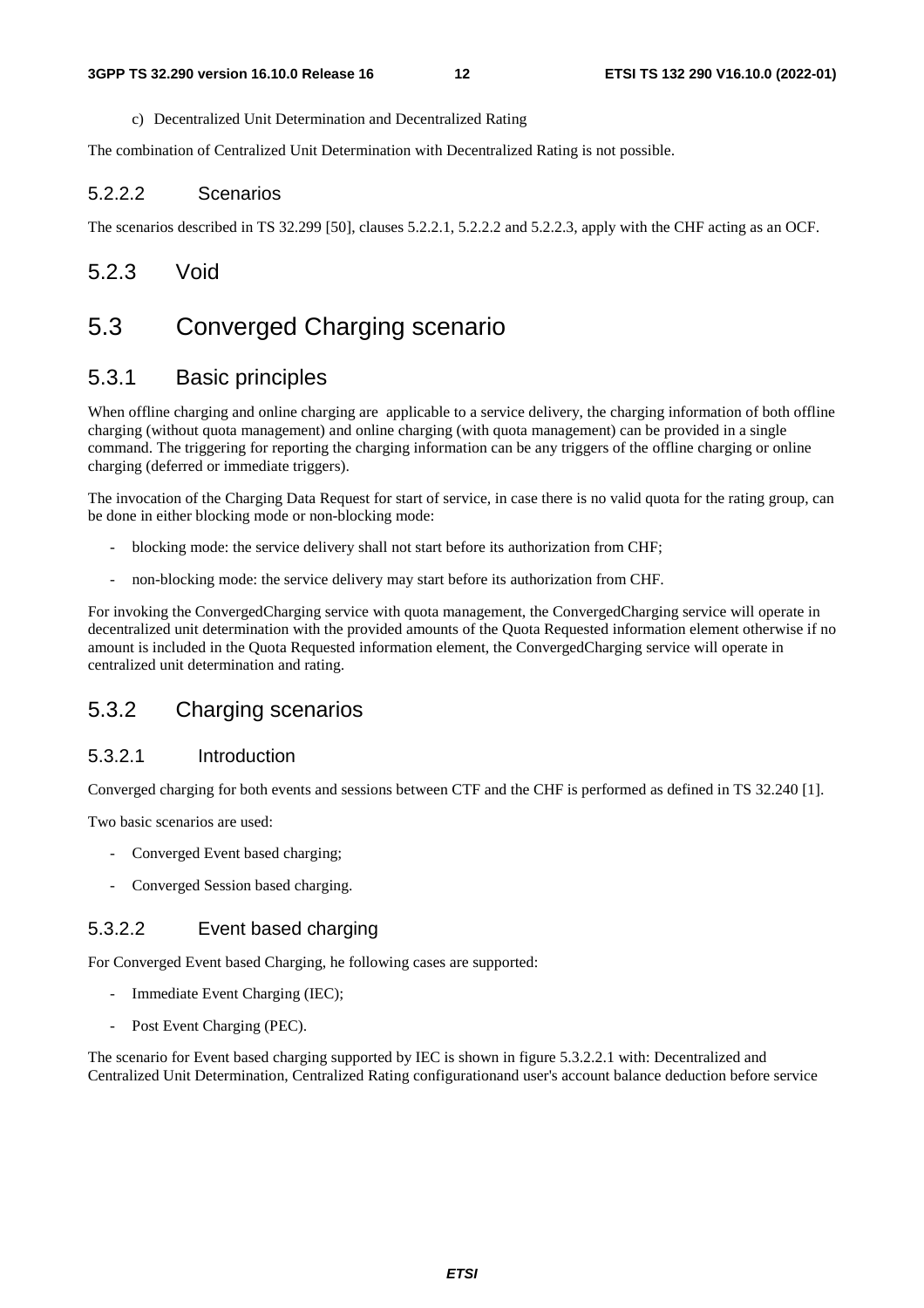c) Decentralized Unit Determination and Decentralized Rating

The combination of Centralized Unit Determination with Decentralized Rating is not possible.

#### 5.2.2.2 Scenarios

The scenarios described in TS 32.299 [50], clauses 5.2.2.1, 5.2.2.2 and 5.2.2.3, apply with the CHF acting as an OCF.

### 5.2.3 Void

# 5.3 Converged Charging scenario

#### 5.3.1 Basic principles

When offline charging and online charging are applicable to a service delivery, the charging information of both offline charging (without quota management) and online charging (with quota management) can be provided in a single command. The triggering for reporting the charging information can be any triggers of the offline charging or online charging (deferred or immediate triggers).

The invocation of the Charging Data Request for start of service, in case there is no valid quota for the rating group, can be done in either blocking mode or non-blocking mode:

- blocking mode: the service delivery shall not start before its authorization from CHF;
- non-blocking mode: the service delivery may start before its authorization from CHF.

For invoking the ConvergedCharging service with quota management, the ConvergedCharging service will operate in decentralized unit determination with the provided amounts of the Quota Requested information element otherwise if no amount is included in the Quota Requested information element, the ConvergedCharging service will operate in centralized unit determination and rating.

#### 5.3.2 Charging scenarios

#### 5.3.2.1 Introduction

Converged charging for both events and sessions between CTF and the CHF is performed as defined in TS 32.240 [1].

Two basic scenarios are used:

- Converged Event based charging;
- Converged Session based charging.

#### 5.3.2.2 Event based charging

For Converged Event based Charging, he following cases are supported:

- Immediate Event Charging (IEC);
- Post Event Charging (PEC).

The scenario for Event based charging supported by IEC is shown in figure 5.3.2.2.1 with: Decentralized and Centralized Unit Determination, Centralized Rating configurationand user's account balance deduction before service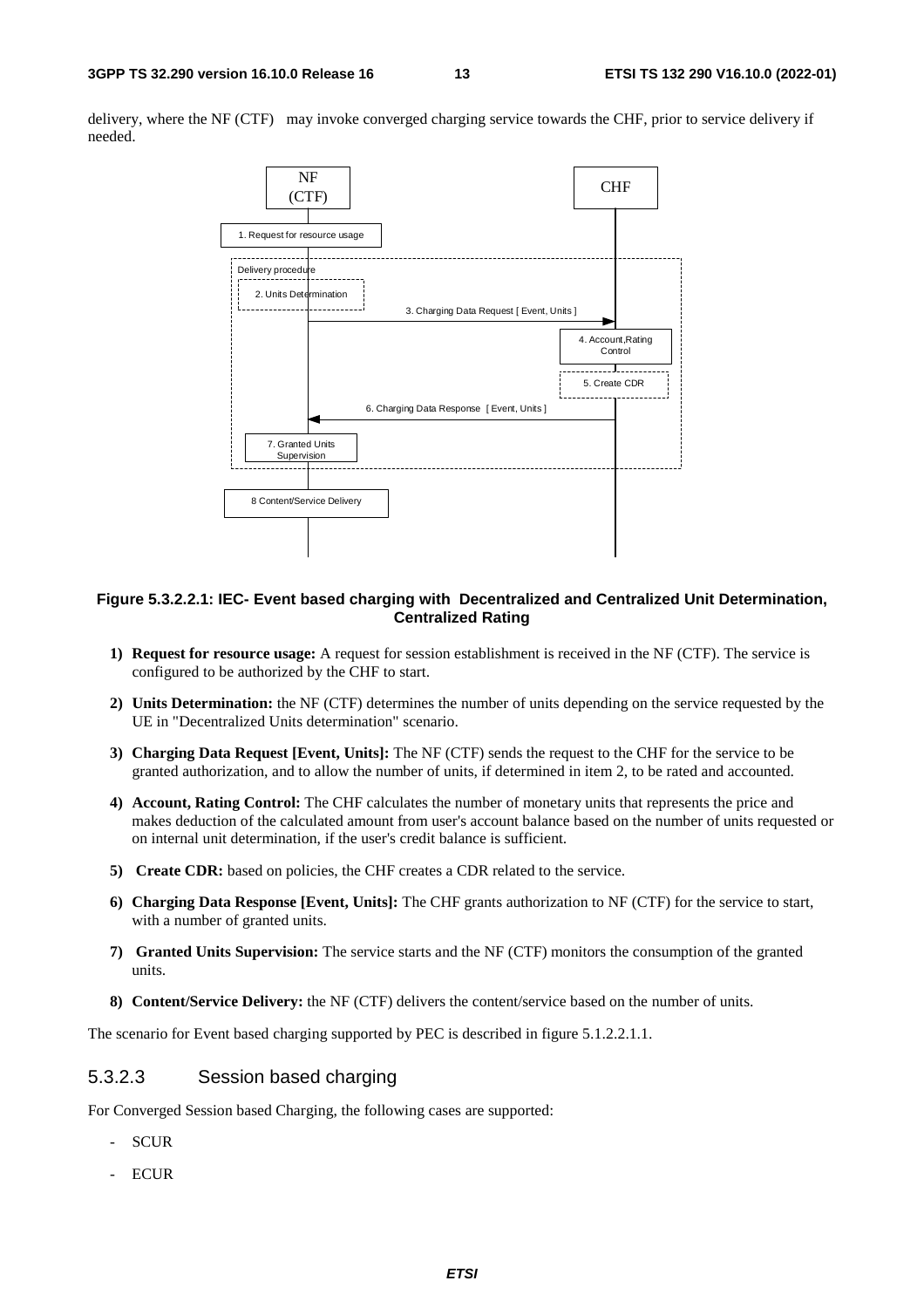delivery, where the NF (CTF) may invoke converged charging service towards the CHF, prior to service delivery if needed.



#### **Figure 5.3.2.2.1: IEC- Event based charging with Decentralized and Centralized Unit Determination, Centralized Rating**

- **1) Request for resource usage:** A request for session establishment is received in the NF (CTF). The service is configured to be authorized by the CHF to start.
- **2) Units Determination:** the NF (CTF) determines the number of units depending on the service requested by the UE in "Decentralized Units determination" scenario.
- **3) Charging Data Request [Event, Units]:** The NF (CTF) sends the request to the CHF for the service to be granted authorization, and to allow the number of units, if determined in item 2, to be rated and accounted.
- **4) Account, Rating Control:** The CHF calculates the number of monetary units that represents the price and makes deduction of the calculated amount from user's account balance based on the number of units requested or on internal unit determination, if the user's credit balance is sufficient.
- **5) Create CDR:** based on policies, the CHF creates a CDR related to the service.
- **6) Charging Data Response [Event, Units]:** The CHF grants authorization to NF (CTF) for the service to start, with a number of granted units.
- **7) Granted Units Supervision:** The service starts and the NF (CTF) monitors the consumption of the granted units.
- **8) Content/Service Delivery:** the NF (CTF) delivers the content/service based on the number of units.

The scenario for Event based charging supported by PEC is described in figure 5.1.2.2.1.1.

#### 5.3.2.3 Session based charging

For Converged Session based Charging, the following cases are supported:

- **SCUR**
- ECUR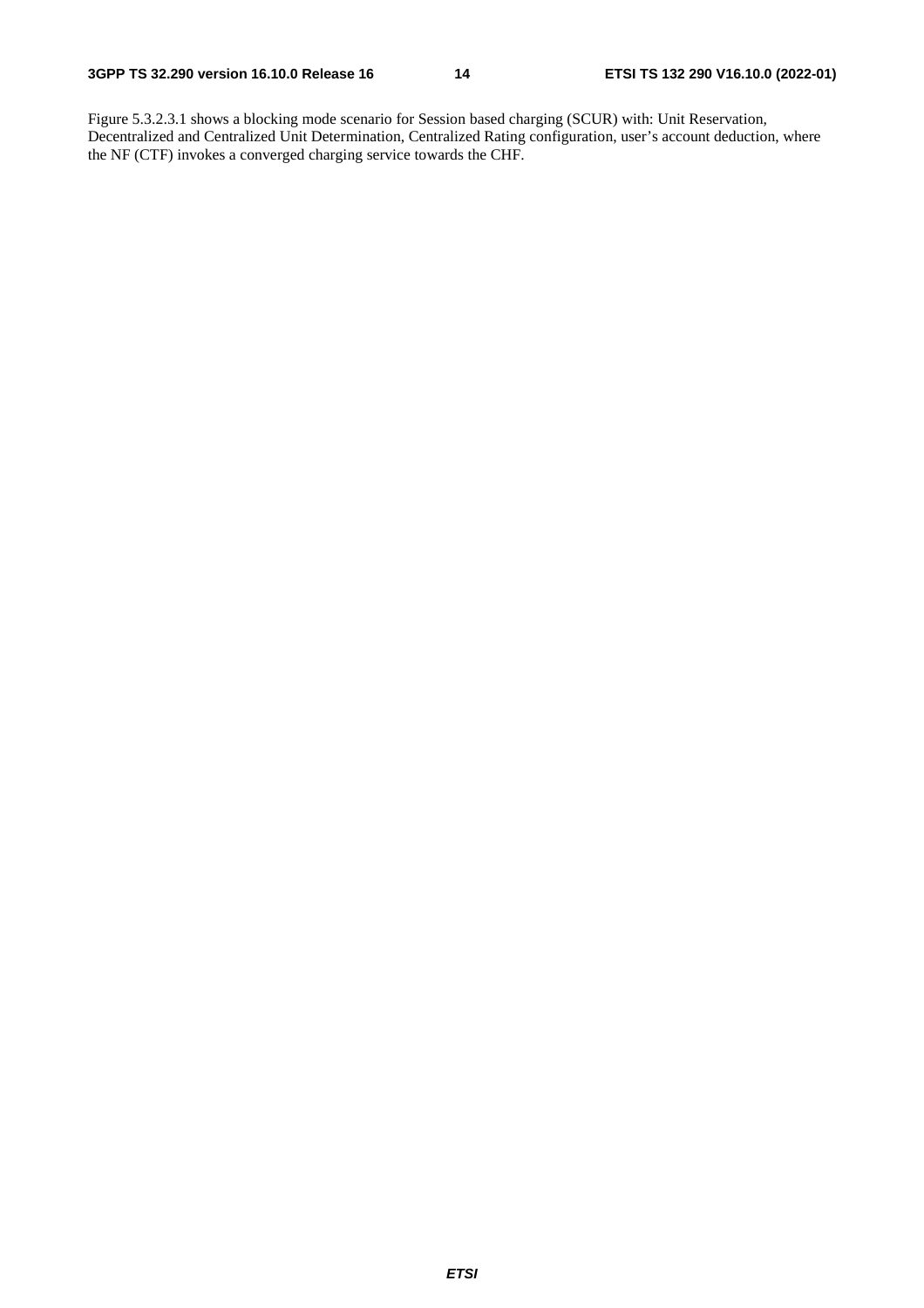Figure 5.3.2.3.1 shows a blocking mode scenario for Session based charging (SCUR) with: Unit Reservation, Decentralized and Centralized Unit Determination, Centralized Rating configuration, user's account deduction, where the NF (CTF) invokes a converged charging service towards the CHF.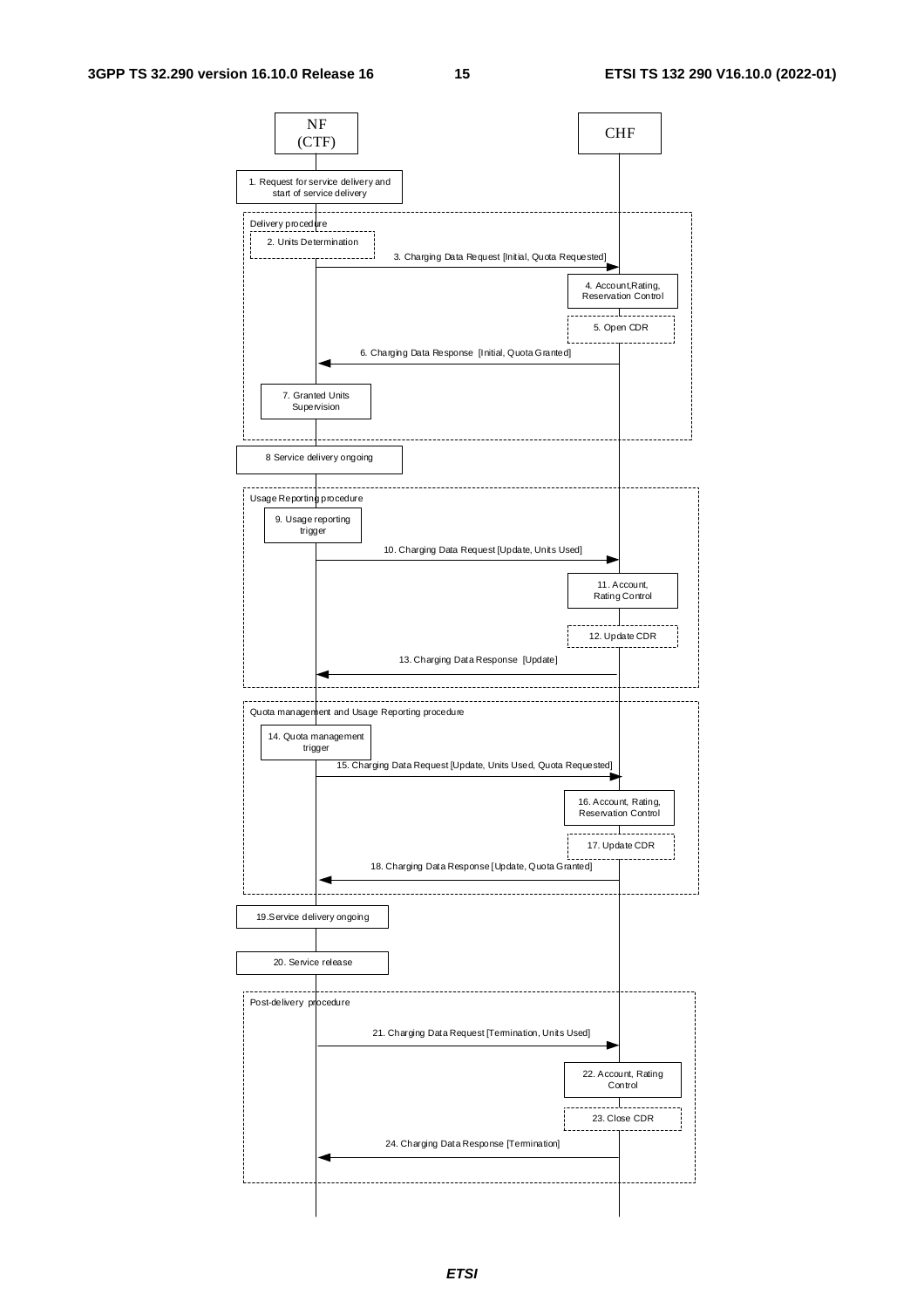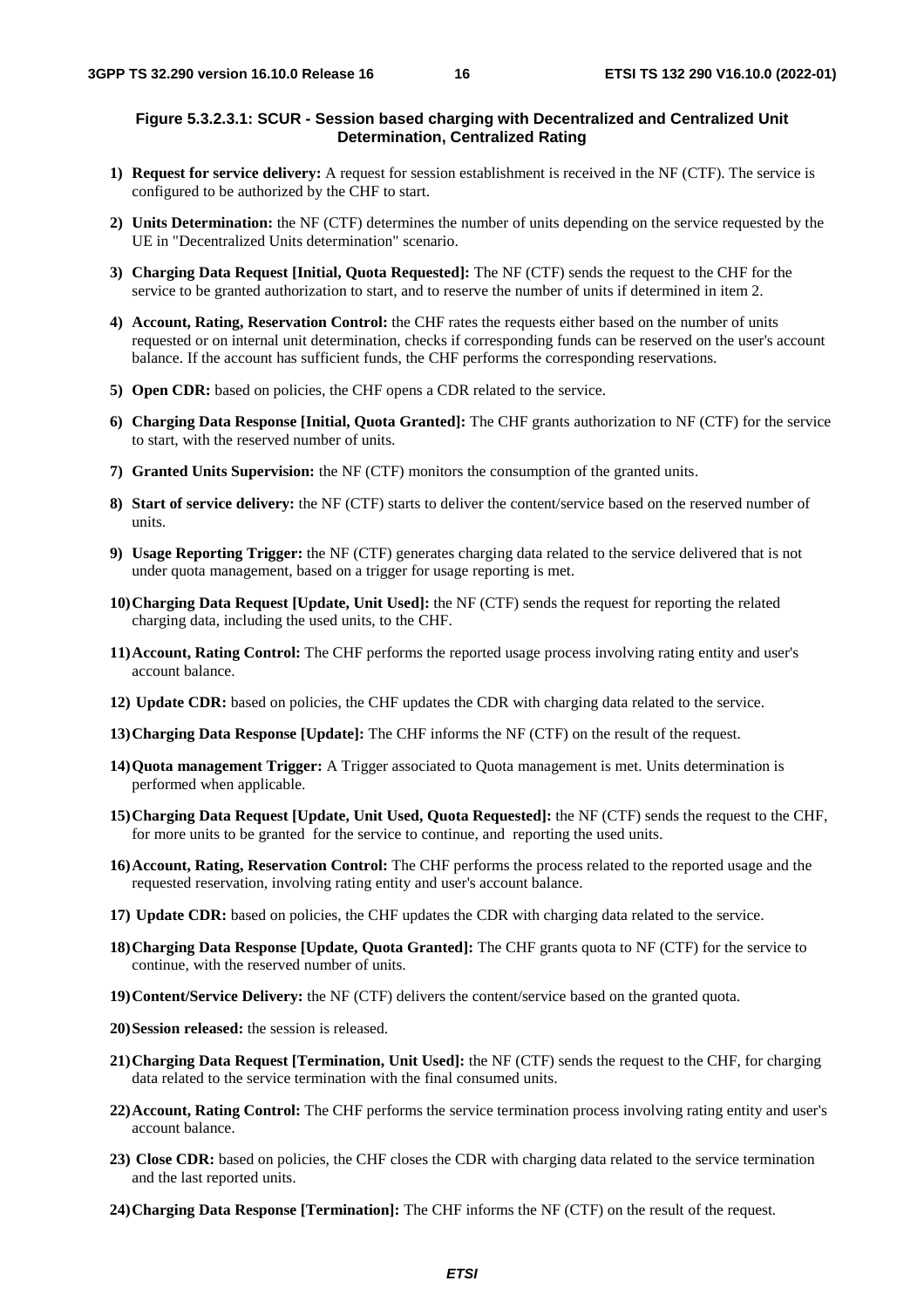#### **Figure 5.3.2.3.1: SCUR - Session based charging with Decentralized and Centralized Unit Determination, Centralized Rating**

- **1) Request for service delivery:** A request for session establishment is received in the NF (CTF). The service is configured to be authorized by the CHF to start.
- **2) Units Determination:** the NF (CTF) determines the number of units depending on the service requested by the UE in "Decentralized Units determination" scenario.
- **3) Charging Data Request [Initial, Quota Requested]:** The NF (CTF) sends the request to the CHF for the service to be granted authorization to start, and to reserve the number of units if determined in item 2.
- **4) Account, Rating, Reservation Control:** the CHF rates the requests either based on the number of units requested or on internal unit determination, checks if corresponding funds can be reserved on the user's account balance. If the account has sufficient funds, the CHF performs the corresponding reservations.
- **5) Open CDR:** based on policies, the CHF opens a CDR related to the service.
- **6) Charging Data Response [Initial, Quota Granted]:** The CHF grants authorization to NF (CTF) for the service to start, with the reserved number of units.
- **7) Granted Units Supervision:** the NF (CTF) monitors the consumption of the granted units.
- **8) Start of service delivery:** the NF (CTF) starts to deliver the content/service based on the reserved number of units.
- **9) Usage Reporting Trigger:** the NF (CTF) generates charging data related to the service delivered that is not under quota management, based on a trigger for usage reporting is met.
- **10) Charging Data Request [Update, Unit Used]:** the NF (CTF) sends the request for reporting the related charging data, including the used units, to the CHF.
- **11) Account, Rating Control:** The CHF performs the reported usage process involving rating entity and user's account balance.
- **12) Update CDR:** based on policies, the CHF updates the CDR with charging data related to the service.
- **13) Charging Data Response [Update]:** The CHF informs the NF (CTF) on the result of the request.
- **14) Quota management Trigger:** A Trigger associated to Quota management is met. Units determination is performed when applicable.
- **15) Charging Data Request [Update, Unit Used, Quota Requested]:** the NF (CTF) sends the request to the CHF, for more units to be granted for the service to continue, and reporting the used units.
- **16) Account, Rating, Reservation Control:** The CHF performs the process related to the reported usage and the requested reservation, involving rating entity and user's account balance.
- **17) Update CDR:** based on policies, the CHF updates the CDR with charging data related to the service.
- **18) Charging Data Response [Update, Quota Granted]:** The CHF grants quota to NF (CTF) for the service to continue, with the reserved number of units.
- **19) Content/Service Delivery:** the NF (CTF) delivers the content/service based on the granted quota.
- **20) Session released:** the session is released.
- **21) Charging Data Request [Termination, Unit Used]:** the NF (CTF) sends the request to the CHF, for charging data related to the service termination with the final consumed units.
- **22) Account, Rating Control:** The CHF performs the service termination process involving rating entity and user's account balance.
- **23) Close CDR:** based on policies, the CHF closes the CDR with charging data related to the service termination and the last reported units.
- **24) Charging Data Response [Termination]:** The CHF informs the NF (CTF) on the result of the request.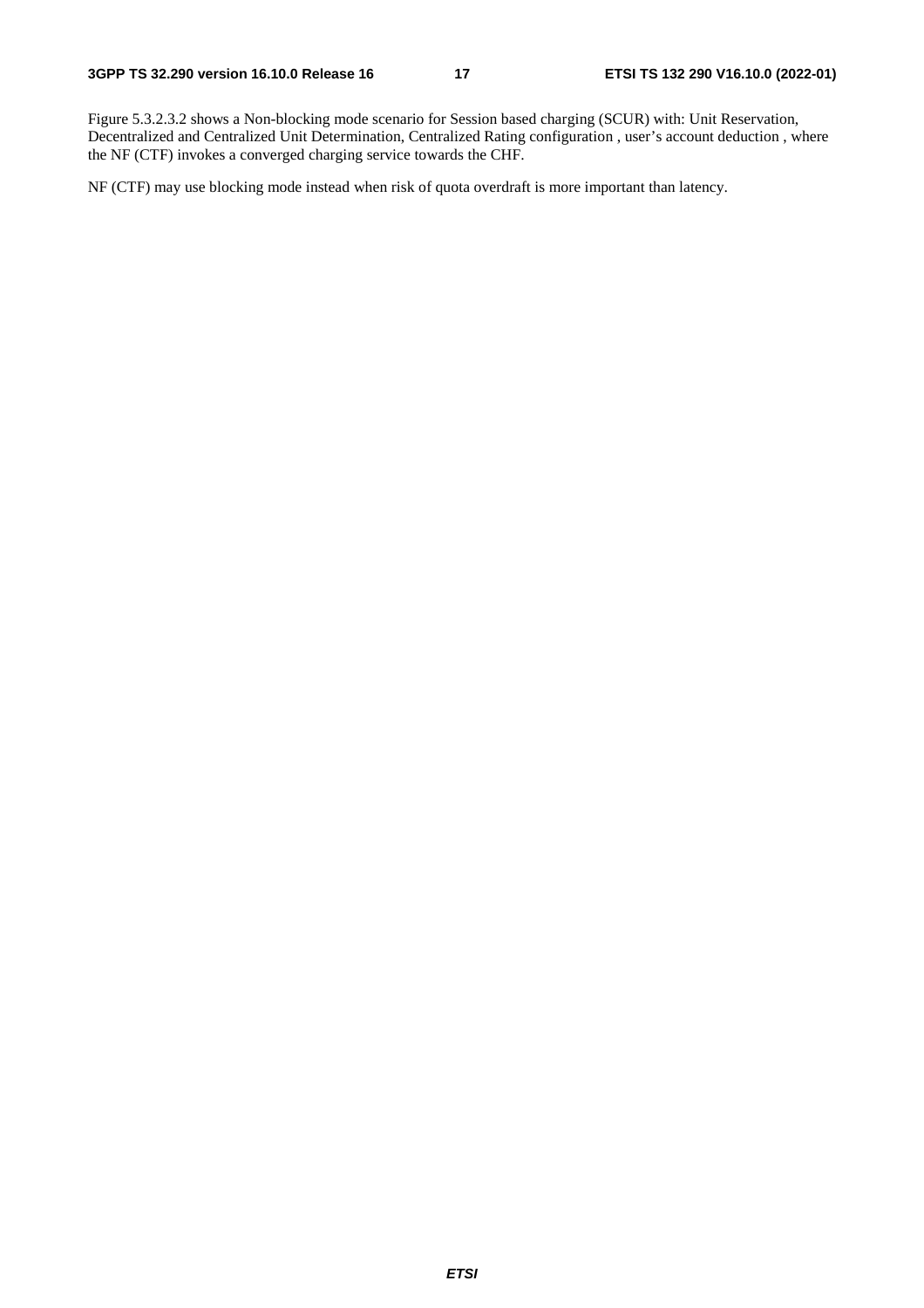Figure 5.3.2.3.2 shows a Non-blocking mode scenario for Session based charging (SCUR) with: Unit Reservation, Decentralized and Centralized Unit Determination, Centralized Rating configuration , user's account deduction , where the NF (CTF) invokes a converged charging service towards the CHF.

NF (CTF) may use blocking mode instead when risk of quota overdraft is more important than latency.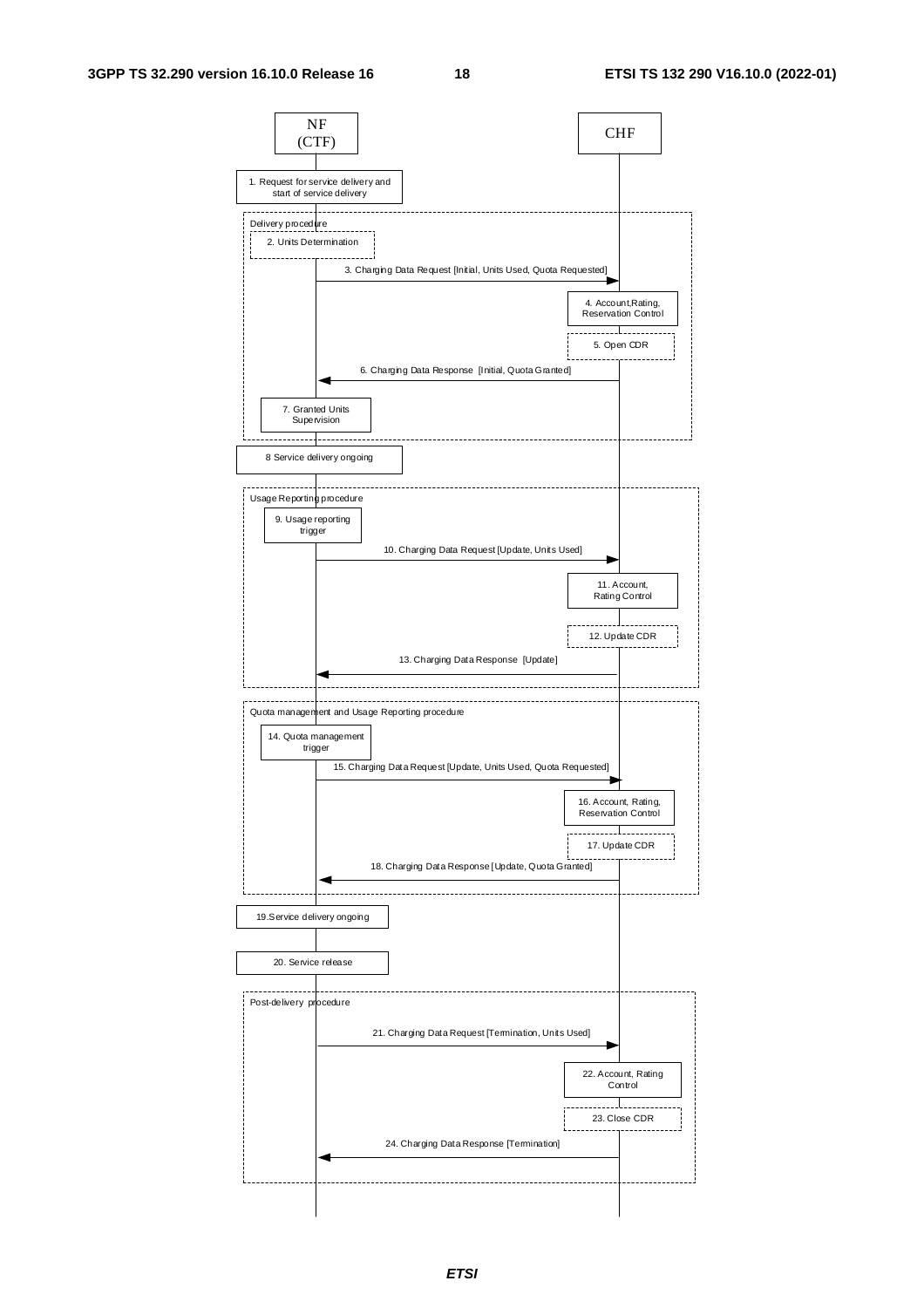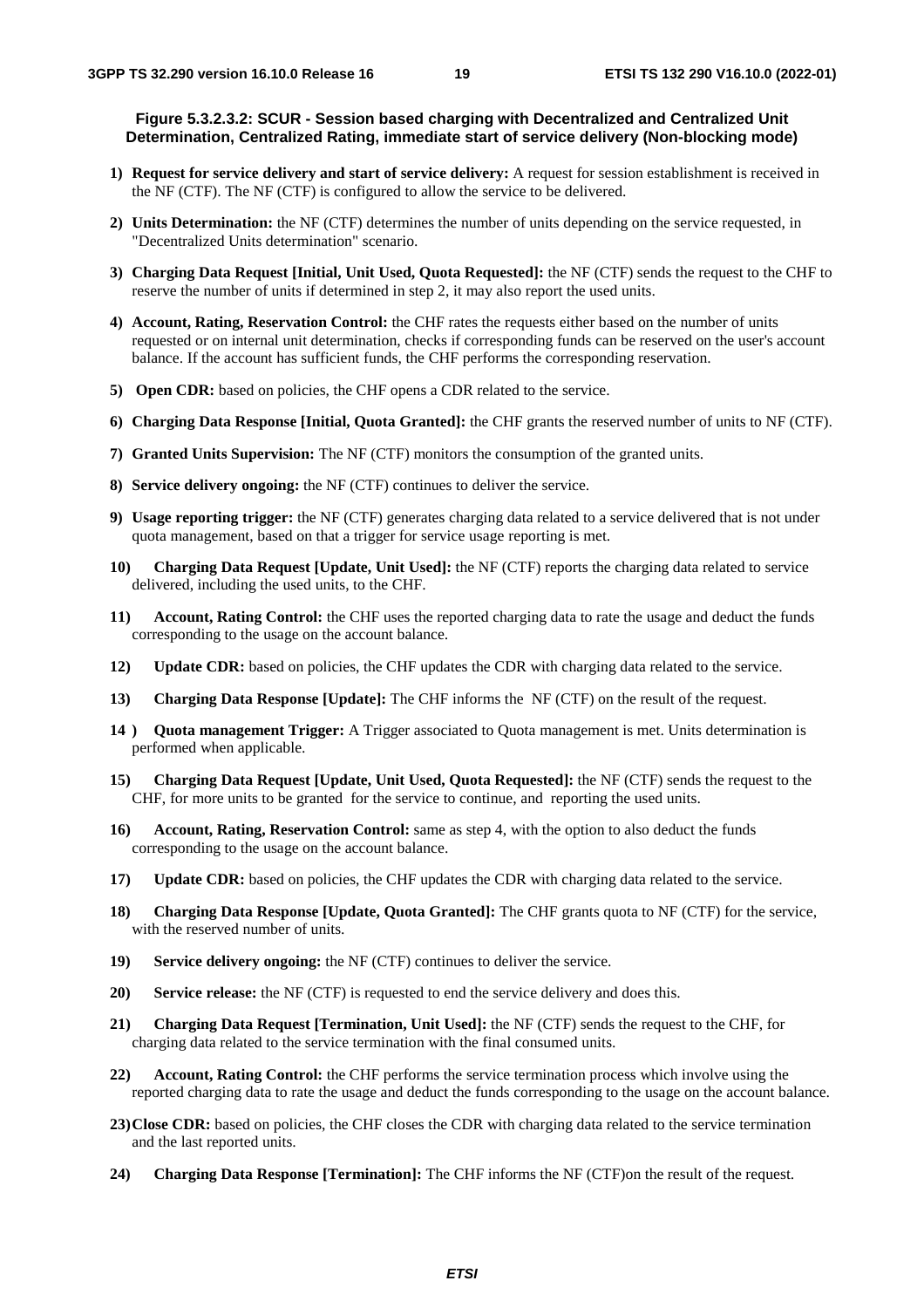#### **Figure 5.3.2.3.2: SCUR - Session based charging with Decentralized and Centralized Unit Determination, Centralized Rating, immediate start of service delivery (Non-blocking mode)**

- **1) Request for service delivery and start of service delivery:** A request for session establishment is received in the NF (CTF). The NF (CTF) is configured to allow the service to be delivered.
- **2) Units Determination:** the NF (CTF) determines the number of units depending on the service requested, in "Decentralized Units determination" scenario.
- **3) Charging Data Request [Initial, Unit Used, Quota Requested]:** the NF (CTF) sends the request to the CHF to reserve the number of units if determined in step 2, it may also report the used units.
- **4) Account, Rating, Reservation Control:** the CHF rates the requests either based on the number of units requested or on internal unit determination, checks if corresponding funds can be reserved on the user's account balance. If the account has sufficient funds, the CHF performs the corresponding reservation.
- **5) Open CDR:** based on policies, the CHF opens a CDR related to the service.
- **6) Charging Data Response [Initial, Quota Granted]:** the CHF grants the reserved number of units to NF (CTF).
- **7) Granted Units Supervision:** The NF (CTF) monitors the consumption of the granted units.
- **8) Service delivery ongoing:** the NF (CTF) continues to deliver the service.
- **9) Usage reporting trigger:** the NF (CTF) generates charging data related to a service delivered that is not under quota management, based on that a trigger for service usage reporting is met.
- **10) Charging Data Request [Update, Unit Used]:** the NF (CTF) reports the charging data related to service delivered, including the used units, to the CHF.
- **11) Account, Rating Control:** the CHF uses the reported charging data to rate the usage and deduct the funds corresponding to the usage on the account balance.
- **12) Update CDR:** based on policies, the CHF updates the CDR with charging data related to the service.
- **13) Charging Data Response [Update]:** The CHF informs the NF (CTF) on the result of the request.
- **14 ) Quota management Trigger:** A Trigger associated to Quota management is met. Units determination is performed when applicable.
- **15) Charging Data Request [Update, Unit Used, Quota Requested]:** the NF (CTF) sends the request to the CHF, for more units to be granted for the service to continue, and reporting the used units.
- **16) Account, Rating, Reservation Control:** same as step 4, with the option to also deduct the funds corresponding to the usage on the account balance.
- **17) Update CDR:** based on policies, the CHF updates the CDR with charging data related to the service.
- **18) Charging Data Response [Update, Quota Granted]:** The CHF grants quota to NF (CTF) for the service, with the reserved number of units.
- **19) Service delivery ongoing:** the NF (CTF) continues to deliver the service.
- **20) Service release:** the NF (CTF) is requested to end the service delivery and does this.
- **21) Charging Data Request [Termination, Unit Used]:** the NF (CTF) sends the request to the CHF, for charging data related to the service termination with the final consumed units.
- **22) Account, Rating Control:** the CHF performs the service termination process which involve using the reported charging data to rate the usage and deduct the funds corresponding to the usage on the account balance.
- **23) Close CDR:** based on policies, the CHF closes the CDR with charging data related to the service termination and the last reported units.
- **24) Charging Data Response [Termination]:** The CHF informs the NF (CTF)on the result of the request.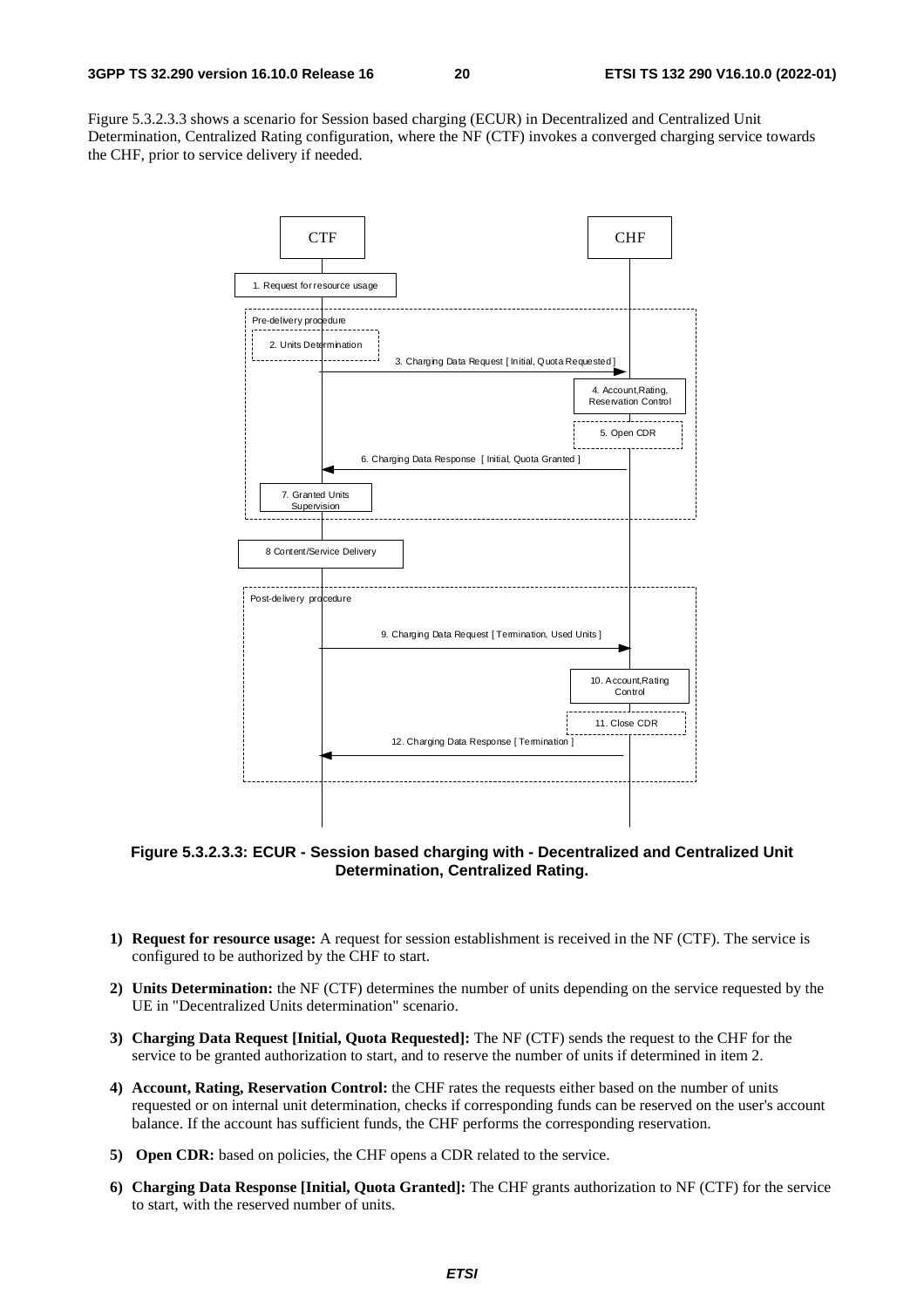Figure 5.3.2.3.3 shows a scenario for Session based charging (ECUR) in Decentralized and Centralized Unit Determination, Centralized Rating configuration, where the NF (CTF) invokes a converged charging service towards the CHF, prior to service delivery if needed.



**Figure 5.3.2.3.3: ECUR - Session based charging with - Decentralized and Centralized Unit Determination, Centralized Rating.** 

- **1) Request for resource usage:** A request for session establishment is received in the NF (CTF). The service is configured to be authorized by the CHF to start.
- **2) Units Determination:** the NF (CTF) determines the number of units depending on the service requested by the UE in "Decentralized Units determination" scenario.
- **3) Charging Data Request [Initial, Quota Requested]:** The NF (CTF) sends the request to the CHF for the service to be granted authorization to start, and to reserve the number of units if determined in item 2.
- **4) Account, Rating, Reservation Control:** the CHF rates the requests either based on the number of units requested or on internal unit determination, checks if corresponding funds can be reserved on the user's account balance. If the account has sufficient funds, the CHF performs the corresponding reservation.
- **5)** Open CDR: based on policies, the CHF opens a CDR related to the service.
- **6) Charging Data Response [Initial, Quota Granted]:** The CHF grants authorization to NF (CTF) for the service to start, with the reserved number of units.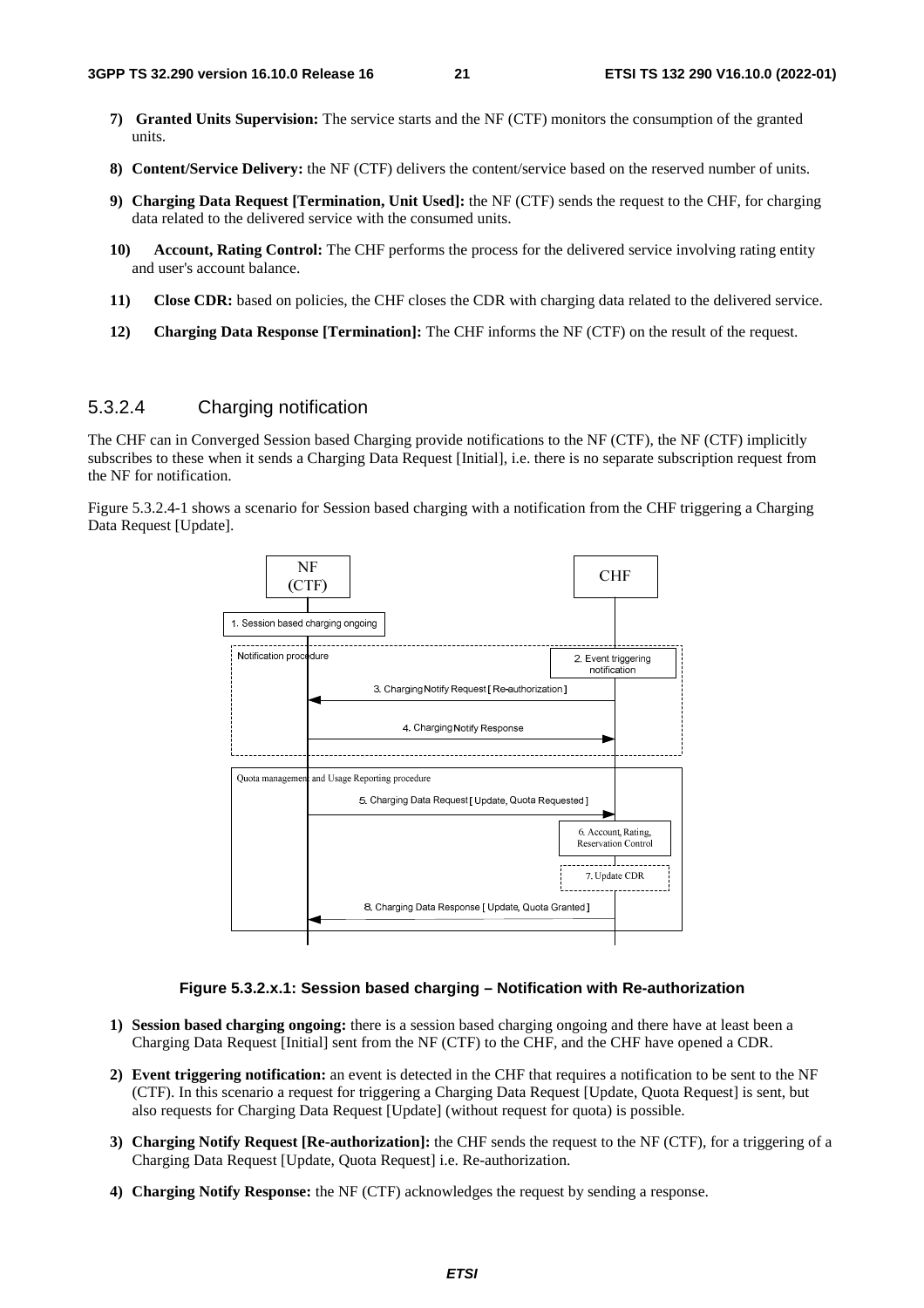- **7) Granted Units Supervision:** The service starts and the NF (CTF) monitors the consumption of the granted units.
- **8) Content/Service Delivery:** the NF (CTF) delivers the content/service based on the reserved number of units.
- **9) Charging Data Request [Termination, Unit Used]:** the NF (CTF) sends the request to the CHF, for charging data related to the delivered service with the consumed units.
- **10) Account, Rating Control:** The CHF performs the process for the delivered service involving rating entity and user's account balance.
- **11)** Close CDR: based on policies, the CHF closes the CDR with charging data related to the delivered service.
- **12) Charging Data Response [Termination]:** The CHF informs the NF (CTF) on the result of the request.

#### 5.3.2.4 Charging notification

The CHF can in Converged Session based Charging provide notifications to the NF (CTF), the NF (CTF) implicitly subscribes to these when it sends a Charging Data Request [Initial], i.e. there is no separate subscription request from the NF for notification.

Figure 5.3.2.4-1 shows a scenario for Session based charging with a notification from the CHF triggering a Charging Data Request [Update].



#### **Figure 5.3.2.x.1: Session based charging – Notification with Re-authorization**

- **1) Session based charging ongoing:** there is a session based charging ongoing and there have at least been a Charging Data Request [Initial] sent from the NF (CTF) to the CHF, and the CHF have opened a CDR.
- **2) Event triggering notification:** an event is detected in the CHF that requires a notification to be sent to the NF (CTF). In this scenario a request for triggering a Charging Data Request [Update, Quota Request] is sent, but also requests for Charging Data Request [Update] (without request for quota) is possible.
- **3) Charging Notify Request [Re-authorization]:** the CHF sends the request to the NF (CTF), for a triggering of a Charging Data Request [Update, Quota Request] i.e. Re-authorization.
- **4) Charging Notify Response:** the NF (CTF) acknowledges the request by sending a response.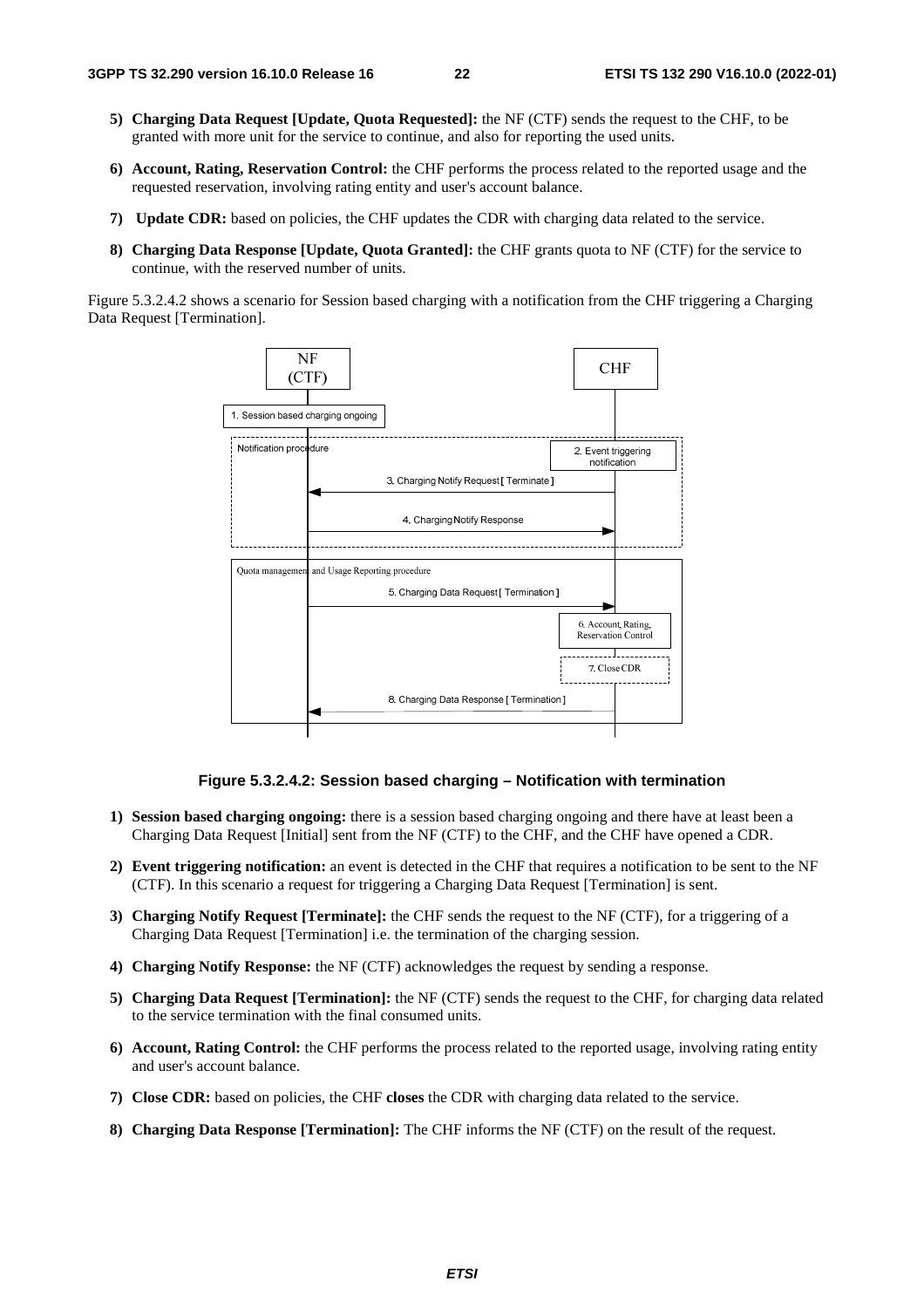- **5) Charging Data Request [Update, Quota Requested]:** the NF (CTF) sends the request to the CHF, to be granted with more unit for the service to continue, and also for reporting the used units.
- **6) Account, Rating, Reservation Control:** the CHF performs the process related to the reported usage and the requested reservation, involving rating entity and user's account balance.
- **7) Update CDR:** based on policies, the CHF updates the CDR with charging data related to the service.
- **8) Charging Data Response [Update, Quota Granted]:** the CHF grants quota to NF (CTF) for the service to continue, with the reserved number of units.

Figure 5.3.2.4.2 shows a scenario for Session based charging with a notification from the CHF triggering a Charging Data Request [Termination].



#### **Figure 5.3.2.4.2: Session based charging – Notification with termination**

- **1) Session based charging ongoing:** there is a session based charging ongoing and there have at least been a Charging Data Request [Initial] sent from the NF (CTF) to the CHF, and the CHF have opened a CDR.
- **2) Event triggering notification:** an event is detected in the CHF that requires a notification to be sent to the NF (CTF). In this scenario a request for triggering a Charging Data Request [Termination] is sent.
- **3) Charging Notify Request [Terminate]:** the CHF sends the request to the NF (CTF), for a triggering of a Charging Data Request [Termination] i.e. the termination of the charging session.
- **4) Charging Notify Response:** the NF (CTF) acknowledges the request by sending a response.
- **5) Charging Data Request [Termination]:** the NF (CTF) sends the request to the CHF, for charging data related to the service termination with the final consumed units.
- **6) Account, Rating Control:** the CHF performs the process related to the reported usage, involving rating entity and user's account balance.
- **7) Close CDR:** based on policies, the CHF **closes** the CDR with charging data related to the service.
- **8) Charging Data Response [Termination]:** The CHF informs the NF (CTF) on the result of the request.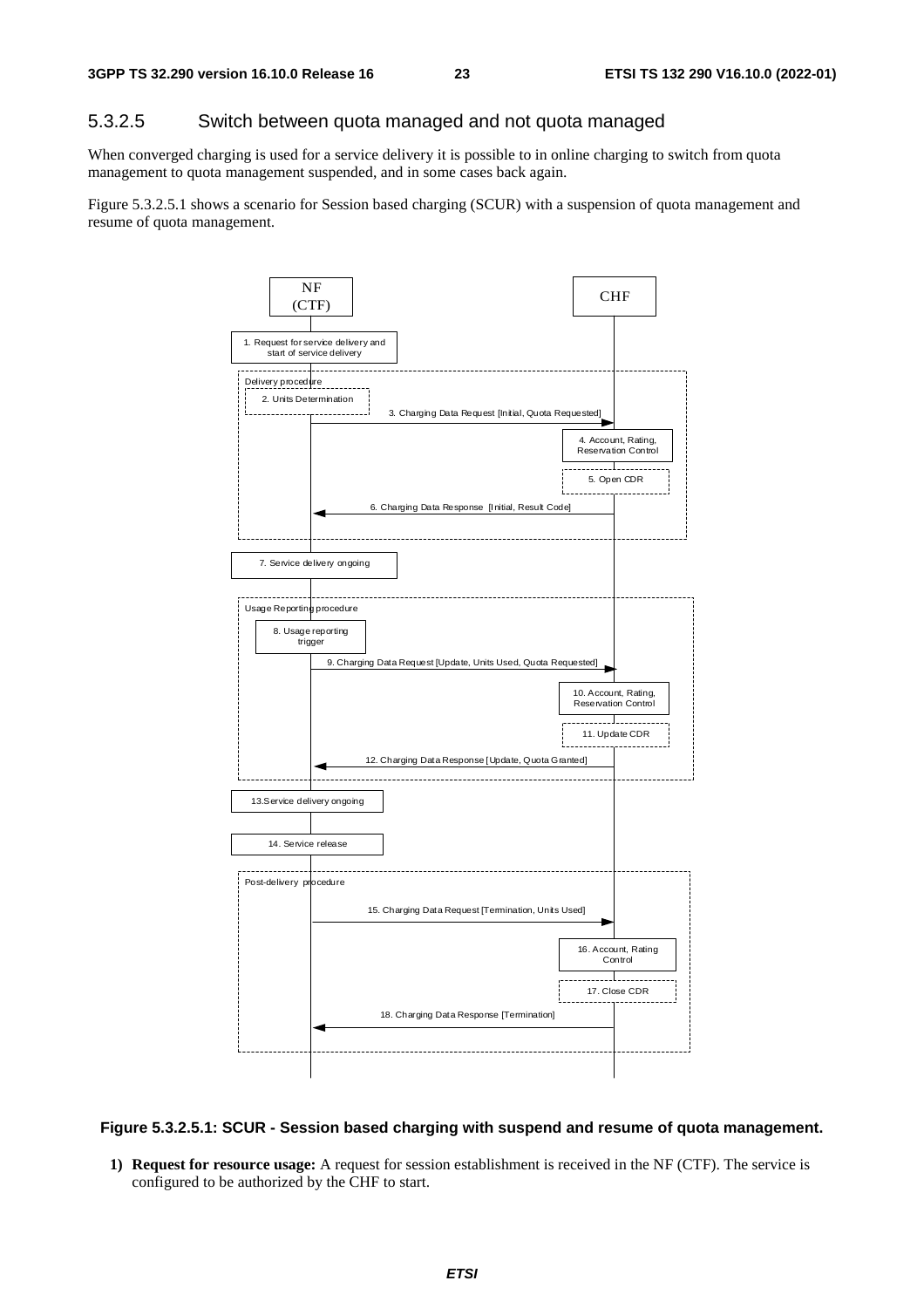#### 5.3.2.5 Switch between quota managed and not quota managed

When converged charging is used for a service delivery it is possible to in online charging to switch from quota management to quota management suspended, and in some cases back again.

Figure 5.3.2.5.1 shows a scenario for Session based charging (SCUR) with a suspension of quota management and resume of quota management.



#### **Figure 5.3.2.5.1: SCUR - Session based charging with suspend and resume of quota management.**

**1) Request for resource usage:** A request for session establishment is received in the NF (CTF). The service is configured to be authorized by the CHF to start.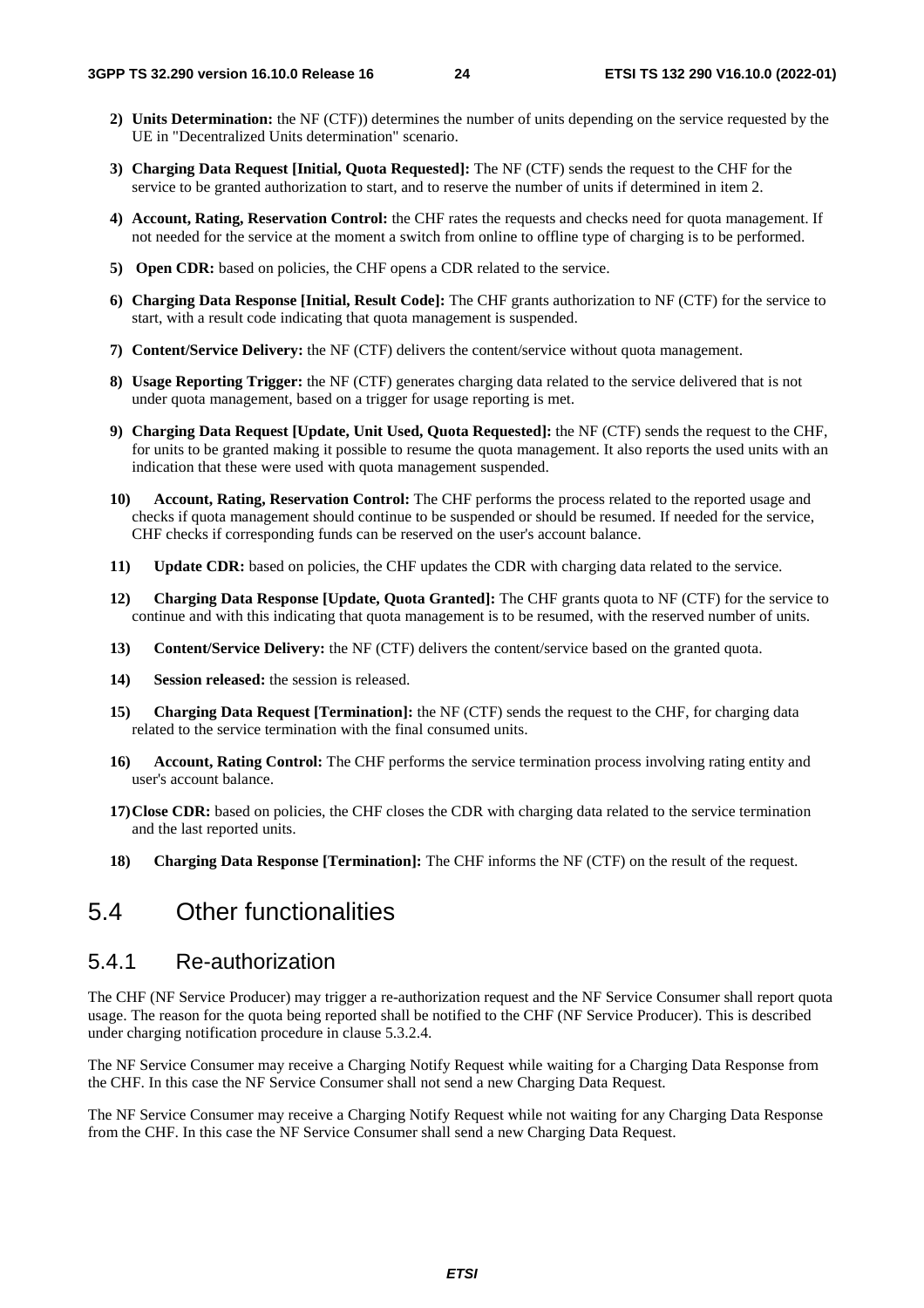- **2) Units Determination:** the NF (CTF)) determines the number of units depending on the service requested by the UE in "Decentralized Units determination" scenario.
- **3) Charging Data Request [Initial, Quota Requested]:** The NF (CTF) sends the request to the CHF for the service to be granted authorization to start, and to reserve the number of units if determined in item 2.
- **4) Account, Rating, Reservation Control:** the CHF rates the requests and checks need for quota management. If not needed for the service at the moment a switch from online to offline type of charging is to be performed.
- **5)** Open CDR: based on policies, the CHF opens a CDR related to the service.
- **6) Charging Data Response [Initial, Result Code]:** The CHF grants authorization to NF (CTF) for the service to start, with a result code indicating that quota management is suspended.
- **7) Content/Service Delivery:** the NF (CTF) delivers the content/service without quota management.
- **8) Usage Reporting Trigger:** the NF (CTF) generates charging data related to the service delivered that is not under quota management, based on a trigger for usage reporting is met.
- **9) Charging Data Request [Update, Unit Used, Quota Requested]:** the NF (CTF) sends the request to the CHF, for units to be granted making it possible to resume the quota management. It also reports the used units with an indication that these were used with quota management suspended.
- **10) Account, Rating, Reservation Control:** The CHF performs the process related to the reported usage and checks if quota management should continue to be suspended or should be resumed. If needed for the service, CHF checks if corresponding funds can be reserved on the user's account balance.
- **11)** Update CDR: based on policies, the CHF updates the CDR with charging data related to the service.
- **12) Charging Data Response [Update, Quota Granted]:** The CHF grants quota to NF (CTF) for the service to continue and with this indicating that quota management is to be resumed, with the reserved number of units.
- **13) Content/Service Delivery:** the NF (CTF) delivers the content/service based on the granted quota.
- **14) Session released:** the session is released.
- **15) Charging Data Request [Termination]:** the NF (CTF) sends the request to the CHF, for charging data related to the service termination with the final consumed units.
- **16) Account, Rating Control:** The CHF performs the service termination process involving rating entity and user's account balance.
- **17) Close CDR:** based on policies, the CHF closes the CDR with charging data related to the service termination and the last reported units.
- **18) Charging Data Response [Termination]:** The CHF informs the NF (CTF) on the result of the request.

### 5.4 Other functionalities

### 5.4.1 Re-authorization

The CHF (NF Service Producer) may trigger a re-authorization request and the NF Service Consumer shall report quota usage. The reason for the quota being reported shall be notified to the CHF (NF Service Producer). This is described under charging notification procedure in clause 5.3.2.4.

The NF Service Consumer may receive a Charging Notify Request while waiting for a Charging Data Response from the CHF. In this case the NF Service Consumer shall not send a new Charging Data Request.

The NF Service Consumer may receive a Charging Notify Request while not waiting for any Charging Data Response from the CHF. In this case the NF Service Consumer shall send a new Charging Data Request.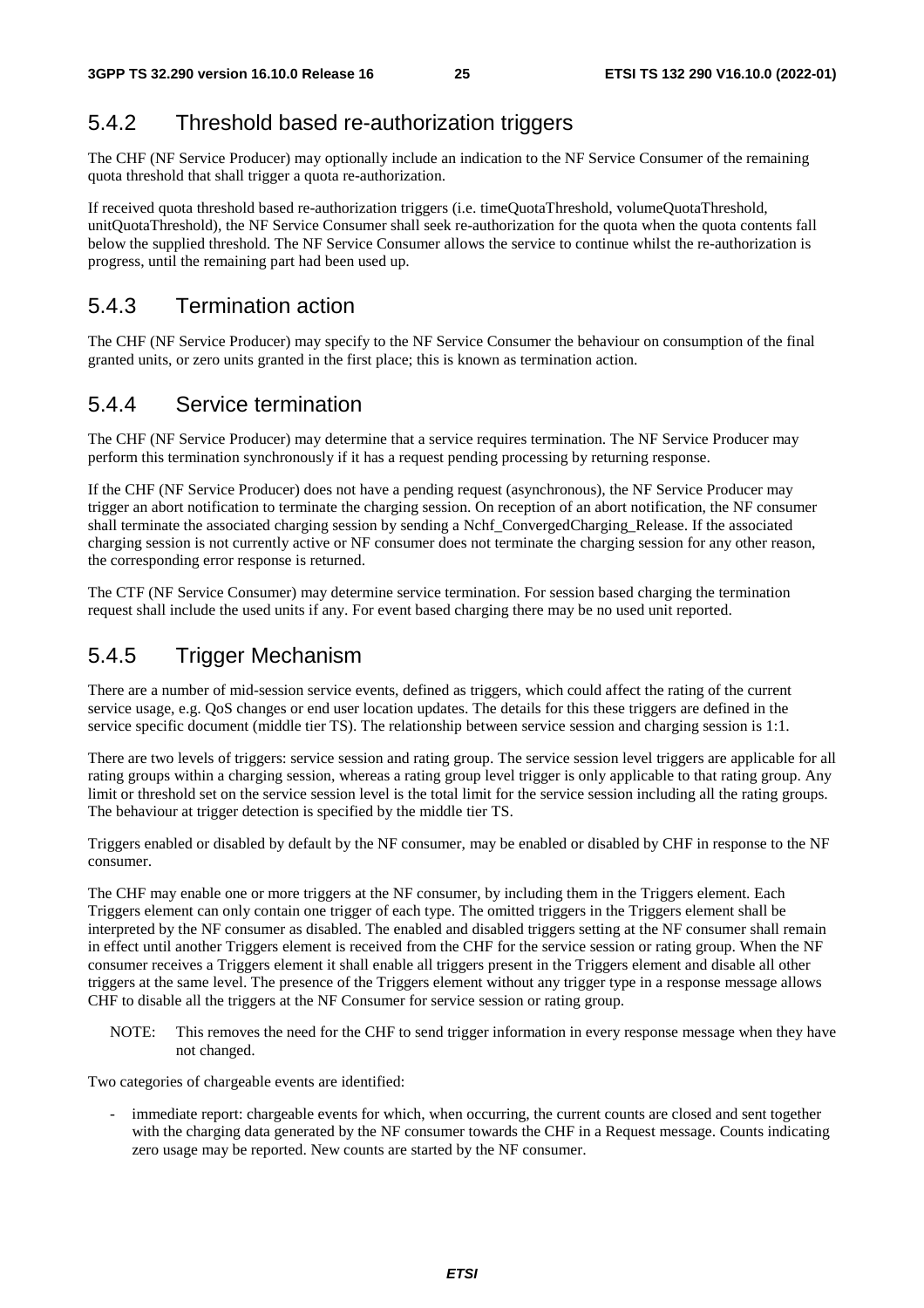# 5.4.2 Threshold based re-authorization triggers

The CHF (NF Service Producer) may optionally include an indication to the NF Service Consumer of the remaining quota threshold that shall trigger a quota re-authorization.

If received quota threshold based re-authorization triggers (i.e. timeQuotaThreshold, volumeQuotaThreshold, unitQuotaThreshold), the NF Service Consumer shall seek re-authorization for the quota when the quota contents fall below the supplied threshold. The NF Service Consumer allows the service to continue whilst the re-authorization is progress, until the remaining part had been used up.

### 5.4.3 Termination action

The CHF (NF Service Producer) may specify to the NF Service Consumer the behaviour on consumption of the final granted units, or zero units granted in the first place; this is known as termination action.

### 5.4.4 Service termination

The CHF (NF Service Producer) may determine that a service requires termination. The NF Service Producer may perform this termination synchronously if it has a request pending processing by returning response.

If the CHF (NF Service Producer) does not have a pending request (asynchronous), the NF Service Producer may trigger an abort notification to terminate the charging session. On reception of an abort notification, the NF consumer shall terminate the associated charging session by sending a Nchf\_ConvergedCharging\_Release. If the associated charging session is not currently active or NF consumer does not terminate the charging session for any other reason, the corresponding error response is returned.

The CTF (NF Service Consumer) may determine service termination. For session based charging the termination request shall include the used units if any. For event based charging there may be no used unit reported.

### 5.4.5 Trigger Mechanism

There are a number of mid-session service events, defined as triggers, which could affect the rating of the current service usage, e.g. QoS changes or end user location updates. The details for this these triggers are defined in the service specific document (middle tier TS). The relationship between service session and charging session is 1:1.

There are two levels of triggers: service session and rating group. The service session level triggers are applicable for all rating groups within a charging session, whereas a rating group level trigger is only applicable to that rating group. Any limit or threshold set on the service session level is the total limit for the service session including all the rating groups. The behaviour at trigger detection is specified by the middle tier TS.

Triggers enabled or disabled by default by the NF consumer, may be enabled or disabled by CHF in response to the NF consumer.

The CHF may enable one or more triggers at the NF consumer, by including them in the Triggers element. Each Triggers element can only contain one trigger of each type. The omitted triggers in the Triggers element shall be interpreted by the NF consumer as disabled. The enabled and disabled triggers setting at the NF consumer shall remain in effect until another Triggers element is received from the CHF for the service session or rating group. When the NF consumer receives a Triggers element it shall enable all triggers present in the Triggers element and disable all other triggers at the same level. The presence of the Triggers element without any trigger type in a response message allows CHF to disable all the triggers at the NF Consumer for service session or rating group.

NOTE: This removes the need for the CHF to send trigger information in every response message when they have not changed.

Two categories of chargeable events are identified:

immediate report: chargeable events for which, when occurring, the current counts are closed and sent together with the charging data generated by the NF consumer towards the CHF in a Request message. Counts indicating zero usage may be reported. New counts are started by the NF consumer.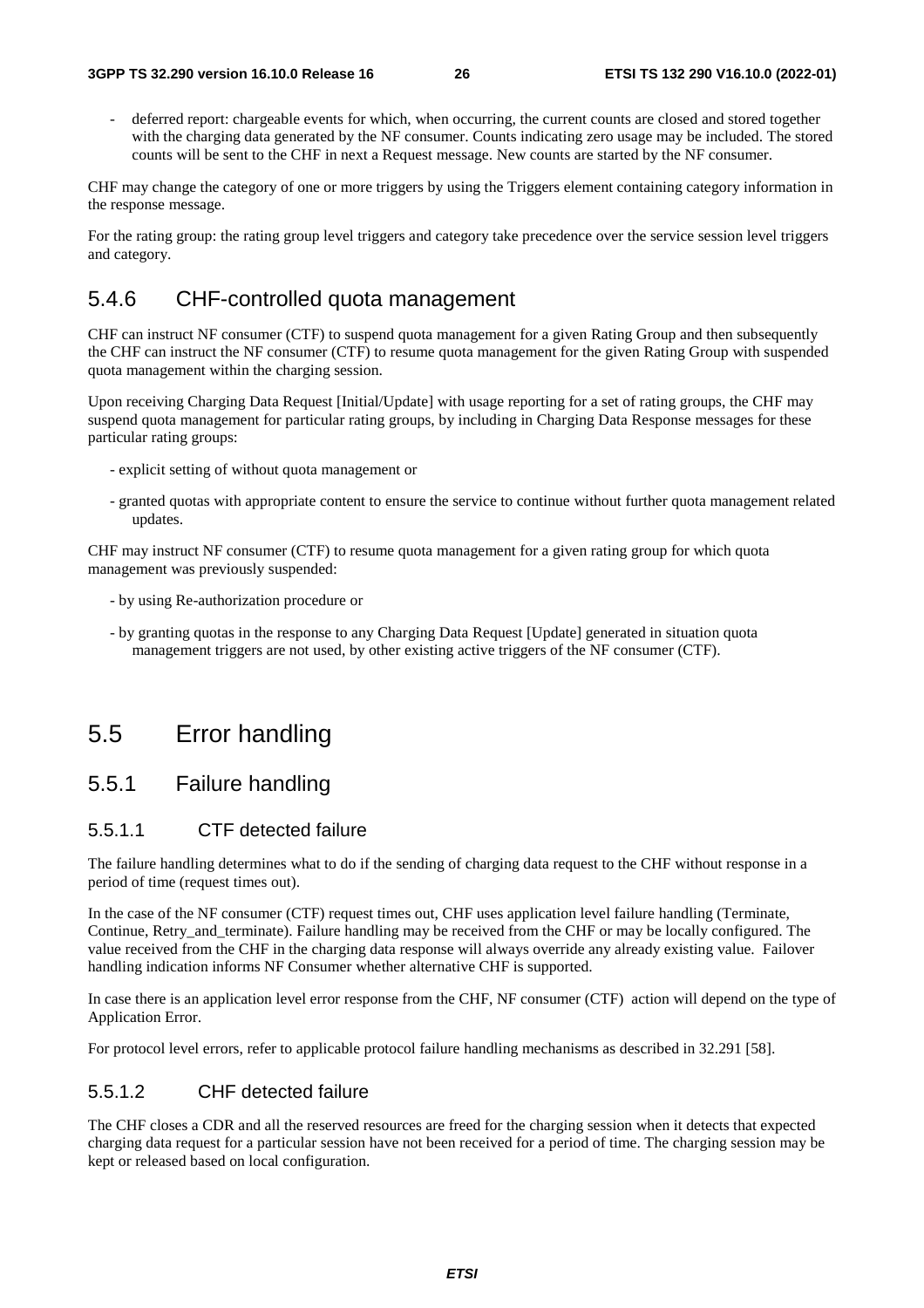deferred report: chargeable events for which, when occurring, the current counts are closed and stored together with the charging data generated by the NF consumer. Counts indicating zero usage may be included. The stored counts will be sent to the CHF in next a Request message. New counts are started by the NF consumer.

CHF may change the category of one or more triggers by using the Triggers element containing category information in the response message.

For the rating group: the rating group level triggers and category take precedence over the service session level triggers and category.

### 5.4.6 CHF-controlled quota management

CHF can instruct NF consumer (CTF) to suspend quota management for a given Rating Group and then subsequently the CHF can instruct the NF consumer (CTF) to resume quota management for the given Rating Group with suspended quota management within the charging session.

Upon receiving Charging Data Request [Initial/Update] with usage reporting for a set of rating groups, the CHF may suspend quota management for particular rating groups, by including in Charging Data Response messages for these particular rating groups:

- explicit setting of without quota management or
- granted quotas with appropriate content to ensure the service to continue without further quota management related updates.

CHF may instruct NF consumer (CTF) to resume quota management for a given rating group for which quota management was previously suspended:

- by using Re-authorization procedure or
- by granting quotas in the response to any Charging Data Request [Update] generated in situation quota management triggers are not used, by other existing active triggers of the NF consumer (CTF).

# 5.5 Error handling

### 5.5.1 Failure handling

#### 5.5.1.1 CTF detected failure

The failure handling determines what to do if the sending of charging data request to the CHF without response in a period of time (request times out).

In the case of the NF consumer (CTF) request times out, CHF uses application level failure handling (Terminate, Continue, Retry\_and\_terminate). Failure handling may be received from the CHF or may be locally configured. The value received from the CHF in the charging data response will always override any already existing value. Failover handling indication informs NF Consumer whether alternative CHF is supported.

In case there is an application level error response from the CHF, NF consumer (CTF) action will depend on the type of Application Error.

For protocol level errors, refer to applicable protocol failure handling mechanisms as described in 32.291 [58].

#### 5.5.1.2 CHF detected failure

The CHF closes a CDR and all the reserved resources are freed for the charging session when it detects that expected charging data request for a particular session have not been received for a period of time. The charging session may be kept or released based on local configuration.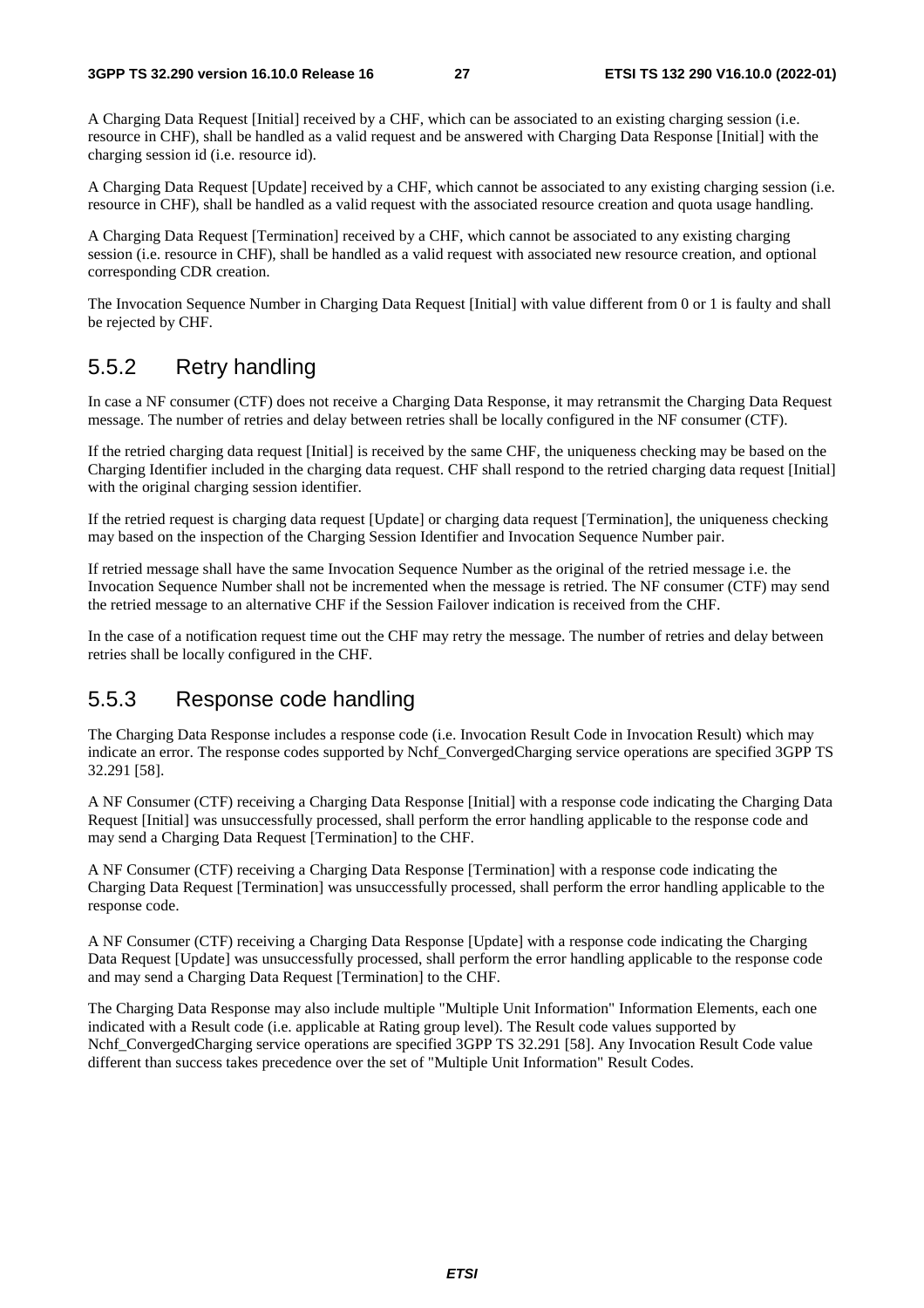A Charging Data Request [Initial] received by a CHF, which can be associated to an existing charging session (i.e. resource in CHF), shall be handled as a valid request and be answered with Charging Data Response [Initial] with the charging session id (i.e. resource id).

A Charging Data Request [Update] received by a CHF, which cannot be associated to any existing charging session (i.e. resource in CHF), shall be handled as a valid request with the associated resource creation and quota usage handling.

A Charging Data Request [Termination] received by a CHF, which cannot be associated to any existing charging session (i.e. resource in CHF), shall be handled as a valid request with associated new resource creation, and optional corresponding CDR creation.

The Invocation Sequence Number in Charging Data Request [Initial] with value different from 0 or 1 is faulty and shall be rejected by CHF.

### 5.5.2 Retry handling

In case a NF consumer (CTF) does not receive a Charging Data Response, it may retransmit the Charging Data Request message. The number of retries and delay between retries shall be locally configured in the NF consumer (CTF).

If the retried charging data request [Initial] is received by the same CHF, the uniqueness checking may be based on the Charging Identifier included in the charging data request. CHF shall respond to the retried charging data request [Initial] with the original charging session identifier.

If the retried request is charging data request [Update] or charging data request [Termination], the uniqueness checking may based on the inspection of the Charging Session Identifier and Invocation Sequence Number pair.

If retried message shall have the same Invocation Sequence Number as the original of the retried message i.e. the Invocation Sequence Number shall not be incremented when the message is retried. The NF consumer (CTF) may send the retried message to an alternative CHF if the Session Failover indication is received from the CHF.

In the case of a notification request time out the CHF may retry the message. The number of retries and delay between retries shall be locally configured in the CHF.

### 5.5.3 Response code handling

The Charging Data Response includes a response code (i.e. Invocation Result Code in Invocation Result) which may indicate an error. The response codes supported by Nchf\_ConvergedCharging service operations are specified 3GPP TS 32.291 [58].

A NF Consumer (CTF) receiving a Charging Data Response [Initial] with a response code indicating the Charging Data Request [Initial] was unsuccessfully processed, shall perform the error handling applicable to the response code and may send a Charging Data Request [Termination] to the CHF.

A NF Consumer (CTF) receiving a Charging Data Response [Termination] with a response code indicating the Charging Data Request [Termination] was unsuccessfully processed, shall perform the error handling applicable to the response code.

A NF Consumer (CTF) receiving a Charging Data Response [Update] with a response code indicating the Charging Data Request [Update] was unsuccessfully processed, shall perform the error handling applicable to the response code and may send a Charging Data Request [Termination] to the CHF.

The Charging Data Response may also include multiple "Multiple Unit Information" Information Elements, each one indicated with a Result code (i.e. applicable at Rating group level). The Result code values supported by Nchf\_ConvergedCharging service operations are specified 3GPP TS 32.291 [58]. Any Invocation Result Code value different than success takes precedence over the set of "Multiple Unit Information" Result Codes.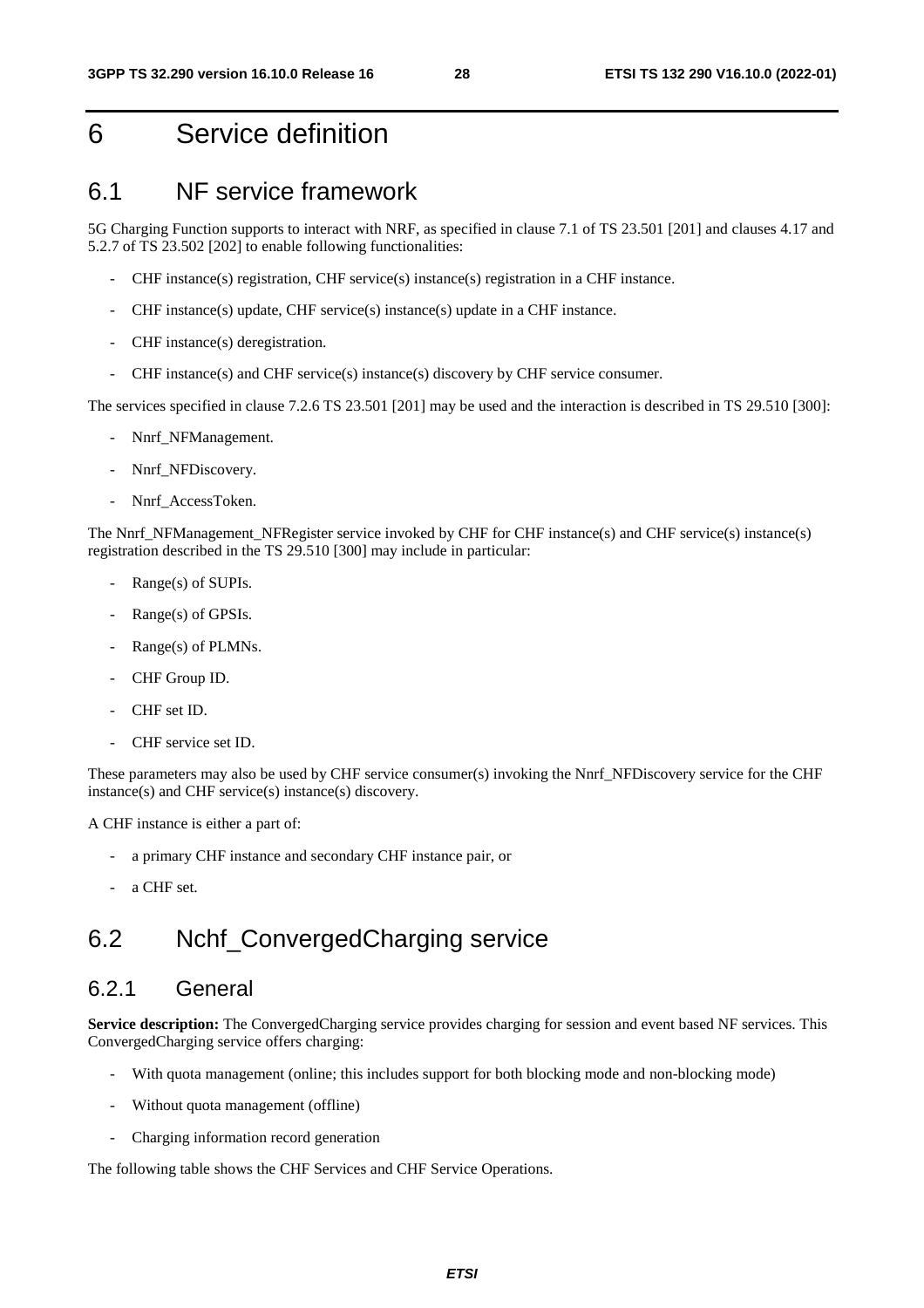# 6 Service definition

### 6.1 NF service framework

5G Charging Function supports to interact with NRF, as specified in clause 7.1 of TS 23.501 [201] and clauses 4.17 and 5.2.7 of TS 23.502 [202] to enable following functionalities:

- CHF instance(s) registration, CHF service(s) instance(s) registration in a CHF instance.
- CHF instance(s) update, CHF service(s) instance(s) update in a CHF instance.
- CHF instance(s) deregistration.
- CHF instance(s) and CHF service(s) instance(s) discovery by CHF service consumer.

The services specified in clause 7.2.6 TS 23.501 [201] may be used and the interaction is described in TS 29.510 [300]:

- Nnrf NFManagement.
- Nnrf\_NFDiscovery.
- Nnrf AccessToken.

The Nnrf\_NFManagement\_NFRegister service invoked by CHF for CHF instance(s) and CHF service(s) instance(s) registration described in the TS 29.510 [300] may include in particular:

- Range(s) of SUPIs.
- Range(s) of GPSIs.
- Range(s) of PLMNs.
- CHF Group ID.
- CHF set ID.
- CHF service set ID.

These parameters may also be used by CHF service consumer(s) invoking the Nnrf\_NFDiscovery service for the CHF instance(s) and CHF service(s) instance(s) discovery.

A CHF instance is either a part of:

- a primary CHF instance and secondary CHF instance pair, or
- a CHF set.

# 6.2 Nchf\_ConvergedCharging service

### 6.2.1 General

**Service description:** The ConvergedCharging service provides charging for session and event based NF services. This ConvergedCharging service offers charging:

- With quota management (online; this includes support for both blocking mode and non-blocking mode)
- Without quota management (offline)
- Charging information record generation

The following table shows the CHF Services and CHF Service Operations.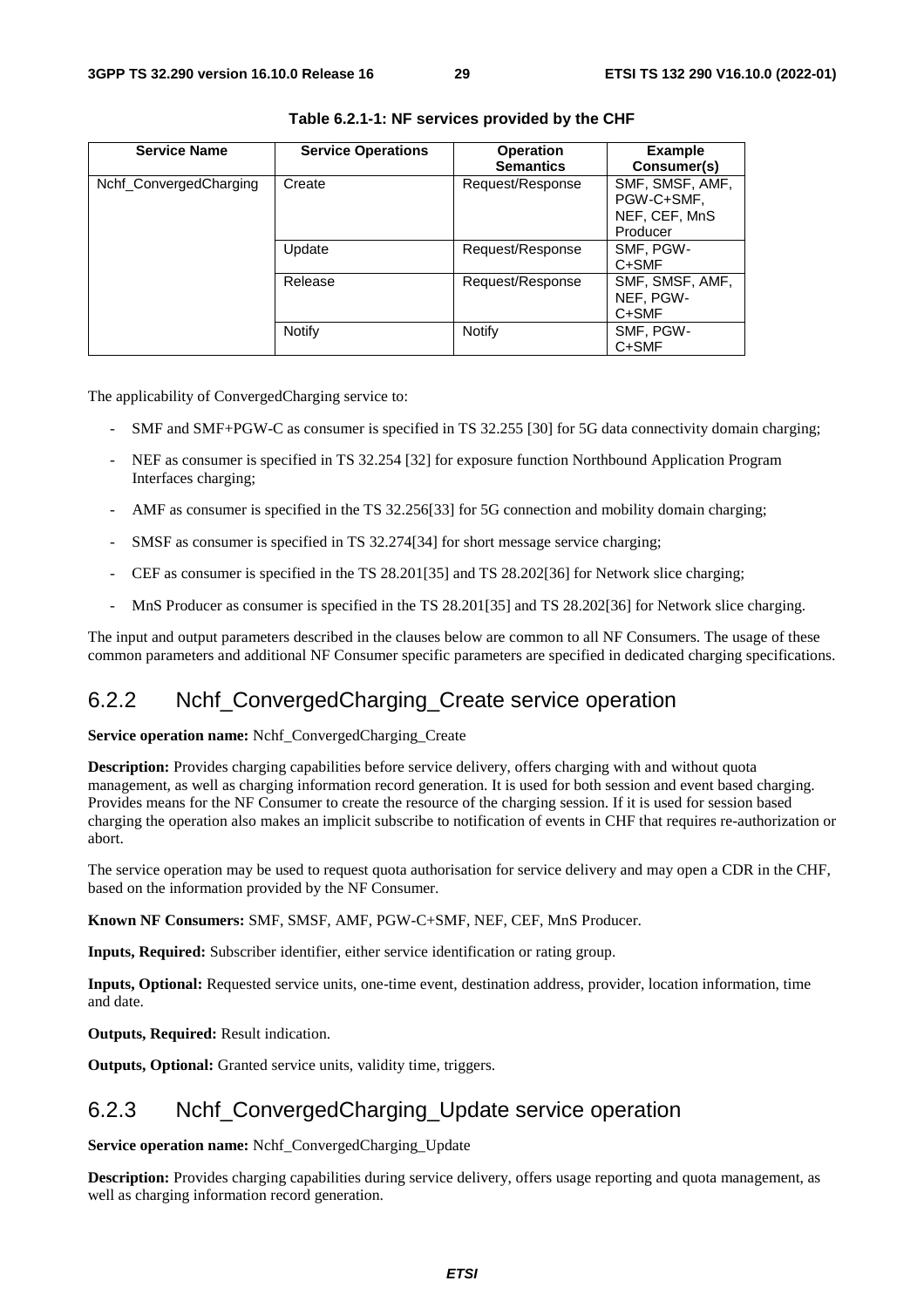| <b>Service Name</b>    | <b>Service Operations</b> | <b>Operation</b><br><b>Semantics</b> | <b>Example</b><br>Consumer(s)                              |
|------------------------|---------------------------|--------------------------------------|------------------------------------------------------------|
| Nchf_ConvergedCharging | Create                    | Request/Response                     | SMF, SMSF, AMF,<br>PGW-C+SMF,<br>NEF, CEF, MnS<br>Producer |
|                        | Update                    | Request/Response                     | SMF, PGW-<br>C+SMF                                         |
|                        | Release                   | Request/Response                     | SMF, SMSF, AMF,<br>NEF, PGW-<br>C+SMF                      |
|                        | <b>Notify</b>             | <b>Notify</b>                        | SMF, PGW-<br>C+SMF                                         |

**Table 6.2.1-1: NF services provided by the CHF** 

The applicability of ConvergedCharging service to:

- SMF and SMF+PGW-C as consumer is specified in TS 32.255 [30] for 5G data connectivity domain charging;
- NEF as consumer is specified in TS 32.254 [32] for exposure function Northbound Application Program Interfaces charging;
- AMF as consumer is specified in the TS 32.256[33] for 5G connection and mobility domain charging;
- SMSF as consumer is specified in TS 32.274[34] for short message service charging;
- CEF as consumer is specified in the TS 28.201[35] and TS 28.202[36] for Network slice charging;
- MnS Producer as consumer is specified in the TS 28.201[35] and TS 28.202[36] for Network slice charging.

The input and output parameters described in the clauses below are common to all NF Consumers. The usage of these common parameters and additional NF Consumer specific parameters are specified in dedicated charging specifications.

# 6.2.2 Nchf\_ConvergedCharging\_Create service operation

**Service operation name:** Nchf\_ConvergedCharging\_Create

**Description:** Provides charging capabilities before service delivery, offers charging with and without quota management, as well as charging information record generation. It is used for both session and event based charging. Provides means for the NF Consumer to create the resource of the charging session. If it is used for session based charging the operation also makes an implicit subscribe to notification of events in CHF that requires re-authorization or abort.

The service operation may be used to request quota authorisation for service delivery and may open a CDR in the CHF, based on the information provided by the NF Consumer.

**Known NF Consumers:** SMF, SMSF, AMF, PGW-C+SMF, NEF, CEF, MnS Producer.

**Inputs, Required:** Subscriber identifier, either service identification or rating group.

**Inputs, Optional:** Requested service units, one-time event, destination address, provider, location information, time and date.

**Outputs, Required:** Result indication.

**Outputs, Optional:** Granted service units, validity time, triggers.

### 6.2.3 Nchf\_ConvergedCharging\_Update service operation

**Service operation name:** Nchf\_ConvergedCharging\_Update

**Description:** Provides charging capabilities during service delivery, offers usage reporting and quota management, as well as charging information record generation.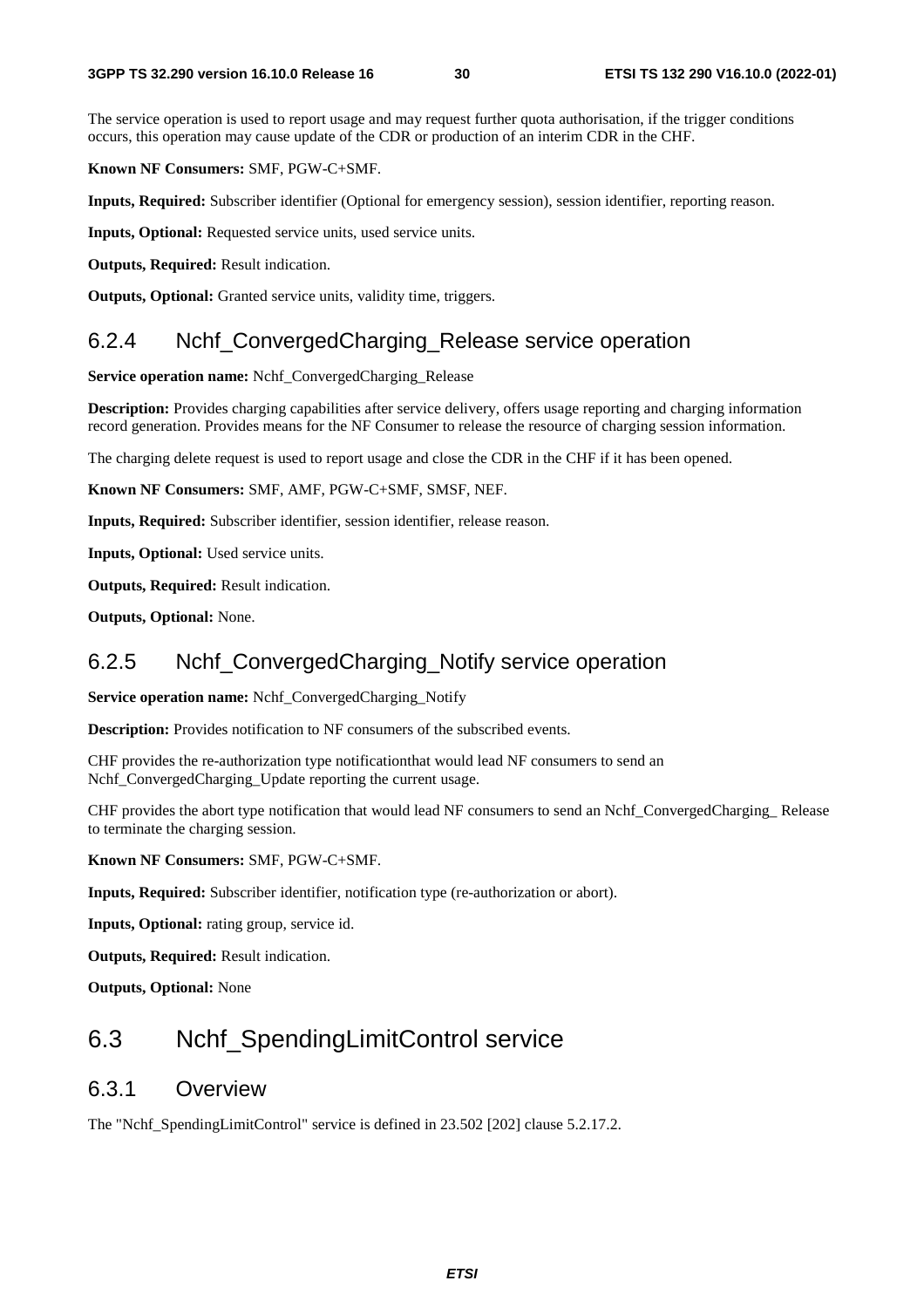The service operation is used to report usage and may request further quota authorisation, if the trigger conditions occurs, this operation may cause update of the CDR or production of an interim CDR in the CHF.

**Known NF Consumers:** SMF, PGW-C+SMF.

**Inputs, Required:** Subscriber identifier (Optional for emergency session), session identifier, reporting reason.

**Inputs, Optional:** Requested service units, used service units.

**Outputs, Required:** Result indication.

**Outputs, Optional:** Granted service units, validity time, triggers.

#### 6.2.4 Nchf\_ConvergedCharging\_Release service operation

**Service operation name:** Nchf\_ConvergedCharging\_Release

**Description:** Provides charging capabilities after service delivery, offers usage reporting and charging information record generation. Provides means for the NF Consumer to release the resource of charging session information.

The charging delete request is used to report usage and close the CDR in the CHF if it has been opened.

**Known NF Consumers:** SMF, AMF, PGW-C+SMF, SMSF, NEF.

**Inputs, Required:** Subscriber identifier, session identifier, release reason.

**Inputs, Optional:** Used service units.

**Outputs, Required:** Result indication.

**Outputs, Optional:** None.

### 6.2.5 Nchf\_ConvergedCharging\_Notify service operation

**Service operation name:** Nchf\_ConvergedCharging\_Notify

**Description:** Provides notification to NF consumers of the subscribed events.

CHF provides the re-authorization type notificationthat would lead NF consumers to send an Nchf\_ConvergedCharging\_Update reporting the current usage.

CHF provides the abort type notification that would lead NF consumers to send an Nchf\_ConvergedCharging\_ Release to terminate the charging session.

**Known NF Consumers:** SMF, PGW-C+SMF.

**Inputs, Required:** Subscriber identifier, notification type (re-authorization or abort).

**Inputs, Optional:** rating group, service id.

**Outputs, Required:** Result indication.

**Outputs, Optional:** None

# 6.3 Nchf\_SpendingLimitControl service

#### 6.3.1 Overview

The "Nchf\_SpendingLimitControl" service is defined in 23.502 [202] clause 5.2.17.2.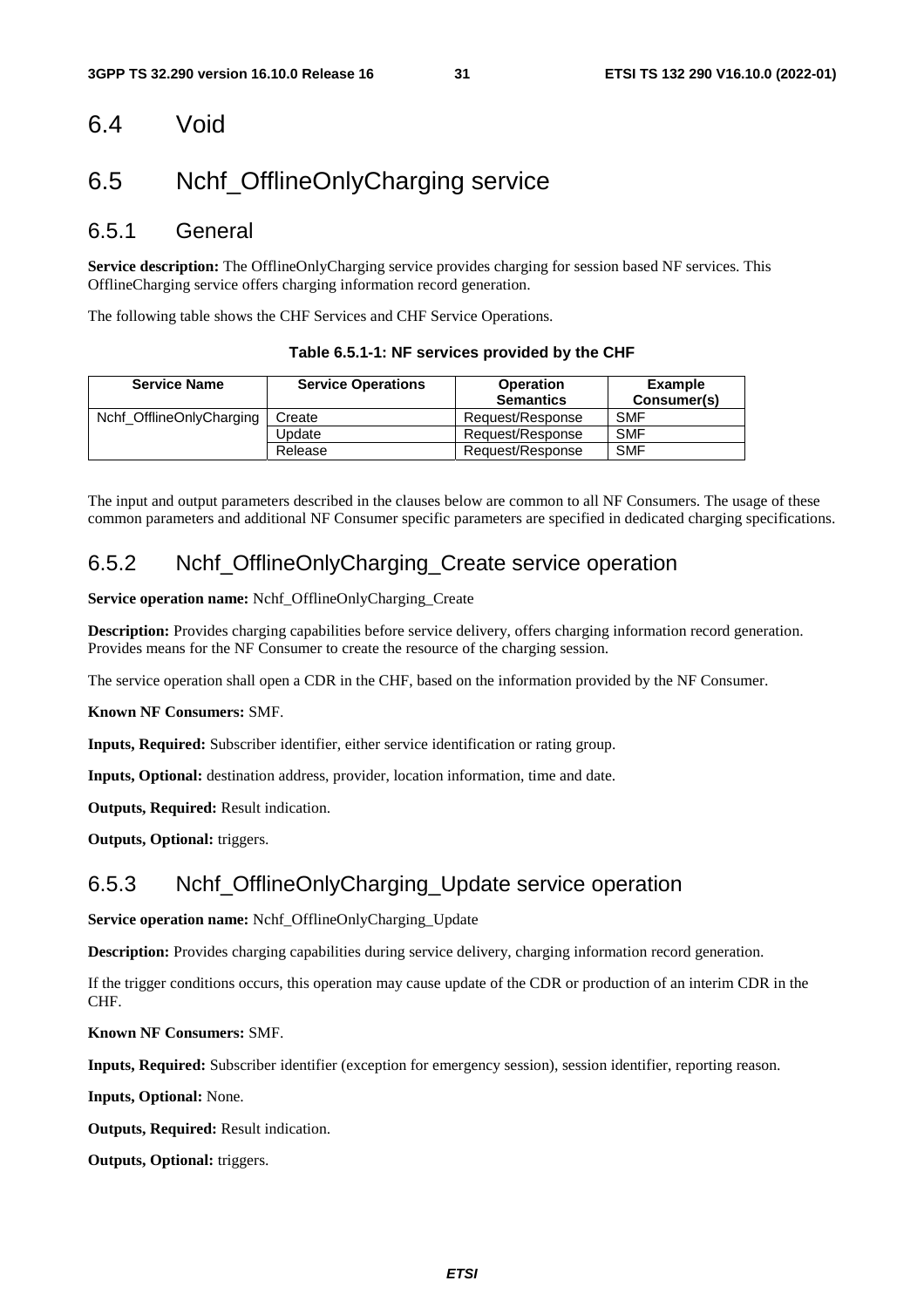### 6.4 Void

# 6.5 Nchf\_OfflineOnlyCharging service

#### 6.5.1 General

**Service description:** The OfflineOnlyCharging service provides charging for session based NF services. This OfflineCharging service offers charging information record generation.

The following table shows the CHF Services and CHF Service Operations.

| <b>Service Name</b>      | <b>Service Operations</b> | <b>Operation</b><br><b>Semantics</b> | <b>Example</b><br>Consumer(s) |
|--------------------------|---------------------------|--------------------------------------|-------------------------------|
| Nchf OfflineOnlyCharging | Create                    | Request/Response                     | <b>SMF</b>                    |
|                          | Update                    | Request/Response                     | <b>SMF</b>                    |
|                          | Release                   | Request/Response                     | <b>SMF</b>                    |

**Table 6.5.1-1: NF services provided by the CHF** 

The input and output parameters described in the clauses below are common to all NF Consumers. The usage of these common parameters and additional NF Consumer specific parameters are specified in dedicated charging specifications.

### 6.5.2 Nchf\_OfflineOnlyCharging\_Create service operation

**Service operation name:** Nchf\_OfflineOnlyCharging\_Create

**Description:** Provides charging capabilities before service delivery, offers charging information record generation. Provides means for the NF Consumer to create the resource of the charging session.

The service operation shall open a CDR in the CHF, based on the information provided by the NF Consumer.

**Known NF Consumers:** SMF.

**Inputs, Required:** Subscriber identifier, either service identification or rating group.

**Inputs, Optional:** destination address, provider, location information, time and date.

**Outputs, Required:** Result indication.

**Outputs, Optional:** triggers.

### 6.5.3 Nchf\_OfflineOnlyCharging\_Update service operation

**Service operation name:** Nchf\_OfflineOnlyCharging\_Update

**Description:** Provides charging capabilities during service delivery, charging information record generation.

If the trigger conditions occurs, this operation may cause update of the CDR or production of an interim CDR in the CHF.

**Known NF Consumers:** SMF.

**Inputs, Required:** Subscriber identifier (exception for emergency session), session identifier, reporting reason.

**Inputs, Optional:** None.

**Outputs, Required:** Result indication.

**Outputs, Optional:** triggers.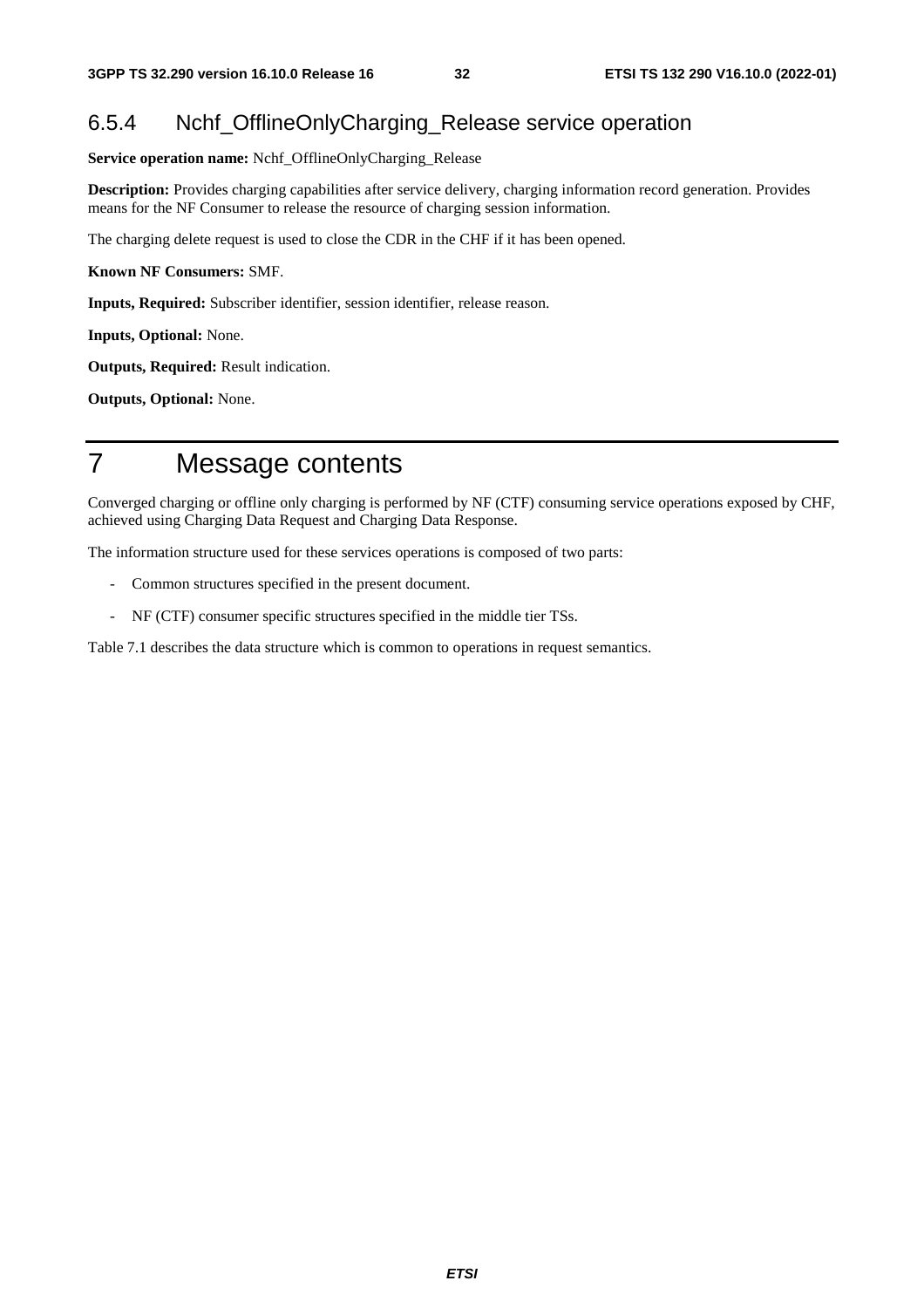### 6.5.4 Nchf\_OfflineOnlyCharging\_Release service operation

**Service operation name:** Nchf\_OfflineOnlyCharging\_Release

**Description:** Provides charging capabilities after service delivery, charging information record generation. Provides means for the NF Consumer to release the resource of charging session information.

The charging delete request is used to close the CDR in the CHF if it has been opened.

**Known NF Consumers:** SMF.

**Inputs, Required:** Subscriber identifier, session identifier, release reason.

**Inputs, Optional:** None.

**Outputs, Required:** Result indication.

**Outputs, Optional:** None.

# 7 Message contents

Converged charging or offline only charging is performed by NF (CTF) consuming service operations exposed by CHF, achieved using Charging Data Request and Charging Data Response.

The information structure used for these services operations is composed of two parts:

- Common structures specified in the present document.
- NF (CTF) consumer specific structures specified in the middle tier TSs.

Table 7.1 describes the data structure which is common to operations in request semantics.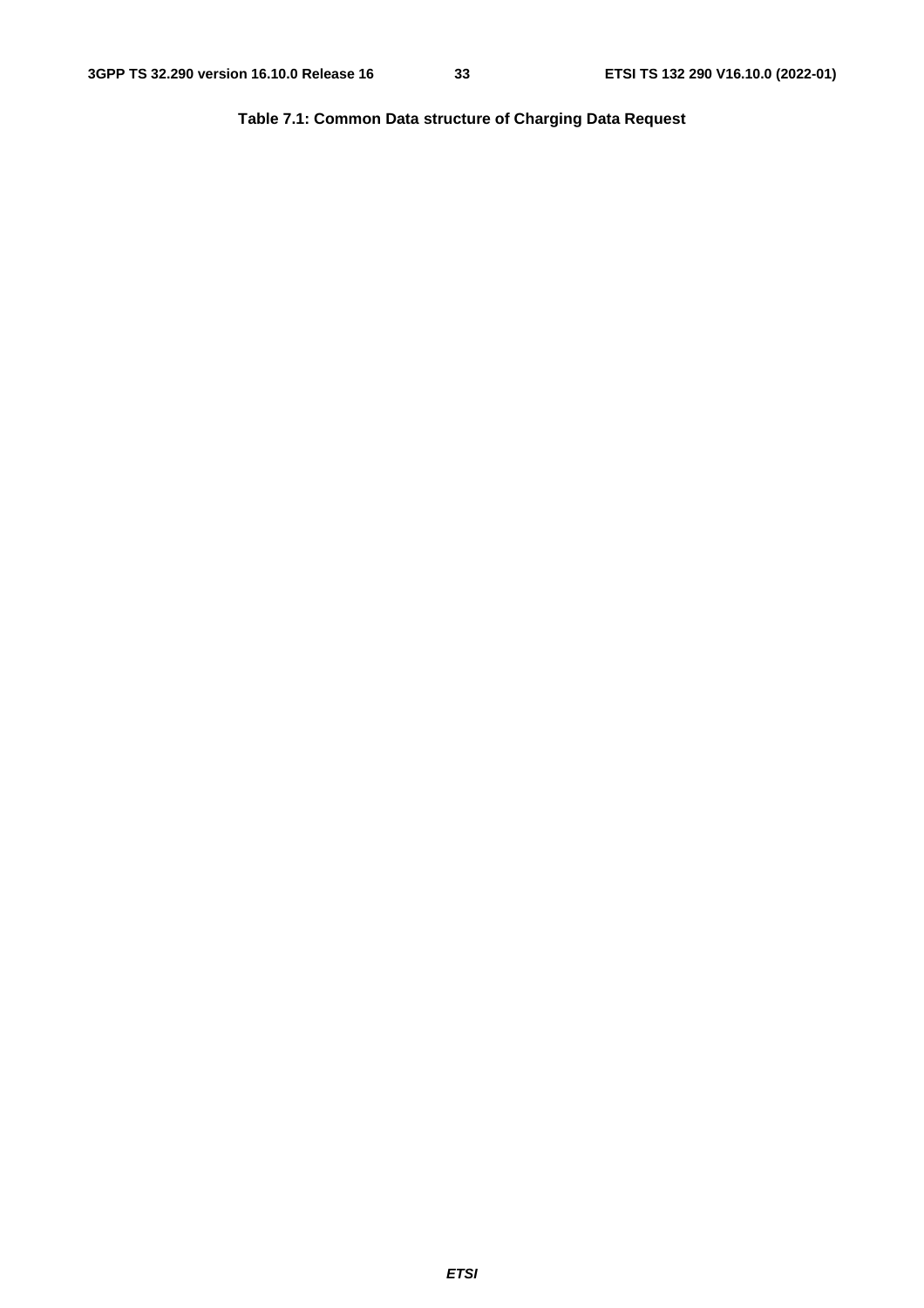**Table 7.1: Common Data structure of Charging Data Request**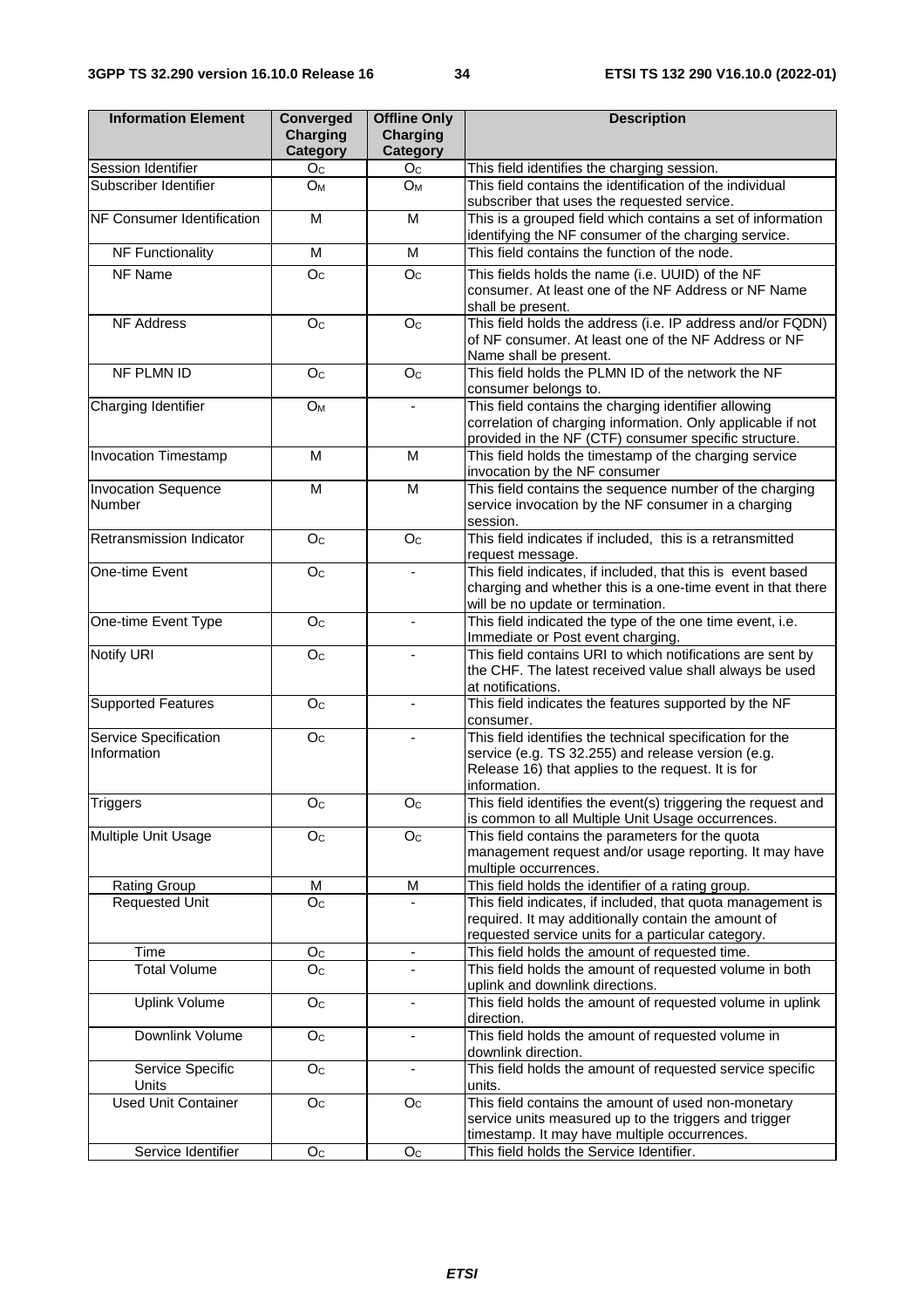| <b>Information Element</b>                  | Converged<br><b>Charging</b><br><b>Category</b> | <b>Offline Only</b><br>Charging<br><b>Category</b> | <b>Description</b>                                                                                                                                                                    |
|---------------------------------------------|-------------------------------------------------|----------------------------------------------------|---------------------------------------------------------------------------------------------------------------------------------------------------------------------------------------|
| Session Identifier                          | O <sub>C</sub>                                  | O <sub>C</sub>                                     | This field identifies the charging session.                                                                                                                                           |
| Subscriber Identifier                       | $O_{M}$                                         | O <sub>M</sub>                                     | This field contains the identification of the individual<br>subscriber that uses the requested service.                                                                               |
| <b>NF Consumer Identification</b>           | M                                               | M                                                  | This is a grouped field which contains a set of information<br>identifying the NF consumer of the charging service.                                                                   |
| <b>NF Functionality</b>                     | M                                               | M                                                  | This field contains the function of the node.                                                                                                                                         |
| NF Name                                     | O <sub>C</sub>                                  | O <sub>C</sub>                                     | This fields holds the name (i.e. UUID) of the NF<br>consumer. At least one of the NF Address or NF Name<br>shall be present.                                                          |
| <b>NF Address</b>                           | O <sub>c</sub>                                  | O <sub>c</sub>                                     | This field holds the address (i.e. IP address and/or FQDN)<br>of NF consumer. At least one of the NF Address or NF<br>Name shall be present.                                          |
| NF PLMN ID                                  | O <sub>c</sub>                                  | O <sub>C</sub>                                     | This field holds the PLMN ID of the network the NF<br>consumer belongs to.                                                                                                            |
| Charging Identifier                         | Oм                                              | $\overline{\phantom{0}}$                           | This field contains the charging identifier allowing<br>correlation of charging information. Only applicable if not<br>provided in the NF (CTF) consumer specific structure.          |
| <b>Invocation Timestamp</b>                 | M                                               | M                                                  | This field holds the timestamp of the charging service<br>invocation by the NF consumer                                                                                               |
| <b>Invocation Sequence</b><br><b>Number</b> | M                                               | M                                                  | This field contains the sequence number of the charging<br>service invocation by the NF consumer in a charging<br>session.                                                            |
| Retransmission Indicator                    | O <sub>C</sub>                                  | O <sub>C</sub>                                     | This field indicates if included, this is a retransmitted<br>request message.                                                                                                         |
| One-time Event                              | O <sub>c</sub>                                  |                                                    | This field indicates, if included, that this is event based<br>charging and whether this is a one-time event in that there<br>will be no update or termination.                       |
| One-time Event Type                         | $\overline{O}_C$                                | $\overline{\phantom{0}}$                           | This field indicated the type of the one time event, i.e.<br>Immediate or Post event charging.                                                                                        |
| Notify URI                                  | O <sub>C</sub>                                  | ÷,                                                 | This field contains URI to which notifications are sent by<br>the CHF. The latest received value shall always be used<br>at notifications.                                            |
| <b>Supported Features</b>                   | O <sub>c</sub>                                  |                                                    | This field indicates the features supported by the NF<br>consumer.                                                                                                                    |
| Service Specification<br>Information        | O <sub>C</sub>                                  |                                                    | This field identifies the technical specification for the<br>service (e.g. TS 32.255) and release version (e.g.<br>Release 16) that applies to the request. It is for<br>information. |
| Triggers                                    | O <sub>c</sub>                                  | O <sub>C</sub>                                     | This field identifies the event(s) triggering the request and<br>is common to all Multiple Unit Usage occurrences.                                                                    |
| <b>Multiple Unit Usage</b>                  | O <sub>C</sub>                                  | O <sub>C</sub>                                     | This field contains the parameters for the quota<br>management request and/or usage reporting. It may have<br>multiple occurrences.                                                   |
| <b>Rating Group</b>                         | M                                               | M                                                  | This field holds the identifier of a rating group.                                                                                                                                    |
| <b>Requested Unit</b>                       | O <sub>C</sub>                                  |                                                    | This field indicates, if included, that quota management is<br>required. It may additionally contain the amount of<br>requested service units for a particular category.              |
| Time                                        | O <sub>C</sub>                                  |                                                    | This field holds the amount of requested time.                                                                                                                                        |
| <b>Total Volume</b>                         | O <sub>C</sub>                                  |                                                    | This field holds the amount of requested volume in both<br>uplink and downlink directions.                                                                                            |
| Uplink Volume                               | O <sub>c</sub>                                  | ٠                                                  | This field holds the amount of requested volume in uplink<br>direction.                                                                                                               |
| Downlink Volume                             | $\overline{O}_C$                                | ä,                                                 | This field holds the amount of requested volume in<br>downlink direction.                                                                                                             |
| Service Specific<br>Units                   | O <sub>C</sub>                                  | $\blacksquare$                                     | This field holds the amount of requested service specific<br>units.                                                                                                                   |
| <b>Used Unit Container</b>                  | O <sub>C</sub>                                  | O <sub>c</sub>                                     | This field contains the amount of used non-monetary<br>service units measured up to the triggers and trigger<br>timestamp. It may have multiple occurrences.                          |
| Service Identifier                          | O <sub>C</sub>                                  | O <sub>C</sub>                                     | This field holds the Service Identifier.                                                                                                                                              |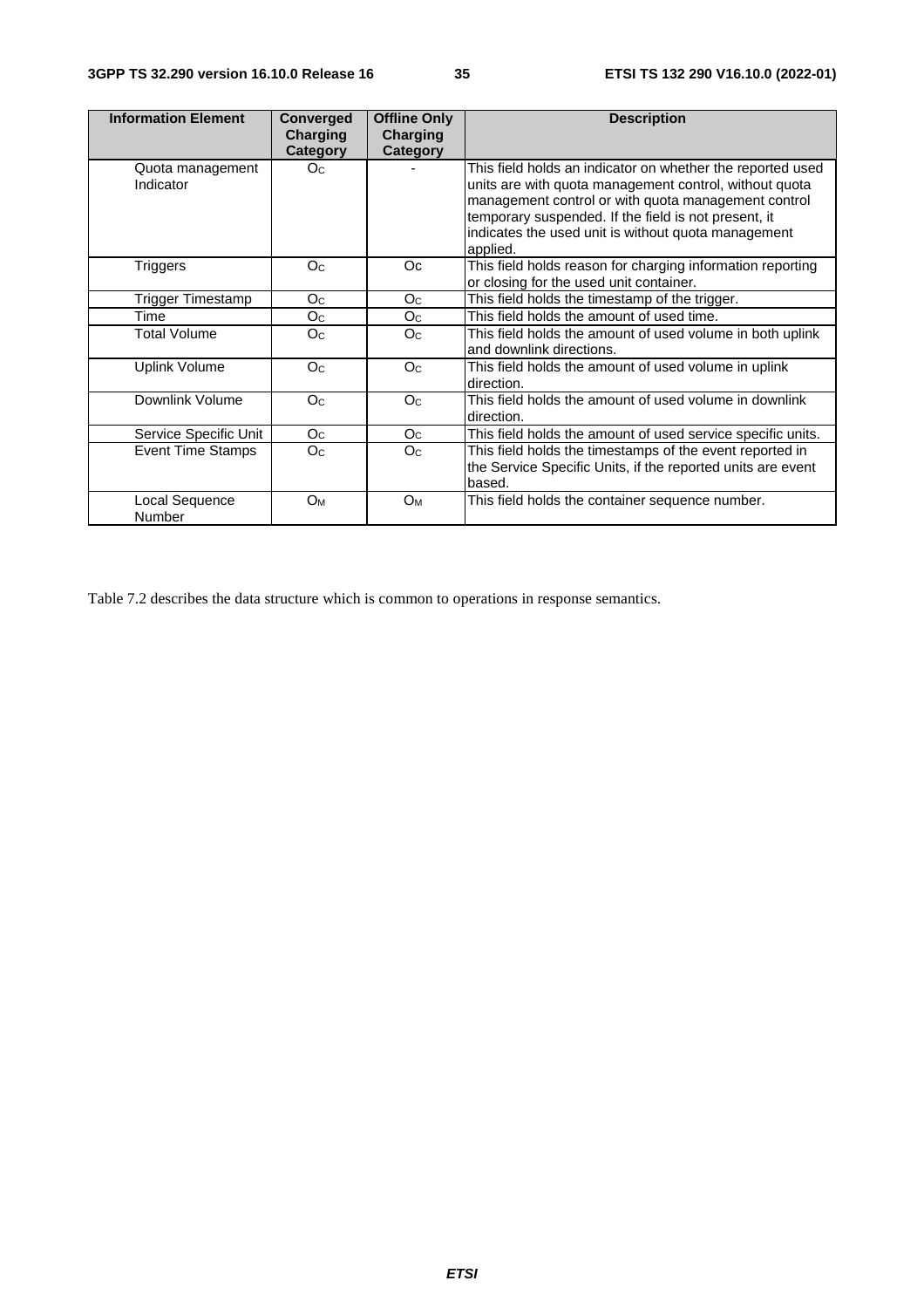| <b>Information Element</b>    | Converged<br>Charging | <b>Offline Only</b><br><b>Charging</b> | <b>Description</b>                                                                                                                                                                                                                                                                                     |
|-------------------------------|-----------------------|----------------------------------------|--------------------------------------------------------------------------------------------------------------------------------------------------------------------------------------------------------------------------------------------------------------------------------------------------------|
|                               | Category              | Category                               |                                                                                                                                                                                                                                                                                                        |
| Quota management<br>Indicator | O <sub>C</sub>        |                                        | This field holds an indicator on whether the reported used<br>units are with quota management control, without quota<br>management control or with quota management control<br>temporary suspended. If the field is not present, it<br>indicates the used unit is without quota management<br>applied. |
| Triggers                      | Oc                    | Oc.                                    | This field holds reason for charging information reporting<br>or closing for the used unit container.                                                                                                                                                                                                  |
| Trigger Timestamp             | O <sub>C</sub>        | O <sub>C</sub>                         | This field holds the timestamp of the trigger.                                                                                                                                                                                                                                                         |
| Time                          | O <sub>C</sub>        | O <sub>C</sub>                         | This field holds the amount of used time.                                                                                                                                                                                                                                                              |
| <b>Total Volume</b>           | Oc                    | O <sub>C</sub>                         | This field holds the amount of used volume in both uplink<br>and downlink directions.                                                                                                                                                                                                                  |
| Uplink Volume                 | O <sub>C</sub>        | O <sub>C</sub>                         | This field holds the amount of used volume in uplink<br>direction.                                                                                                                                                                                                                                     |
| Downlink Volume               | O <sub>C</sub>        | O <sub>C</sub>                         | This field holds the amount of used volume in downlink<br>direction.                                                                                                                                                                                                                                   |
| Service Specific Unit         | O <sub>C</sub>        | O <sub>C</sub>                         | This field holds the amount of used service specific units.                                                                                                                                                                                                                                            |
| <b>Event Time Stamps</b>      | O <sub>C</sub>        | O <sub>C</sub>                         | This field holds the timestamps of the event reported in<br>the Service Specific Units, if the reported units are event<br>based.                                                                                                                                                                      |
| Local Sequence<br>Number      | <b>O</b> <sub>M</sub> | <b>Ом</b>                              | This field holds the container sequence number.                                                                                                                                                                                                                                                        |

Table 7.2 describes the data structure which is common to operations in response semantics.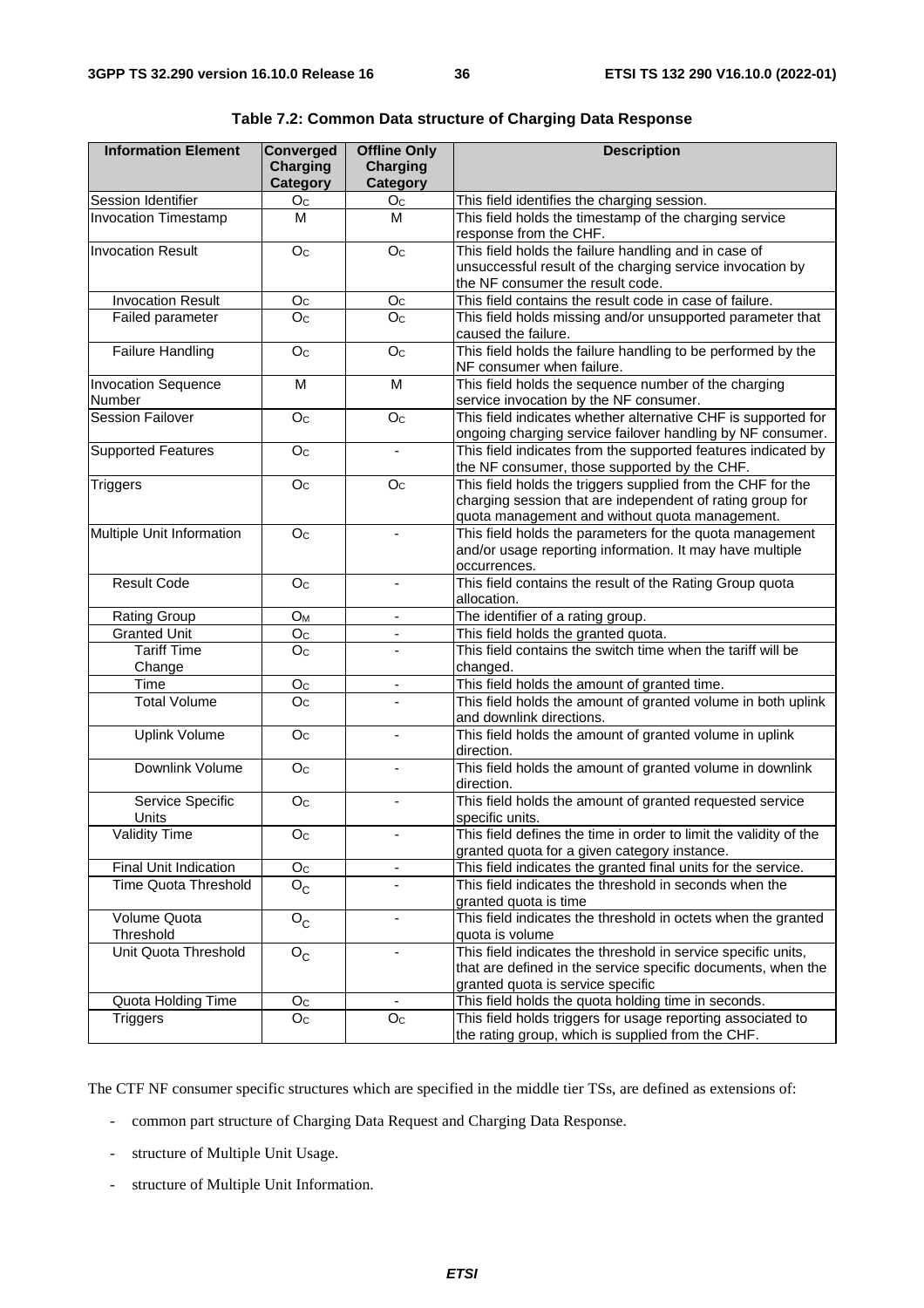| <b>Information Element</b>           | Converged<br>Charging<br><b>Category</b> | <b>Offline Only</b><br><b>Charging</b><br><b>Category</b> | <b>Description</b>                                                                                                                                                         |
|--------------------------------------|------------------------------------------|-----------------------------------------------------------|----------------------------------------------------------------------------------------------------------------------------------------------------------------------------|
| Session Identifier                   | O <sub>C</sub>                           | O <sub>C</sub>                                            | This field identifies the charging session.                                                                                                                                |
| <b>Invocation Timestamp</b>          | М                                        | м                                                         | This field holds the timestamp of the charging service<br>response from the CHF.                                                                                           |
| <b>Invocation Result</b>             | $\mathsf{O}_\mathbb{C}$                  | O <sub>C</sub>                                            | This field holds the failure handling and in case of<br>unsuccessful result of the charging service invocation by<br>the NF consumer the result code.                      |
| <b>Invocation Result</b>             | O <sub>C</sub>                           | O <sub>C</sub>                                            | This field contains the result code in case of failure.                                                                                                                    |
| Failed parameter                     | O <sub>C</sub>                           | O <sub>c</sub>                                            | This field holds missing and/or unsupported parameter that<br>caused the failure.                                                                                          |
| Failure Handling                     | O <sub>c</sub>                           | O <sub>C</sub>                                            | This field holds the failure handling to be performed by the<br>NF consumer when failure.                                                                                  |
| <b>Invocation Sequence</b><br>Number | M                                        | M                                                         | This field holds the sequence number of the charging<br>service invocation by the NF consumer.                                                                             |
| <b>Session Failover</b>              | O <sub>C</sub>                           | O <sub>C</sub>                                            | This field indicates whether alternative CHF is supported for<br>ongoing charging service failover handling by NF consumer.                                                |
| <b>Supported Features</b>            | O <sub>c</sub>                           |                                                           | This field indicates from the supported features indicated by<br>the NF consumer, those supported by the CHF.                                                              |
| <b>Triggers</b>                      | O <sub>c</sub>                           | O <sub>C</sub>                                            | This field holds the triggers supplied from the CHF for the<br>charging session that are independent of rating group for<br>quota management and without quota management. |
| Multiple Unit Information            | O <sub>C</sub>                           |                                                           | This field holds the parameters for the quota management<br>and/or usage reporting information. It may have multiple<br>occurrences.                                       |
| <b>Result Code</b>                   | O <sub>c</sub>                           | $\blacksquare$                                            | This field contains the result of the Rating Group quota<br>allocation.                                                                                                    |
| <b>Rating Group</b>                  | <b>O</b> <sub>M</sub>                    | $\blacksquare$                                            | The identifier of a rating group.                                                                                                                                          |
| <b>Granted Unit</b>                  | O <sub>C</sub>                           | $\overline{\phantom{a}}$                                  | This field holds the granted quota.                                                                                                                                        |
| <b>Tariff Time</b><br>Change         | O <sub>C</sub>                           |                                                           | This field contains the switch time when the tariff will be<br>changed.                                                                                                    |
| Time                                 | O <sub>c</sub>                           | $\overline{\phantom{a}}$                                  | This field holds the amount of granted time.                                                                                                                               |
| <b>Total Volume</b>                  | O <sub>C</sub>                           |                                                           | This field holds the amount of granted volume in both uplink<br>and downlink directions.                                                                                   |
| <b>Uplink Volume</b>                 | O <sub>c</sub>                           |                                                           | This field holds the amount of granted volume in uplink<br>direction.                                                                                                      |
| Downlink Volume                      | O <sub>C</sub>                           |                                                           | This field holds the amount of granted volume in downlink<br>direction.                                                                                                    |
| Service Specific<br>Units            | O <sub>c</sub>                           | $\blacksquare$                                            | This field holds the amount of granted requested service<br>specific units.                                                                                                |
| <b>Validity Time</b>                 | $\overline{O_{C}}$                       |                                                           | This field defines the time in order to limit the validity of the<br>granted quota for a given category instance.                                                          |
| Final Unit Indication                | O <sub>C</sub>                           | $\blacksquare$                                            | This field indicates the granted final units for the service.                                                                                                              |
| <b>Time Quota Threshold</b>          | $O_{\rm C}$                              | $\overline{\phantom{0}}$                                  | This field indicates the threshold in seconds when the<br>granted quota is time                                                                                            |
| Volume Quota<br>Threshold            | $O_{C}$                                  | $\overline{\phantom{a}}$                                  | This field indicates the threshold in octets when the granted<br>quota is volume                                                                                           |
| Unit Quota Threshold                 | $O_{\rm C}$                              | ٠                                                         | This field indicates the threshold in service specific units,<br>that are defined in the service specific documents, when the<br>granted quota is service specific         |
| Quota Holding Time                   | Oc                                       |                                                           | This field holds the quota holding time in seconds.                                                                                                                        |
| <b>Triggers</b>                      | O <sub>C</sub>                           | $\mathsf{O}_\mathbb{C}$                                   | This field holds triggers for usage reporting associated to<br>the rating group, which is supplied from the CHF.                                                           |

**Table 7.2: Common Data structure of Charging Data Response** 

The CTF NF consumer specific structures which are specified in the middle tier TSs, are defined as extensions of:

- common part structure of Charging Data Request and Charging Data Response.
- structure of Multiple Unit Usage.
- structure of Multiple Unit Information.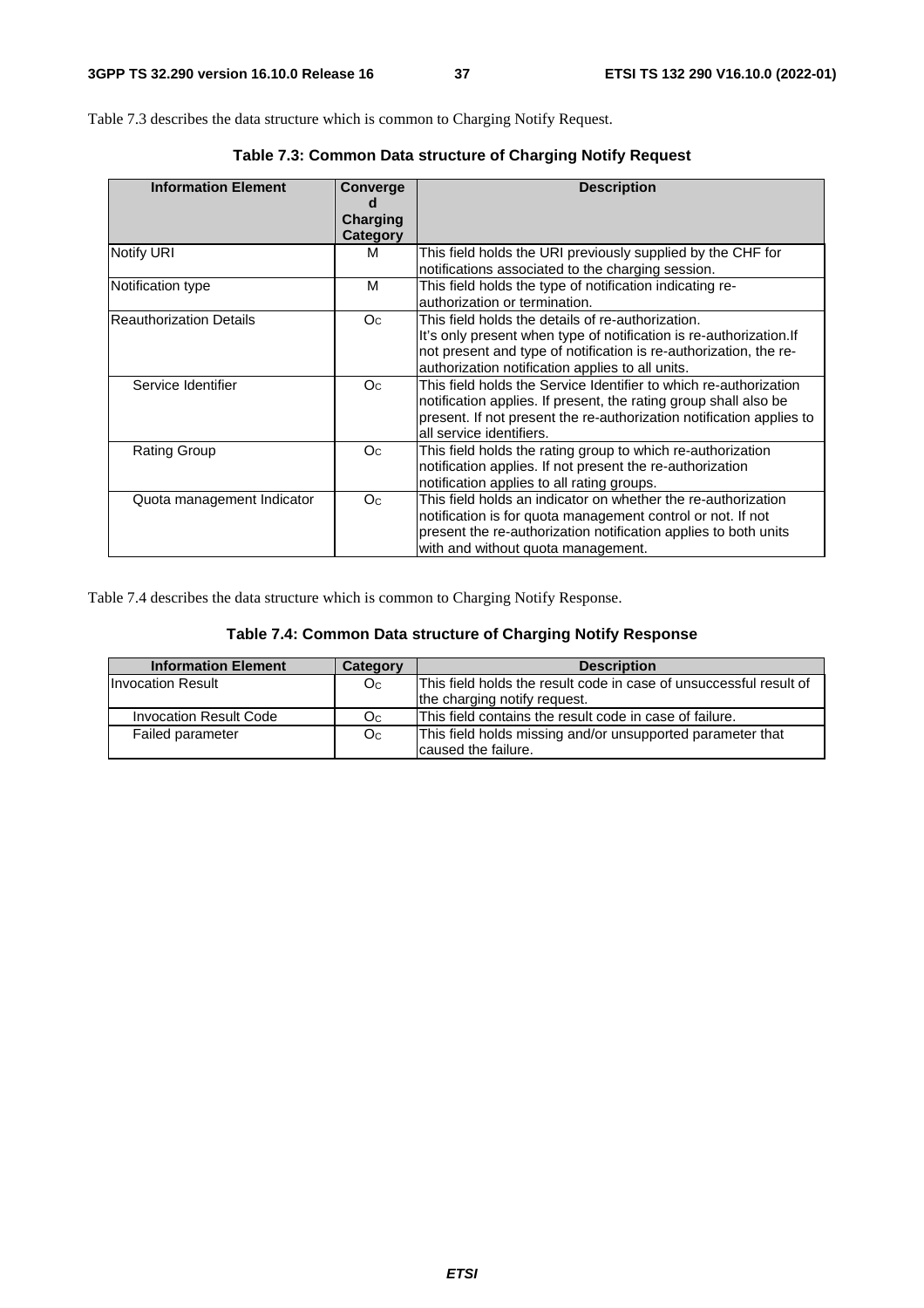Table 7.3 describes the data structure which is common to Charging Notify Request.

| <b>Information Element</b>     | Converge<br><b>Charging</b><br><b>Category</b> | <b>Description</b>                                                                                                                                                                                                                                |
|--------------------------------|------------------------------------------------|---------------------------------------------------------------------------------------------------------------------------------------------------------------------------------------------------------------------------------------------------|
| <b>Notify URI</b>              | м                                              | This field holds the URI previously supplied by the CHF for<br>notifications associated to the charging session.                                                                                                                                  |
| Notification type              | м                                              | This field holds the type of notification indicating re-<br>authorization or termination.                                                                                                                                                         |
| <b>Reauthorization Details</b> | O <sub>C</sub>                                 | This field holds the details of re-authorization.<br>It's only present when type of notification is re-authorization. If<br>not present and type of notification is re-authorization, the re-<br>authorization notification applies to all units. |
| Service Identifier             | O <sub>c</sub>                                 | This field holds the Service Identifier to which re-authorization<br>notification applies. If present, the rating group shall also be<br>present. If not present the re-authorization notification applies to<br>lall service identifiers.        |
| <b>Rating Group</b>            | O <sub>C</sub>                                 | This field holds the rating group to which re-authorization<br>notification applies. If not present the re-authorization<br>notification applies to all rating groups.                                                                            |
| Quota management Indicator     | O <sub>c</sub>                                 | This field holds an indicator on whether the re-authorization<br>notification is for quota management control or not. If not<br>present the re-authorization notification applies to both units<br>with and without quota management.             |

**Table 7.3: Common Data structure of Charging Notify Request** 

Table 7.4 describes the data structure which is common to Charging Notify Response.

#### **Table 7.4: Common Data structure of Charging Notify Response**

| <b>Information Element</b>    | Category       | <b>Description</b>                                                 |
|-------------------------------|----------------|--------------------------------------------------------------------|
| Ilnvocation Result            | O <sub>C</sub> | This field holds the result code in case of unsuccessful result of |
|                               |                | the charging notify request.                                       |
| <b>Invocation Result Code</b> | Oc.            | This field contains the result code in case of failure.            |
| Failed parameter              | O <sub>C</sub> | This field holds missing and/or unsupported parameter that         |
|                               |                | caused the failure.                                                |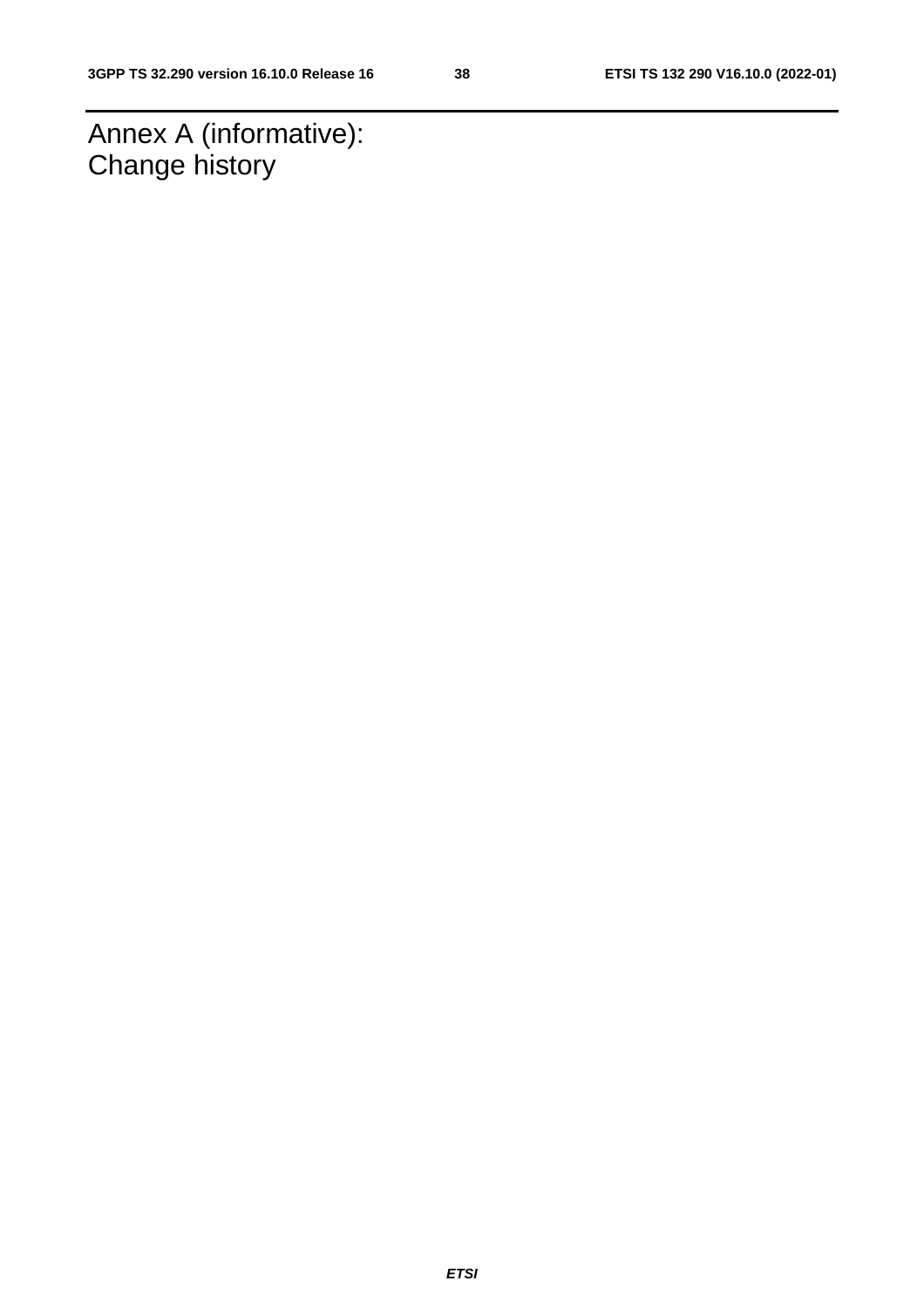Annex A (informative): Change history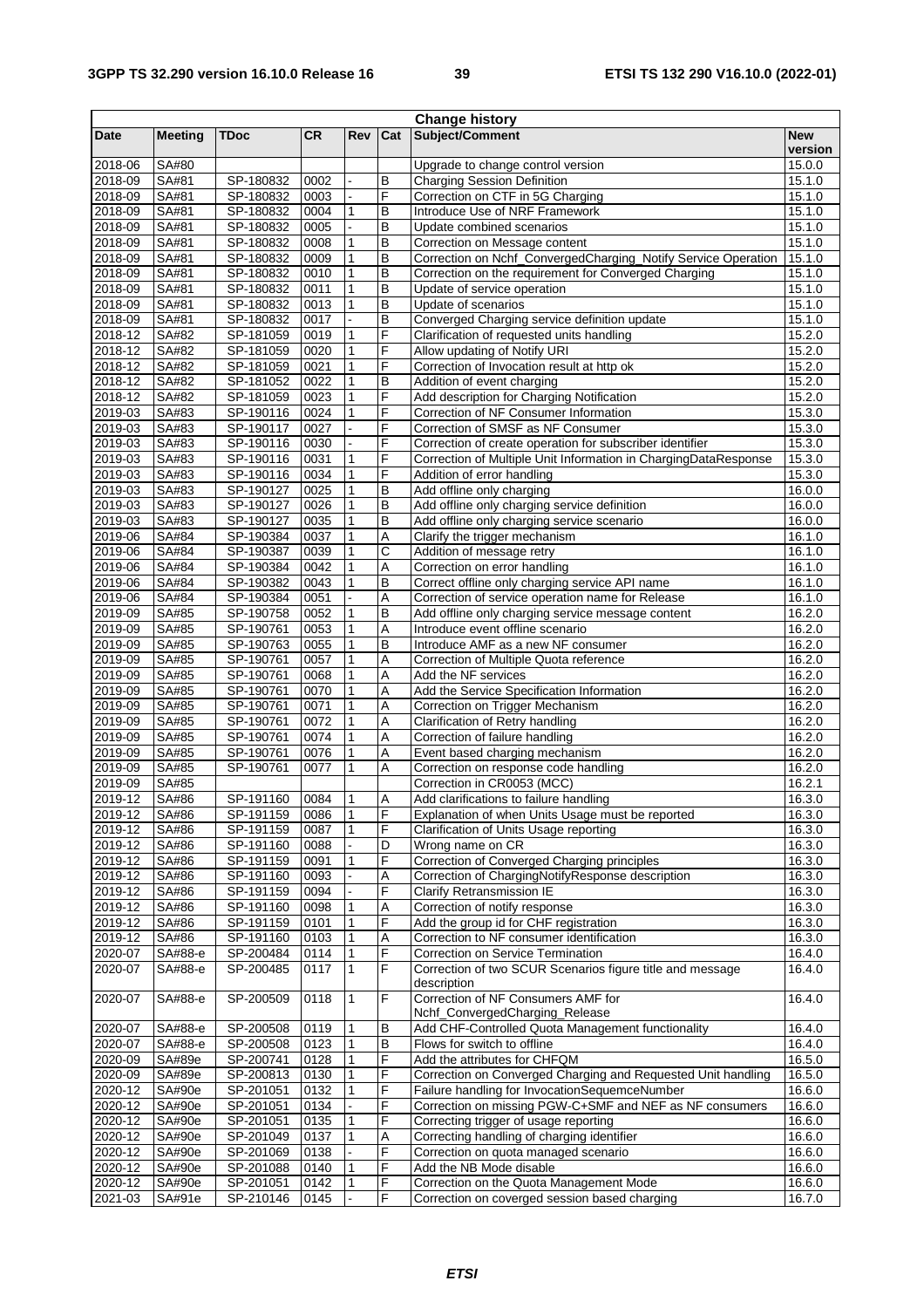|         |                |           |           |                          |     | <b>Change history</b>                                           |            |
|---------|----------------|-----------|-----------|--------------------------|-----|-----------------------------------------------------------------|------------|
| Date    | <b>Meeting</b> | TDoc      | <b>CR</b> | Rev                      | Cat | Subject/Comment                                                 | <b>New</b> |
|         |                |           |           |                          |     |                                                                 | version    |
| 2018-06 | SA#80          |           |           |                          |     | Upgrade to change control version                               | 15.0.0     |
| 2018-09 | SA#81          | SP-180832 | 0002      |                          | В   | <b>Charging Session Definition</b>                              | 15.1.0     |
| 2018-09 | SA#81          | SP-180832 | 0003      |                          | F   | Correction on CTF in 5G Charging                                | 15.1.0     |
| 2018-09 | SA#81          | SP-180832 | 0004      | 1                        | B   | Introduce Use of NRF Framework                                  | 15.1.0     |
| 2018-09 | SA#81          | SP-180832 | 0005      |                          | B   | Update combined scenarios                                       | 15.1.0     |
| 2018-09 | SA#81          | SP-180832 | 0008      | 1                        | B   | Correction on Message content                                   | 15.1.0     |
| 2018-09 | SA#81          | SP-180832 | 0009      | 1                        | B   | Correction on Nchf_ConvergedCharging_Notify Service Operation   | 15.1.0     |
| 2018-09 | SA#81          | SP-180832 | 0010      | 1                        | B   | Correction on the requirement for Converged Charging            | 15.1.0     |
|         |                |           |           | 1                        |     |                                                                 |            |
| 2018-09 | SA#81          | SP-180832 | 0011      |                          | B   | Update of service operation                                     | 15.1.0     |
| 2018-09 | SA#81          | SP-180832 | 0013      | 1                        | B   | Update of scenarios                                             | 15.1.0     |
| 2018-09 | SA#81          | SP-180832 | 0017      |                          | B   | Converged Charging service definition update                    | 15.1.0     |
| 2018-12 | SA#82          | SP-181059 | 0019      |                          | F   | Clarification of requested units handling                       | 15.2.0     |
| 2018-12 | SA#82          | SP-181059 | 0020      | 1                        | F   | Allow updating of Notify URI                                    | 15.2.0     |
| 2018-12 | SA#82          | SP-181059 | 0021      | 1                        | F   | Correction of Invocation result at http ok                      | 15.2.0     |
| 2018-12 | SA#82          | SP-181052 | 0022      | 1                        | B   | Addition of event charging                                      | 15.2.0     |
| 2018-12 | SA#82          | SP-181059 | 0023      | 1                        | F   | Add description for Charging Notification                       | 15.2.0     |
| 2019-03 | SA#83          | SP-190116 | 0024      | 1                        | F   | Correction of NF Consumer Information                           | 15.3.0     |
| 2019-03 | SA#83          | SP-190117 | 0027      | $\overline{\phantom{a}}$ | F   | Correction of SMSF as NF Consumer                               | 15.3.0     |
| 2019-03 | SA#83          | SP-190116 | 0030      |                          | F   | Correction of create operation for subscriber identifier        | 15.3.0     |
| 2019-03 | SA#83          | SP-190116 | 0031      | $\mathbf{1}$             | F   | Correction of Multiple Unit Information in ChargingDataResponse | 15.3.0     |
| 2019-03 | SA#83          | SP-190116 | 0034      | 1                        | F   | Addition of error handling                                      | 15.3.0     |
| 2019-03 | SA#83          | SP-190127 | 0025      | 1                        | B   | Add offline only charging                                       | 16.0.0     |
| 2019-03 |                | SP-190127 | 0026      | 1                        | B   | Add offline only charging service definition                    | 16.0.0     |
|         | SA#83          |           |           |                          |     |                                                                 |            |
| 2019-03 | SA#83          | SP-190127 | 0035      | 1                        | B   | Add offline only charging service scenario                      | 16.0.0     |
| 2019-06 | SA#84          | SP-190384 | 0037      | 1                        | Α   | Clarify the trigger mechanism                                   | 16.1.0     |
| 2019-06 | SA#84          | SP-190387 | 0039      | 1                        | C   | Addition of message retry                                       | 16.1.0     |
| 2019-06 | SA#84          | SP-190384 | 0042      | 1                        | Α   | Correction on error handling                                    | 16.1.0     |
| 2019-06 | SA#84          | SP-190382 | 0043      | 1                        | B   | Correct offline only charging service API name                  | 16.1.0     |
| 2019-06 | SA#84          | SP-190384 | 0051      |                          | Α   | Correction of service operation name for Release                | 16.1.0     |
| 2019-09 | SA#85          | SP-190758 | 0052      | 1                        | B   | Add offline only charging service message content               | 16.2.0     |
| 2019-09 | SA#85          | SP-190761 | 0053      | 1                        | Α   | Introduce event offline scenario                                | 16.2.0     |
| 2019-09 | SA#85          | SP-190763 | 0055      | 1                        | B   | Introduce AMF as a new NF consumer                              | 16.2.0     |
| 2019-09 | SA#85          | SP-190761 | 0057      | 1                        | Α   | Correction of Multiple Quota reference                          | 16.2.0     |
| 2019-09 | SA#85          | SP-190761 | 0068      | 1                        | Α   | Add the NF services                                             | 16.2.0     |
| 2019-09 | SA#85          | SP-190761 | 0070      | 1                        | Α   | Add the Service Specification Information                       | 16.2.0     |
| 2019-09 | SA#85          | SP-190761 | 0071      | 1                        | Α   | Correction on Trigger Mechanism                                 | 16.2.0     |
| 2019-09 | SA#85          | SP-190761 | 0072      | 1                        |     | Clarification of Retry handling                                 | 16.2.0     |
|         |                |           |           |                          | Α   |                                                                 |            |
| 2019-09 | SA#85          | SP-190761 | 0074      | 1                        | Α   | Correction of failure handling                                  | 16.2.0     |
| 2019-09 | SA#85          | SP-190761 | 0076      | 1                        | Α   | Event based charging mechanism                                  | 16.2.0     |
| 2019-09 | SA#85          | SP-190761 | 0077      | 1                        | Α   | Correction on response code handling                            | 16.2.0     |
| 2019-09 | SA#85          |           |           |                          |     | Correction in CR0053 (MCC)                                      | 16.2.1     |
| 2019-12 | SA#86          | SP-191160 | 0084      | 1                        | Α   | Add clarifications to failure handling                          | 16.3.0     |
| 2019-12 | SA#86          | SP-191159 | 0086      | 1                        | F   | Explanation of when Units Usage must be reported                | 16.3.0     |
| 2019-12 | SA#86          | SP-191159 | 0087      | 1                        | F   | Clarification of Units Usage reporting                          | 16.3.0     |
| 2019-12 | SA#86          | SP-191160 | 0088      |                          | D   | Wrong name on CR                                                | 16.3.0     |
| 2019-12 | SA#86          | SP-191159 | 0091      | 1                        | F   | Correction of Converged Charging principles                     | 16.3.0     |
| 2019-12 | SA#86          | SP-191160 | 0093      |                          | Α   | Correction of ChargingNotifyResponse description                | 16.3.0     |
| 2019-12 | SA#86          | SP-191159 | 0094      |                          | F   | <b>Clarify Retransmission IE</b>                                | 16.3.0     |
| 2019-12 | SA#86          | SP-191160 | 0098      |                          | Α   | Correction of notify response                                   | 16.3.0     |
| 2019-12 | SA#86          | SP-191159 | 0101      |                          | F   | Add the group id for CHF registration                           | 16.3.0     |
| 2019-12 | SA#86          | SP-191160 | 0103      | 1                        | Α   | Correction to NF consumer identification                        | 16.3.0     |
| 2020-07 | SA#88-e        | SP-200484 | 0114      | 1                        | F   | Correction on Service Termination                               | 16.4.0     |
|         |                |           |           |                          |     |                                                                 |            |
| 2020-07 | SA#88-e        | SP-200485 | 0117      | 1                        | F   | Correction of two SCUR Scenarios figure title and message       | 16.4.0     |
|         |                |           |           |                          |     | description                                                     |            |
| 2020-07 | SA#88-e        | SP-200509 | 0118      | 1                        | F   | Correction of NF Consumers AMF for                              | 16.4.0     |
|         |                |           |           |                          |     | Nchf_ConvergedCharging_Release                                  |            |
| 2020-07 | SA#88-e        | SP-200508 | 0119      | 1                        | В   | Add CHF-Controlled Quota Management functionality               | 16.4.0     |
| 2020-07 | SA#88-e        | SP-200508 | 0123      |                          | B   | Flows for switch to offline                                     | 16.4.0     |
| 2020-09 | SA#89e         | SP-200741 | 0128      | 1                        | F   | Add the attributes for CHFQM                                    | 16.5.0     |
| 2020-09 | SA#89e         | SP-200813 | 0130      |                          | F   | Correction on Converged Charging and Requested Unit handling    | 16.5.0     |
| 2020-12 | SA#90e         | SP-201051 | 0132      |                          | F   | Failure handling for InvocationSequemceNumber                   | 16.6.0     |
| 2020-12 | SA#90e         | SP-201051 | 0134      |                          | F   | Correction on missing PGW-C+SMF and NEF as NF consumers         | 16.6.0     |
| 2020-12 | SA#90e         | SP-201051 | 0135      | 1                        | F   | Correcting trigger of usage reporting                           | 16.6.0     |
| 2020-12 | SA#90e         | SP-201049 | 0137      | 1                        | Α   | Correcting handling of charging identifier                      | 16.6.0     |
| 2020-12 | SA#90e         | SP-201069 | 0138      |                          | F   | Correction on quota managed scenario                            | 16.6.0     |
| 2020-12 | SA#90e         | SP-201088 | 0140      | 1                        | F   | Add the NB Mode disable                                         | 16.6.0     |
| 2020-12 | SA#90e         | SP-201051 | 0142      | 1                        | F   | Correction on the Quota Management Mode                         |            |
|         |                |           |           |                          |     |                                                                 | 16.6.0     |
| 2021-03 | SA#91e         | SP-210146 | 0145      |                          | F   | Correction on coverged session based charging                   | 16.7.0     |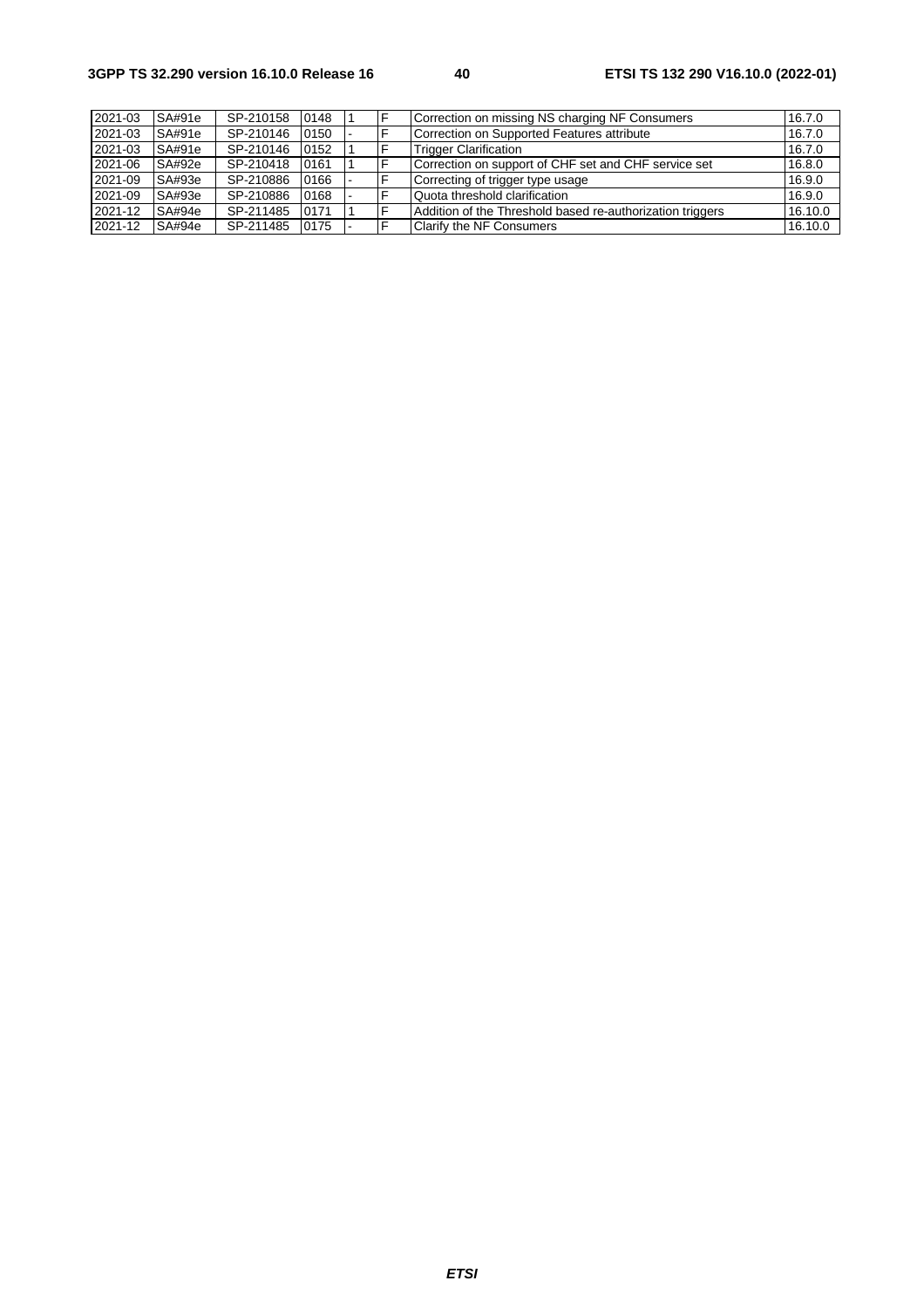| 2021-03 | SA#91e | SP-210158 | 0148 |  | Correction on missing NS charging NF Consumers            | 16.7.0  |
|---------|--------|-----------|------|--|-----------------------------------------------------------|---------|
| 2021-03 | SA#91e | SP-210146 | 0150 |  | Correction on Supported Features attribute                | 16.7.0  |
| 2021-03 | SA#91e | SP-210146 | 0152 |  | <b>Trigger Clarification</b>                              | 16.7.0  |
| 2021-06 | SA#92e | SP-210418 | 0161 |  | Correction on support of CHF set and CHF service set      | 16.8.0  |
| 2021-09 | SA#93e | SP-210886 | 0166 |  | Correcting of trigger type usage                          | 16.9.0  |
| 2021-09 | SA#93e | SP-210886 | 0168 |  | Quota threshold clarification                             | 16.9.0  |
| 2021-12 | SA#94e | SP-211485 | 0171 |  | Addition of the Threshold based re-authorization triggers | 16.10.0 |
| 2021-12 | SA#94e | SP-211485 | 0175 |  | Clarify the NF Consumers                                  | 16.10.0 |